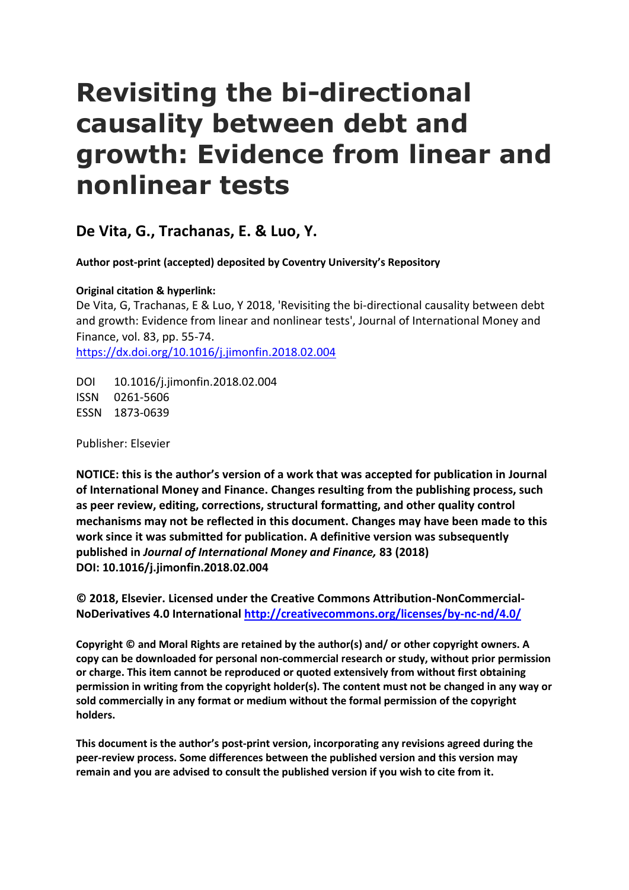# **Revisiting the bi-directional causality between debt and growth: Evidence from linear and nonlinear tests**

**De Vita, G., Trachanas, E. & Luo, Y.**

**Author post-print (accepted) deposited by Coventry University's Repository**

**Original citation & hyperlink:**

De Vita, G, Trachanas, E & Luo, Y 2018, 'Revisiting the bi-directional causality between debt and growth: Evidence from linear and nonlinear tests', Journal of International Money and Finance, vol. 83, pp. 55-74. <https://dx.doi.org/10.1016/j.jimonfin.2018.02.004>

DOI 10.1016/j.jimonfin.2018.02.004 ISSN 0261-5606 ESSN 1873-0639

Publisher: Elsevier

**NOTICE: this is the author's version of a work that was accepted for publication in Journal of International Money and Finance. Changes resulting from the publishing process, such as peer review, editing, corrections, structural formatting, and other quality control mechanisms may not be reflected in this document. Changes may have been made to this work since it was submitted for publication. A definitive version was subsequently published in** *Journal of International Money and Finance,* **83 (2018) DOI: 10.1016/j.jimonfin.2018.02.004**

**© 2018, Elsevier. Licensed under the Creative Commons Attribution-NonCommercial-NoDerivatives 4.0 International<http://creativecommons.org/licenses/by-nc-nd/4.0/>**

**Copyright © and Moral Rights are retained by the author(s) and/ or other copyright owners. A copy can be downloaded for personal non-commercial research or study, without prior permission or charge. This item cannot be reproduced or quoted extensively from without first obtaining permission in writing from the copyright holder(s). The content must not be changed in any way or sold commercially in any format or medium without the formal permission of the copyright holders.** 

**This document is the author's post-print version, incorporating any revisions agreed during the peer-review process. Some differences between the published version and this version may remain and you are advised to consult the published version if you wish to cite from it.**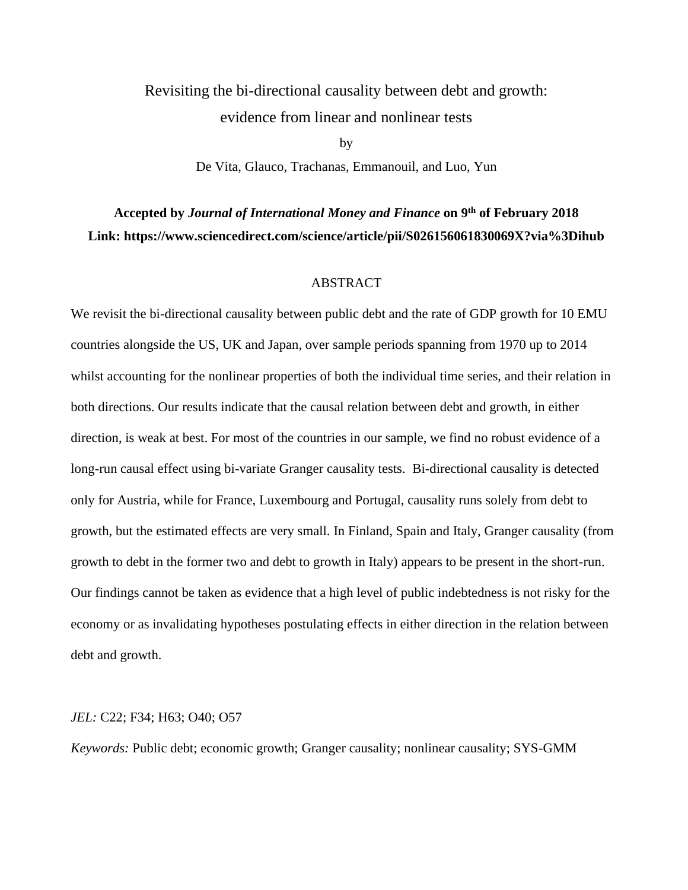## Revisiting the bi-directional causality between debt and growth: evidence from linear and nonlinear tests

by De Vita, Glauco, Trachanas, Emmanouil, and Luo, Yun

## **Accepted by** *Journal of International Money and Finance* **on 9th of February 2018 Link: https://www.sciencedirect.com/science/article/pii/S026156061830069X?via%3Dihub**

#### ABSTRACT

We revisit the bi-directional causality between public debt and the rate of GDP growth for 10 EMU countries alongside the US, UK and Japan, over sample periods spanning from 1970 up to 2014 whilst accounting for the nonlinear properties of both the individual time series, and their relation in both directions. Our results indicate that the causal relation between debt and growth, in either direction, is weak at best. For most of the countries in our sample, we find no robust evidence of a long-run causal effect using bi-variate Granger causality tests. Bi-directional causality is detected only for Austria, while for France, Luxembourg and Portugal, causality runs solely from debt to growth, but the estimated effects are very small. In Finland, Spain and Italy, Granger causality (from growth to debt in the former two and debt to growth in Italy) appears to be present in the short-run. Our findings cannot be taken as evidence that a high level of public indebtedness is not risky for the economy or as invalidating hypotheses postulating effects in either direction in the relation between debt and growth.

#### *JEL:* C22; F34; H63; O40; O57

*Keywords:* Public debt; economic growth; Granger causality; nonlinear causality; SYS-GMM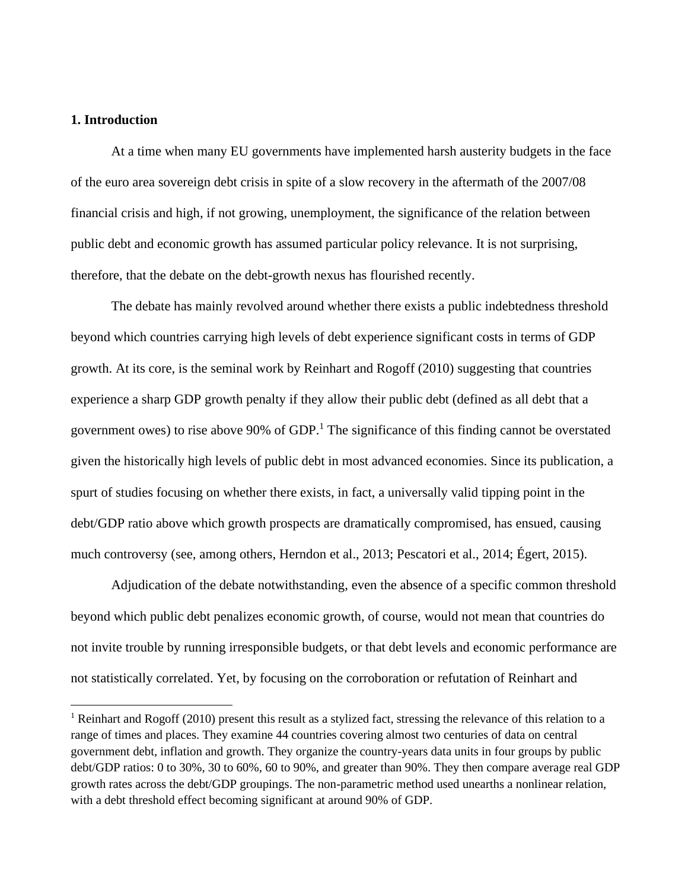#### **1. Introduction**

At a time when many EU governments have implemented harsh austerity budgets in the face of the euro area sovereign debt crisis in spite of a slow recovery in the aftermath of the 2007/08 financial crisis and high, if not growing, unemployment, the significance of the relation between public debt and economic growth has assumed particular policy relevance. It is not surprising, therefore, that the debate on the debt-growth nexus has flourished recently.

The debate has mainly revolved around whether there exists a public indebtedness threshold beyond which countries carrying high levels of debt experience significant costs in terms of GDP growth. At its core, is the seminal work by Reinhart and Rogoff (2010) suggesting that countries experience a sharp GDP growth penalty if they allow their public debt (defined as all debt that a government owes) to rise above 90% of  $GDP<sup>1</sup>$ . The significance of this finding cannot be overstated given the historically high levels of public debt in most advanced economies. Since its publication, a spurt of studies focusing on whether there exists, in fact, a universally valid tipping point in the debt/GDP ratio above which growth prospects are dramatically compromised, has ensued, causing much controversy (see, among others, Herndon et al., 2013; Pescatori et al., 2014; Égert, 2015).

Adjudication of the debate notwithstanding, even the absence of a specific common threshold beyond which public debt penalizes economic growth, of course, would not mean that countries do not invite trouble by running irresponsible budgets, or that debt levels and economic performance are not statistically correlated. Yet, by focusing on the corroboration or refutation of Reinhart and

<sup>&</sup>lt;sup>1</sup> Reinhart and Rogoff (2010) present this result as a stylized fact, stressing the relevance of this relation to a range of times and places. They examine 44 countries covering almost two centuries of data on central government debt, inflation and growth. They organize the country-years data units in four groups by public debt/GDP ratios: 0 to 30%, 30 to 60%, 60 to 90%, and greater than 90%. They then compare average real GDP growth rates across the debt/GDP groupings. The non-parametric method used unearths a nonlinear relation, with a debt threshold effect becoming significant at around 90% of GDP.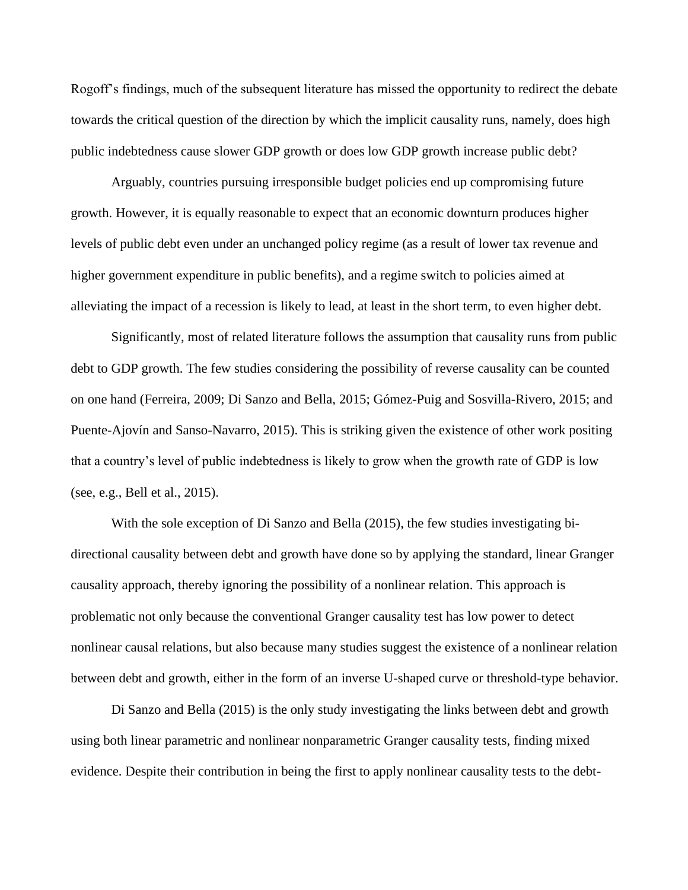Rogoff's findings, much of the subsequent literature has missed the opportunity to redirect the debate towards the critical question of the direction by which the implicit causality runs, namely, does high public indebtedness cause slower GDP growth or does low GDP growth increase public debt?

Arguably, countries pursuing irresponsible budget policies end up compromising future growth. However, it is equally reasonable to expect that an economic downturn produces higher levels of public debt even under an unchanged policy regime (as a result of lower tax revenue and higher government expenditure in public benefits), and a regime switch to policies aimed at alleviating the impact of a recession is likely to lead, at least in the short term, to even higher debt.

Significantly, most of related literature follows the assumption that causality runs from public debt to GDP growth. The few studies considering the possibility of reverse causality can be counted on one hand (Ferreira, 2009; Di Sanzo and Bella, 2015; Gómez-Puig and Sosvilla-Rivero, 2015; and Puente-Ajovín and Sanso-Navarro, 2015). This is striking given the existence of other work positing that a country's level of public indebtedness is likely to grow when the growth rate of GDP is low (see, e.g., Bell et al., 2015).

With the sole exception of Di Sanzo and Bella (2015), the few studies investigating bidirectional causality between debt and growth have done so by applying the standard, linear Granger causality approach, thereby ignoring the possibility of a nonlinear relation. This approach is problematic not only because the conventional Granger causality test has low power to detect nonlinear causal relations, but also because many studies suggest the existence of a nonlinear relation between debt and growth, either in the form of an inverse U-shaped curve or threshold-type behavior.

Di Sanzo and Bella (2015) is the only study investigating the links between debt and growth using both linear parametric and nonlinear nonparametric Granger causality tests, finding mixed evidence. Despite their contribution in being the first to apply nonlinear causality tests to the debt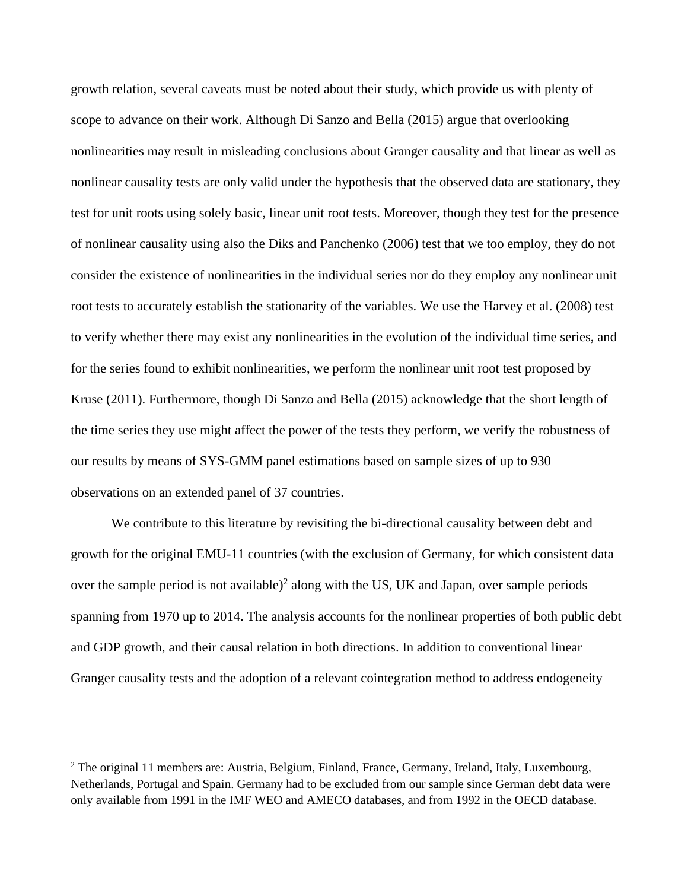growth relation, several caveats must be noted about their study, which provide us with plenty of scope to advance on their work. Although Di Sanzo and Bella (2015) argue that overlooking nonlinearities may result in misleading conclusions about Granger causality and that linear as well as nonlinear causality tests are only valid under the hypothesis that the observed data are stationary, they test for unit roots using solely basic, linear unit root tests. Moreover, though they test for the presence of nonlinear causality using also the Diks and Panchenko (2006) test that we too employ, they do not consider the existence of nonlinearities in the individual series nor do they employ any nonlinear unit root tests to accurately establish the stationarity of the variables. We use the Harvey et al. (2008) test to verify whether there may exist any nonlinearities in the evolution of the individual time series, and for the series found to exhibit nonlinearities, we perform the nonlinear unit root test proposed by Kruse (2011). Furthermore, though Di Sanzo and Bella (2015) acknowledge that the short length of the time series they use might affect the power of the tests they perform, we verify the robustness of our results by means of SYS-GMM panel estimations based on sample sizes of up to 930 observations on an extended panel of 37 countries.

We contribute to this literature by revisiting the bi-directional causality between debt and growth for the original EMU-11 countries (with the exclusion of Germany, for which consistent data over the sample period is not available)<sup>2</sup> along with the US, UK and Japan, over sample periods spanning from 1970 up to 2014. The analysis accounts for the nonlinear properties of both public debt and GDP growth, and their causal relation in both directions. In addition to conventional linear Granger causality tests and the adoption of a relevant cointegration method to address endogeneity

<sup>&</sup>lt;sup>2</sup> The original 11 members are: Austria, Belgium, Finland, France, Germany, Ireland, Italy, Luxembourg, Netherlands, Portugal and Spain. Germany had to be excluded from our sample since German debt data were only available from 1991 in the IMF WEO and AMECO databases, and from 1992 in the OECD database.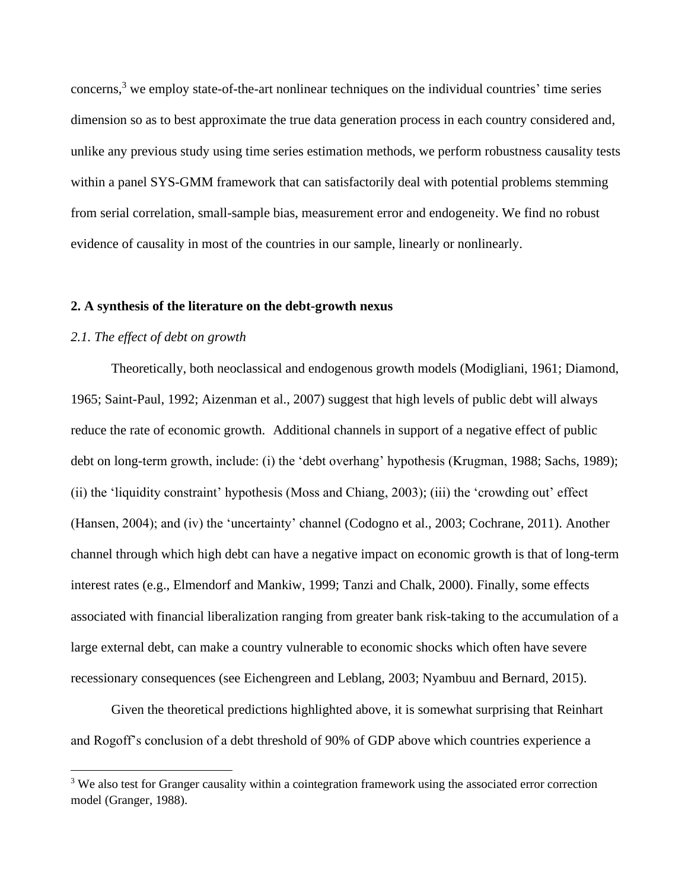concerns,<sup>3</sup> we employ state-of-the-art nonlinear techniques on the individual countries' time series dimension so as to best approximate the true data generation process in each country considered and, unlike any previous study using time series estimation methods, we perform robustness causality tests within a panel SYS-GMM framework that can satisfactorily deal with potential problems stemming from serial correlation, small-sample bias, measurement error and endogeneity. We find no robust evidence of causality in most of the countries in our sample, linearly or nonlinearly.

#### **2. A synthesis of the literature on the debt-growth nexus**

#### *2.1. The effect of debt on growth*

Theoretically, both neoclassical and endogenous growth models (Modigliani, 1961; Diamond, 1965; Saint-Paul, 1992; Aizenman et al., 2007) suggest that high levels of public debt will always reduce the rate of economic growth. Additional channels in support of a negative effect of public debt on long-term growth, include: (i) the 'debt overhang' hypothesis (Krugman, 1988; Sachs, 1989); (ii) the 'liquidity constraint' hypothesis (Moss and Chiang, 2003); (iii) the 'crowding out' effect (Hansen, 2004); and (iv) the 'uncertainty' channel (Codogno et al., 2003; Cochrane, 2011). Another channel through which high debt can have a negative impact on economic growth is that of long-term interest rates (e.g., Elmendorf and Mankiw, 1999; Tanzi and Chalk, 2000). Finally, some effects associated with financial liberalization ranging from greater bank risk-taking to the accumulation of a large external debt, can make a country vulnerable to economic shocks which often have severe recessionary consequences (see Eichengreen and Leblang, 2003; Nyambuu and Bernard, 2015).

Given the theoretical predictions highlighted above, it is somewhat surprising that Reinhart and Rogoff's conclusion of a debt threshold of 90% of GDP above which countries experience a

<sup>&</sup>lt;sup>3</sup> We also test for Granger causality within a cointegration framework using the associated error correction model (Granger, 1988).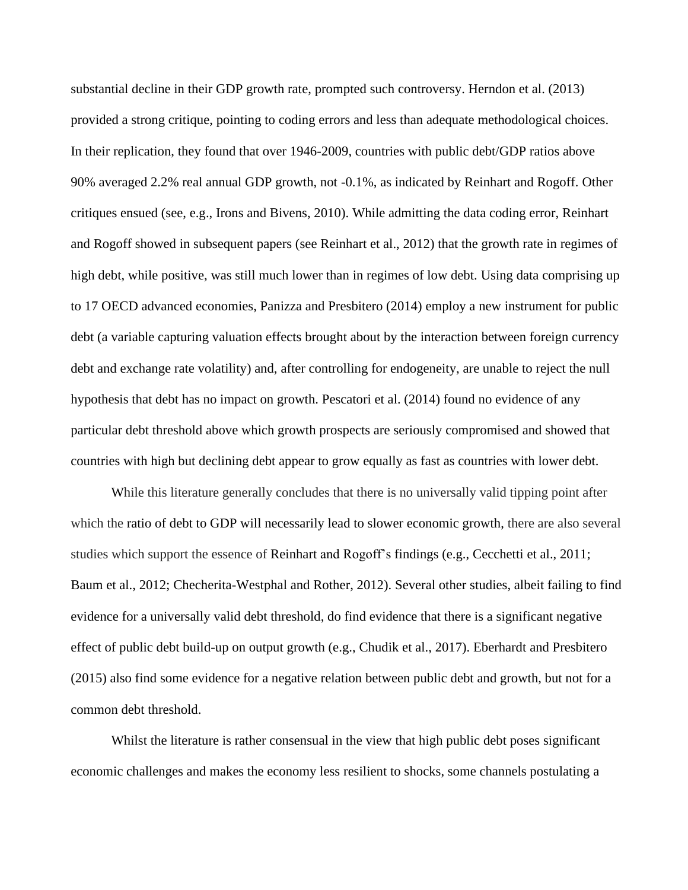substantial decline in their GDP growth rate, prompted such controversy. Herndon et al. (2013) provided a strong critique, pointing to coding errors and less than adequate methodological choices. In their replication, they found that over 1946-2009, countries with public debt/GDP ratios above 90% averaged 2.2% real annual GDP growth, not -0.1%, as indicated by Reinhart and Rogoff. Other critiques ensued (see, e.g., Irons and Bivens, 2010). While admitting the data coding error, Reinhart and Rogoff showed in subsequent papers (see Reinhart et al., 2012) that the growth rate in regimes of high debt, while positive, was still much lower than in regimes of low debt. Using data comprising up to 17 OECD advanced economies, Panizza and Presbitero (2014) employ a new instrument for public debt (a variable capturing valuation effects brought about by the interaction between foreign currency debt and exchange rate volatility) and, after controlling for endogeneity, are unable to reject the null hypothesis that debt has no impact on growth. Pescatori et al. (2014) found no evidence of any particular debt threshold above which growth prospects are seriously compromised and showed that countries with high but declining debt appear to grow equally as fast as countries with lower debt.

While this literature generally concludes that there is no universally valid tipping point after which the ratio of debt to GDP will necessarily lead to slower economic growth, there are also several studies which support the essence of Reinhart and Rogoff's findings (e.g., Cecchetti et al., 2011; Baum et al., 2012; Checherita-Westphal and Rother, 2012). Several other studies, albeit failing to find evidence for a universally valid debt threshold, do find evidence that there is a significant negative effect of public debt build-up on output growth (e.g., Chudik et al., 2017). Eberhardt and Presbitero (2015) also find some evidence for a negative relation between public debt and growth, but not for a common debt threshold.

Whilst the literature is rather consensual in the view that high public debt poses significant economic challenges and makes the economy less resilient to shocks, some channels postulating a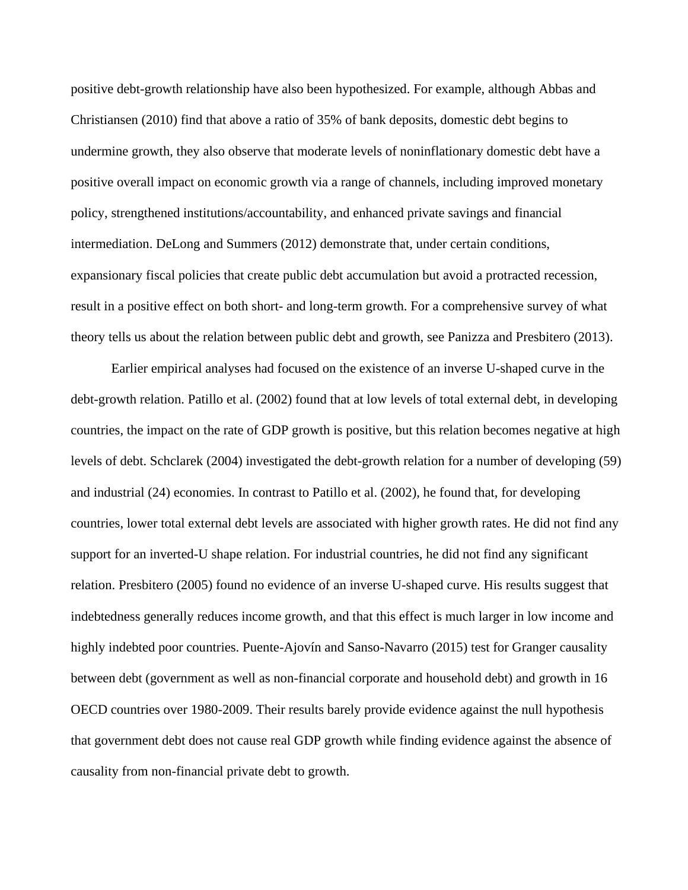positive debt-growth relationship have also been hypothesized. For example, although Abbas and Christiansen (2010) find that above a ratio of 35% of bank deposits, domestic debt begins to undermine growth, they also observe that moderate levels of noninflationary domestic debt have a positive overall impact on economic growth via a range of channels, including improved monetary policy, strengthened institutions/accountability, and enhanced private savings and financial intermediation. DeLong and Summers (2012) demonstrate that, under certain conditions, expansionary fiscal policies that create public debt accumulation but avoid a protracted recession, result in a positive effect on both short- and long-term growth. For a comprehensive survey of what theory tells us about the relation between public debt and growth, see Panizza and Presbitero (2013).

Earlier empirical analyses had focused on the existence of an inverse U-shaped curve in the debt-growth relation. Patillo et al. (2002) found that at low levels of total external debt, in developing countries, the impact on the rate of GDP growth is positive, but this relation becomes negative at high levels of debt. Schclarek (2004) investigated the debt-growth relation for a number of developing (59) and industrial (24) economies. In contrast to Patillo et al. (2002), he found that, for developing countries, lower total external debt levels are associated with higher growth rates. He did not find any support for an inverted-U shape relation. For industrial countries, he did not find any significant relation. Presbitero (2005) found no evidence of an inverse U-shaped curve. His results suggest that indebtedness generally reduces income growth, and that this effect is much larger in low income and highly indebted poor countries. Puente-Ajovín and Sanso-Navarro (2015) test for Granger causality between debt (government as well as non-financial corporate and household debt) and growth in 16 OECD countries over 1980-2009. Their results barely provide evidence against the null hypothesis that government debt does not cause real GDP growth while finding evidence against the absence of causality from non-financial private debt to growth.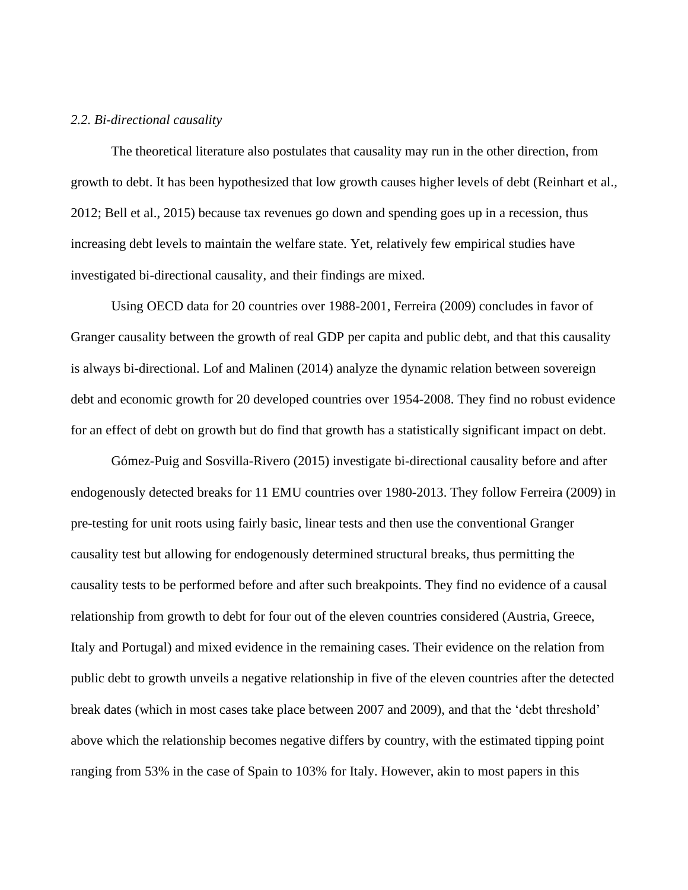#### *2.2. Bi-directional causality*

The theoretical literature also postulates that causality may run in the other direction, from growth to debt. It has been hypothesized that low growth causes higher levels of debt (Reinhart et al.*,* 2012; Bell et al., 2015) because tax revenues go down and spending goes up in a recession, thus increasing debt levels to maintain the welfare state. Yet, relatively few empirical studies have investigated bi-directional causality, and their findings are mixed.

Using OECD data for 20 countries over 1988-2001, Ferreira (2009) concludes in favor of Granger causality between the growth of real GDP per capita and public debt, and that this causality is always bi-directional. Lof and Malinen (2014) analyze the dynamic relation between sovereign debt and economic growth for 20 developed countries over 1954-2008. They find no robust evidence for an effect of debt on growth but do find that growth has a statistically significant impact on debt.

Gómez-Puig and Sosvilla-Rivero (2015) investigate bi-directional causality before and after endogenously detected breaks for 11 EMU countries over 1980-2013. They follow Ferreira (2009) in pre-testing for unit roots using fairly basic, linear tests and then use the conventional Granger causality test but allowing for endogenously determined structural breaks, thus permitting the causality tests to be performed before and after such breakpoints. They find no evidence of a causal relationship from growth to debt for four out of the eleven countries considered (Austria, Greece, Italy and Portugal) and mixed evidence in the remaining cases. Their evidence on the relation from public debt to growth unveils a negative relationship in five of the eleven countries after the detected break dates (which in most cases take place between 2007 and 2009), and that the 'debt threshold' above which the relationship becomes negative differs by country, with the estimated tipping point ranging from 53% in the case of Spain to 103% for Italy. However, akin to most papers in this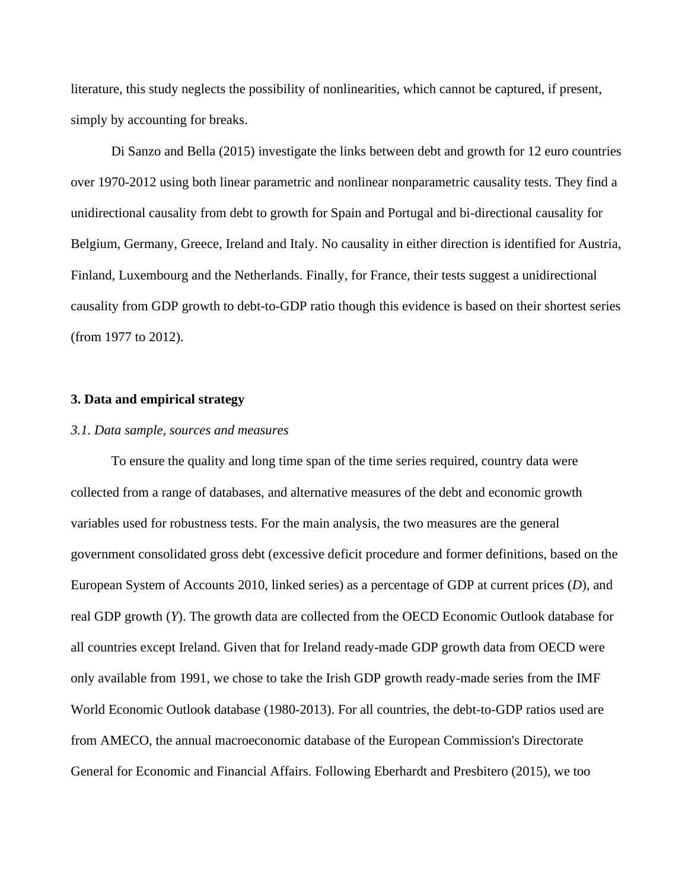literature, this study neglects the possibility of nonlinearities, which cannot be captured, if present, simply by accounting for breaks.

Di Sanzo and Bella (2015) investigate the links between debt and growth for 12 euro countries over 1970-2012 using both linear parametric and nonlinear nonparametric causality tests. They find a unidirectional causality from debt to growth for Spain and Portugal and bi-directional causality for Belgium, Germany, Greece, Ireland and Italy. No causality in either direction is identified for Austria, Finland, Luxembourg and the Netherlands. Finally, for France, their tests suggest a unidirectional causality from GDP growth to debt-to-GDP ratio though this evidence is based on their shortest series (from 1977 to 2012).

#### **3. Data and empirical strategy**

#### *3.1. Data sample, sources and measures*

To ensure the quality and long time span of the time series required, country data were collected from a range of databases, and alternative measures of the debt and economic growth variables used for robustness tests. For the main analysis, the two measures are the general government consolidated gross debt (excessive deficit procedure and former definitions, based on the European System of Accounts 2010, linked series) as a percentage of GDP at current prices (*D*), and real GDP growth (*Y*). The growth data are collected from the OECD Economic Outlook database for all countries except Ireland. Given that for Ireland ready-made GDP growth data from OECD were only available from 1991, we chose to take the Irish GDP growth ready-made series from the IMF World Economic Outlook database (1980-2013). For all countries, the debt-to-GDP ratios used are from AMECO, the annual macroeconomic database of the European Commission's Directorate General for Economic and Financial Affairs. Following Eberhardt and Presbitero (2015), we too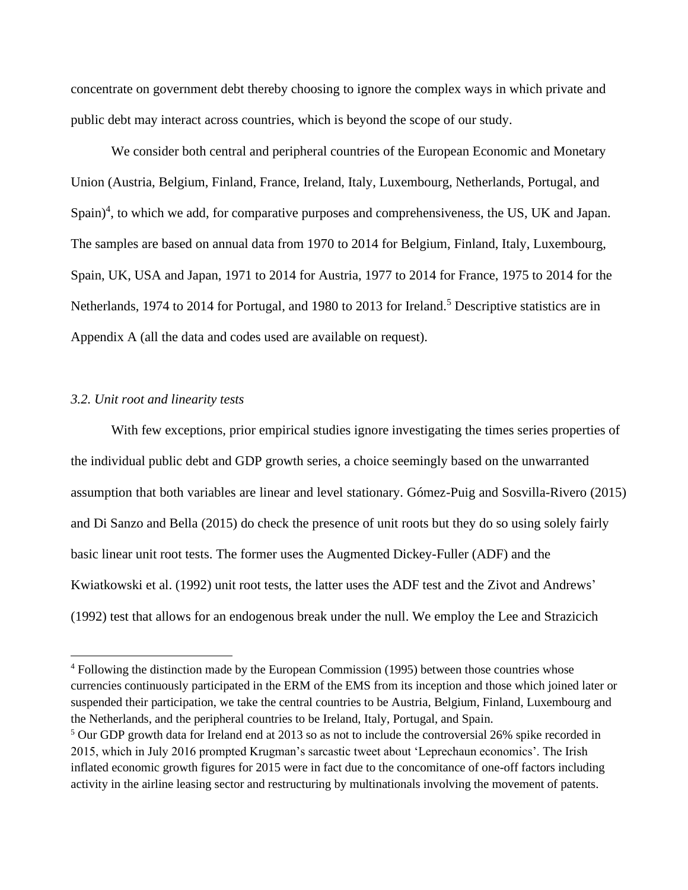concentrate on government debt thereby choosing to ignore the complex ways in which private and public debt may interact across countries, which is beyond the scope of our study.

We consider both central and peripheral countries of the European Economic and Monetary Union (Austria, Belgium, Finland, France, Ireland, Italy, Luxembourg, Netherlands, Portugal, and Spain)<sup>4</sup>, to which we add, for comparative purposes and comprehensiveness, the US, UK and Japan. The samples are based on annual data from 1970 to 2014 for Belgium, Finland, Italy, Luxembourg, Spain, UK, USA and Japan, 1971 to 2014 for Austria, 1977 to 2014 for France, 1975 to 2014 for the Netherlands, 1974 to 2014 for Portugal, and 1980 to 2013 for Ireland.<sup>5</sup> Descriptive statistics are in Appendix A (all the data and codes used are available on request).

#### *3.2. Unit root and linearity tests*

With few exceptions, prior empirical studies ignore investigating the times series properties of the individual public debt and GDP growth series, a choice seemingly based on the unwarranted assumption that both variables are linear and level stationary. Gómez-Puig and Sosvilla-Rivero (2015) and Di Sanzo and Bella (2015) do check the presence of unit roots but they do so using solely fairly basic linear unit root tests. The former uses the Augmented Dickey-Fuller (ADF) and the Kwiatkowski et al. (1992) unit root tests, the latter uses the ADF test and the Zivot and Andrews' (1992) test that allows for an endogenous break under the null. We employ the Lee and Strazicich

<sup>4</sup> Following the distinction made by the European Commission (1995) between those countries whose currencies continuously participated in the ERM of the EMS from its inception and those which joined later or suspended their participation, we take the central countries to be Austria, Belgium, Finland, Luxembourg and the Netherlands, and the peripheral countries to be Ireland, Italy, Portugal, and Spain.

 $5$  Our GDP growth data for Ireland end at 2013 so as not to include the controversial 26% spike recorded in 2015, which in July 2016 prompted Krugman's sarcastic tweet about 'Leprechaun economics'. The Irish inflated economic growth figures for 2015 were in fact due to the concomitance of one-off factors including activity in the airline leasing sector and restructuring by multinationals involving the movement of patents.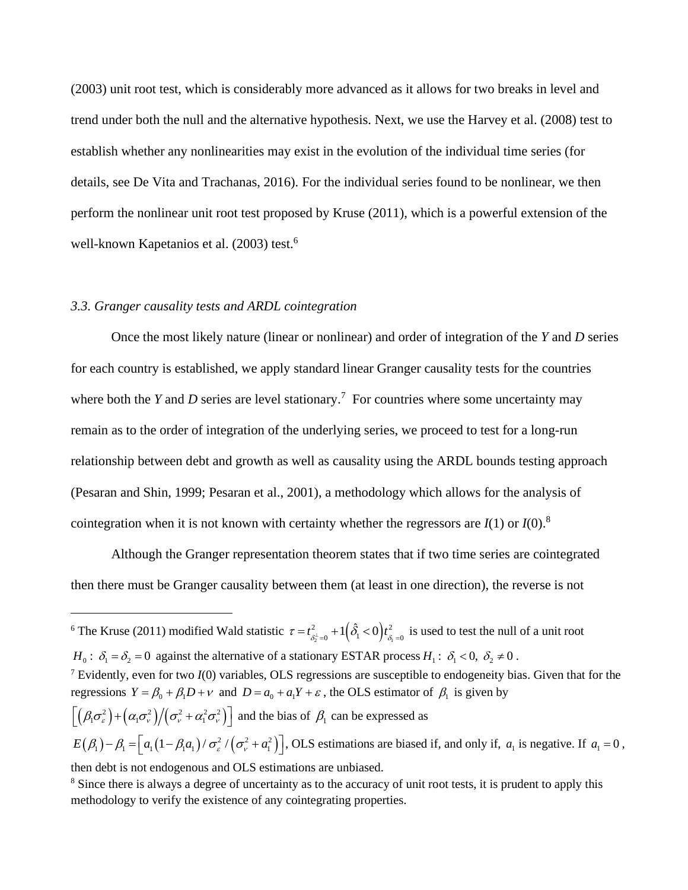(2003) unit root test, which is considerably more advanced as it allows for two breaks in level and trend under both the null and the alternative hypothesis. Next, we use the Harvey et al. (2008) test to establish whether any nonlinearities may exist in the evolution of the individual time series (for details, see De Vita and Trachanas, 2016). For the individual series found to be nonlinear, we then perform the nonlinear unit root test proposed by Kruse (2011), which is a powerful extension of the well-known Kapetanios et al. (2003) test.<sup>6</sup>

#### *3.3. Granger causality tests and ARDL cointegration*

Once the most likely nature (linear or nonlinear) and order of integration of the *Y* and *D* series for each country is established, we apply standard linear Granger causality tests for the countries where both the *Y* and *D* series are level stationary.<sup>7</sup> For countries where some uncertainty may remain as to the order of integration of the underlying series, we proceed to test for a long-run relationship between debt and growth as well as causality using the ARDL bounds testing approach (Pesaran and Shin, 1999; Pesaran et al., 2001), a methodology which allows for the analysis of cointegration when it is not known with certainty whether the regressors are  $I(1)$  or  $I(0)$ .<sup>8</sup>

Although the Granger representation theorem states that if two time series are cointegrated then there must be Granger causality between them (at least in one direction), the reverse is not

 $E(\beta_1) - \beta_1 = \left[ a_1(1-\beta_1a_1) / \sigma_s^2 / (\sigma_v^2 + a_1^2) \right]$ , OLS estimations are biased if, and only if,  $a_1$  is negative. If  $a_1 = 0$ , then debt is not endogenous and OLS estimations are unbiased.

<sup>8</sup> Since there is always a degree of uncertainty as to the accuracy of unit root tests, it is prudent to apply this methodology to verify the existence of any cointegrating properties.

<sup>&</sup>lt;sup>6</sup> The Kruse (2011) modified Wald statistic  $\tau = t_{\delta_2^{\perp}=0}^2 + 1(\hat{\delta}_1 < 0)t_{\delta_1=0}^2$  $\tau = t_{\delta t=0}^2 + 1(\hat{\delta}_1 < 0)t_{\delta t=0}^2$  is used to test the null of a unit root  $H_0: \delta_1 = \delta_2 = 0$  against the alternative of a stationary ESTAR process  $H_1: \delta_1 < 0, \delta_2 \neq 0$ . <sup>7</sup> Evidently, even for two *I*(0) variables, OLS regressions are susceptible to endogeneity bias. Given that for the regressions  $Y = \beta_0 + \beta_1 D + v$  and  $D = a_0 + a_1 Y + \varepsilon$ , the OLS estimator of  $\beta_1$  is given by  $\left[\left(\beta_{1}\sigma_{\varepsilon}^{2}\right)+\left(\alpha_{1}\sigma_{\nu}^{2}\right)\middle/\left(\sigma_{\nu}^{2}+\alpha_{1}^{2}\sigma_{\nu}^{2}\right)\right]$  and the bias of  $\beta_{1}$  can be expressed as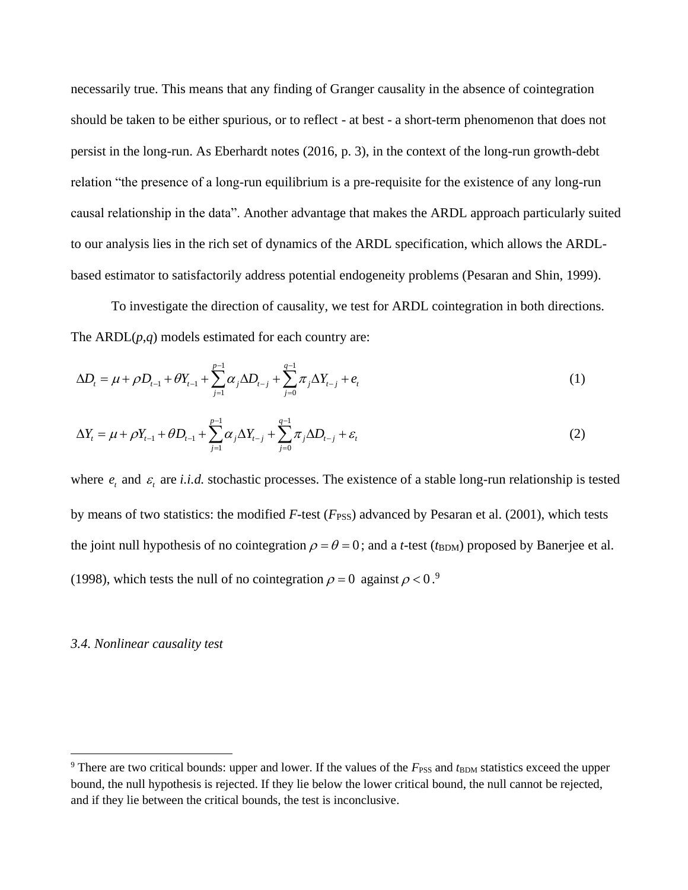necessarily true. This means that any finding of Granger causality in the absence of cointegration should be taken to be either spurious, or to reflect - at best - a short-term phenomenon that does not persist in the long-run. As Eberhardt notes (2016, p. 3), in the context of the long-run growth-debt relation "the presence of a long-run equilibrium is a pre-requisite for the existence of any long-run causal relationship in the data". Another advantage that makes the ARDL approach particularly suited to our analysis lies in the rich set of dynamics of the ARDL specification, which allows the ARDLbased estimator to satisfactorily address potential endogeneity problems (Pesaran and Shin, 1999).

To investigate the direction of causality, we test for ARDL cointegration in both directions. The ARDL(*p*,*q*) models estimated for each country are:

$$
\Delta D_t = \mu + \rho D_{t-1} + \theta Y_{t-1} + \sum_{j=1}^{p-1} \alpha_j \Delta D_{t-j} + \sum_{j=0}^{q-1} \pi_j \Delta Y_{t-j} + e_t
$$
\n(1)

$$
\Delta Y_{t} = \mu + \rho Y_{t-1} + \theta D_{t-1} + \sum_{j=1}^{p-1} \alpha_{j} \Delta Y_{t-j} + \sum_{j=0}^{q-1} \pi_{j} \Delta D_{t-j} + \varepsilon_{t}
$$
\n(2)

where  $e_t$  and  $\varepsilon_t$  are *i.i.d.* stochastic processes. The existence of a stable long-run relationship is tested by means of two statistics: the modified *F*-test (*F*<sub>PSS</sub>) advanced by Pesaran et al. (2001), which tests the joint null hypothesis of no cointegration  $\rho = \theta = 0$ ; and a *t*-test ( $t_{\text{BDM}}$ ) proposed by Banerjee et al. (1998), which tests the null of no cointegration  $\rho = 0$  against  $\rho < 0$ .<sup>9</sup>

#### *3.4. Nonlinear causality test*

<sup>&</sup>lt;sup>9</sup> There are two critical bounds: upper and lower. If the values of the  $F_{\rm PSS}$  and  $t_{\rm BDM}$  statistics exceed the upper bound, the null hypothesis is rejected. If they lie below the lower critical bound, the null cannot be rejected, and if they lie between the critical bounds, the test is inconclusive.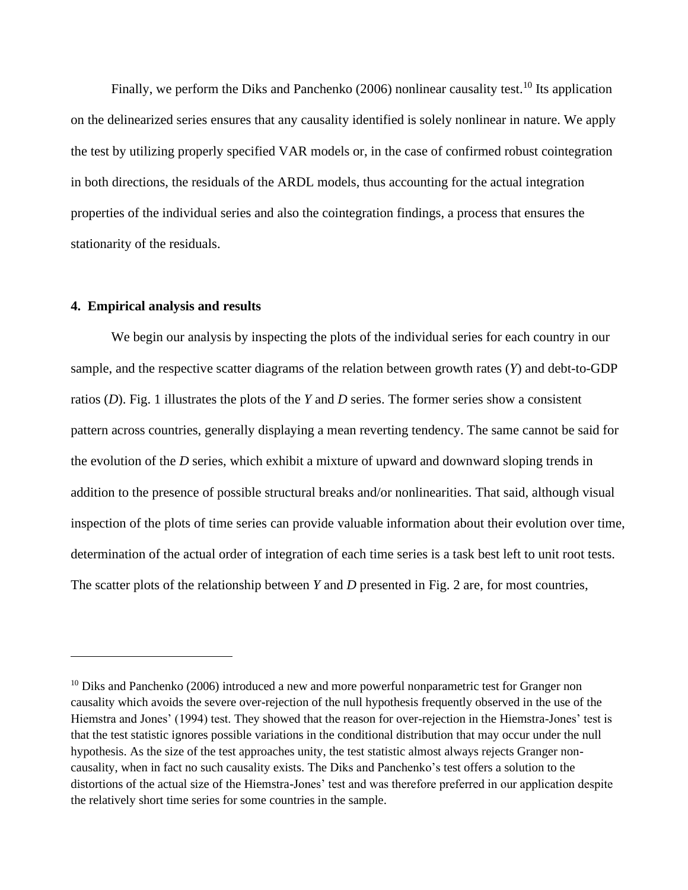Finally, we perform the Diks and Panchenko (2006) nonlinear causality test.<sup>10</sup> Its application on the delinearized series ensures that any causality identified is solely nonlinear in nature. We apply the test by utilizing properly specified VAR models or, in the case of confirmed robust cointegration in both directions, the residuals of the ARDL models, thus accounting for the actual integration properties of the individual series and also the cointegration findings, a process that ensures the stationarity of the residuals.

#### **4. Empirical analysis and results**

We begin our analysis by inspecting the plots of the individual series for each country in our sample, and the respective scatter diagrams of the relation between growth rates (*Y*) and debt-to-GDP ratios (*D*). Fig. 1 illustrates the plots of the *Y* and *D* series. The former series show a consistent pattern across countries, generally displaying a mean reverting tendency. The same cannot be said for the evolution of the *D* series, which exhibit a mixture of upward and downward sloping trends in addition to the presence of possible structural breaks and/or nonlinearities. That said, although visual inspection of the plots of time series can provide valuable information about their evolution over time, determination of the actual order of integration of each time series is a task best left to unit root tests. The scatter plots of the relationship between *Y* and *D* presented in Fig. 2 are, for most countries,

 $10$  Diks and Panchenko (2006) introduced a new and more powerful nonparametric test for Granger non causality which avoids the severe over-rejection of the null hypothesis frequently observed in the use of the Hiemstra and Jones' (1994) test. They showed that the reason for over-rejection in the Hiemstra-Jones' test is that the test statistic ignores possible variations in the conditional distribution that may occur under the null hypothesis. As the size of the test approaches unity, the test statistic almost always rejects Granger noncausality, when in fact no such causality exists. The Diks and Panchenko's test offers a solution to the distortions of the actual size of the Hiemstra-Jones' test and was therefore preferred in our application despite the relatively short time series for some countries in the sample.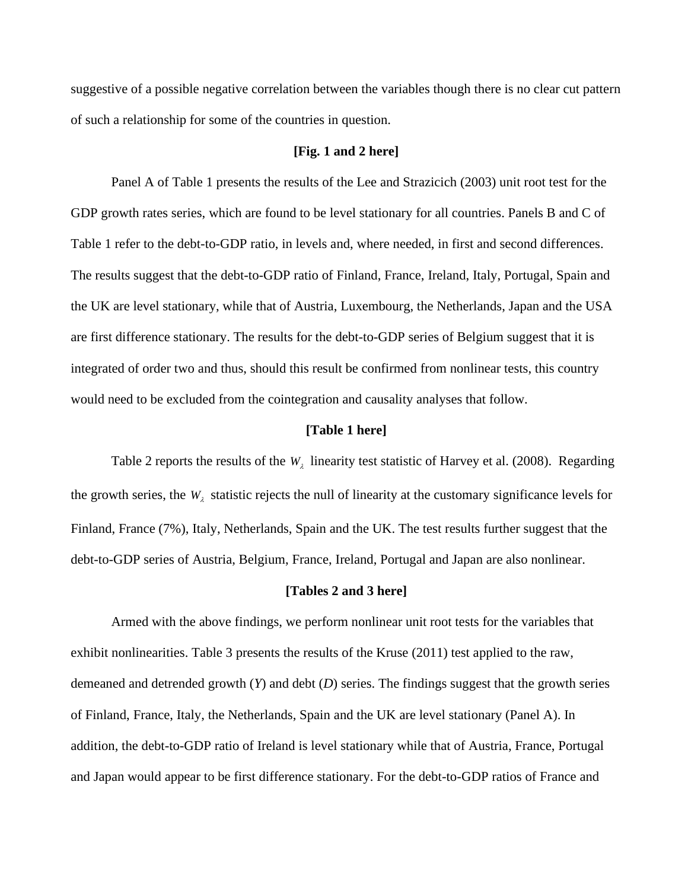suggestive of a possible negative correlation between the variables though there is no clear cut pattern of such a relationship for some of the countries in question.

#### **[Fig. 1 and 2 here]**

Panel A of Table 1 presents the results of the Lee and Strazicich (2003) unit root test for the GDP growth rates series, which are found to be level stationary for all countries. Panels B and C of Table 1 refer to the debt-to-GDP ratio, in levels and, where needed, in first and second differences. The results suggest that the debt-to-GDP ratio of Finland, France, Ireland, Italy, Portugal, Spain and the UK are level stationary, while that of Austria, Luxembourg, the Netherlands, Japan and the USA are first difference stationary. The results for the debt-to-GDP series of Belgium suggest that it is integrated of order two and thus, should this result be confirmed from nonlinear tests, this country would need to be excluded from the cointegration and causality analyses that follow.

#### **[Table 1 here]**

Table 2 reports the results of the  $W_2$  linearity test statistic of Harvey et al. (2008). Regarding the growth series, the  $W_{\lambda}$  statistic rejects the null of linearity at the customary significance levels for Finland, France (7%), Italy, Netherlands, Spain and the UK. The test results further suggest that the debt-to-GDP series of Austria, Belgium, France, Ireland, Portugal and Japan are also nonlinear.

#### **[Tables 2 and 3 here]**

Armed with the above findings, we perform nonlinear unit root tests for the variables that exhibit nonlinearities. Table 3 presents the results of the Kruse (2011) test applied to the raw, demeaned and detrended growth (*Y*) and debt (*D*) series. The findings suggest that the growth series of Finland, France, Italy, the Netherlands, Spain and the UK are level stationary (Panel A). In addition, the debt-to-GDP ratio of Ireland is level stationary while that of Austria, France, Portugal and Japan would appear to be first difference stationary. For the debt-to-GDP ratios of France and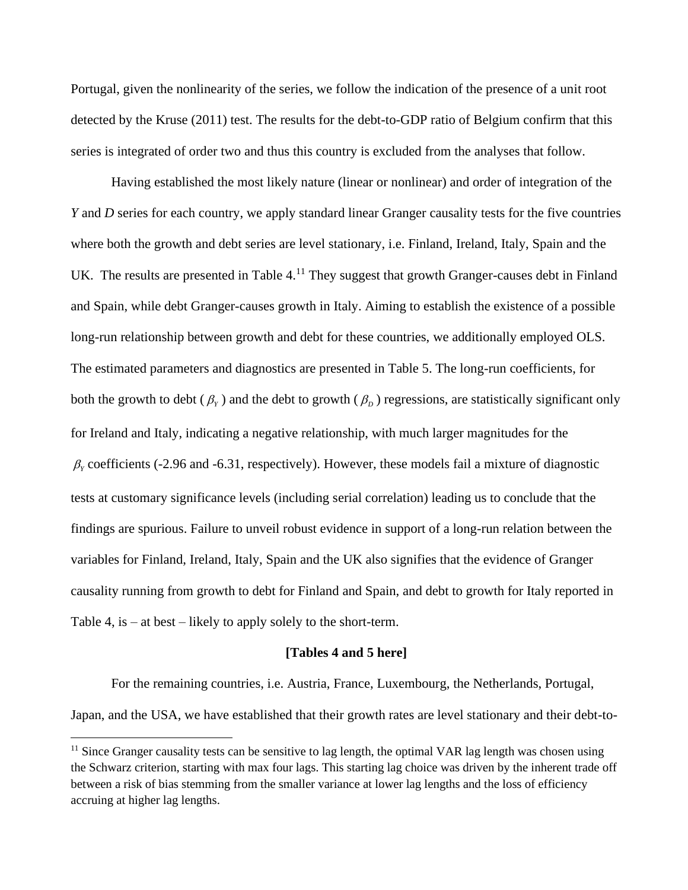Portugal, given the nonlinearity of the series, we follow the indication of the presence of a unit root detected by the Kruse (2011) test. The results for the debt-to-GDP ratio of Belgium confirm that this series is integrated of order two and thus this country is excluded from the analyses that follow.

Having established the most likely nature (linear or nonlinear) and order of integration of the *Y* and *D* series for each country, we apply standard linear Granger causality tests for the five countries where both the growth and debt series are level stationary, i.e. Finland, Ireland, Italy, Spain and the UK. The results are presented in Table  $4<sup>11</sup>$  They suggest that growth Granger-causes debt in Finland and Spain, while debt Granger-causes growth in Italy. Aiming to establish the existence of a possible long-run relationship between growth and debt for these countries, we additionally employed OLS. The estimated parameters and diagnostics are presented in Table 5. The long-run coefficients, for both the growth to debt ( $\beta_r$ ) and the debt to growth ( $\beta_p$ ) regressions, are statistically significant only for Ireland and Italy, indicating a negative relationship, with much larger magnitudes for the  $\beta$ <sub>r</sub> coefficients (-2.96 and -6.31, respectively). However, these models fail a mixture of diagnostic tests at customary significance levels (including serial correlation) leading us to conclude that the findings are spurious. Failure to unveil robust evidence in support of a long-run relation between the variables for Finland, Ireland, Italy, Spain and the UK also signifies that the evidence of Granger causality running from growth to debt for Finland and Spain, and debt to growth for Italy reported in Table 4, is – at best – likely to apply solely to the short-term.

#### **[Tables 4 and 5 here]**

For the remaining countries, i.e. Austria, France, Luxembourg, the Netherlands, Portugal, Japan, and the USA, we have established that their growth rates are level stationary and their debt-to-

<sup>&</sup>lt;sup>11</sup> Since Granger causality tests can be sensitive to lag length, the optimal VAR lag length was chosen using the Schwarz criterion, starting with max four lags. This starting lag choice was driven by the inherent trade off between a risk of bias stemming from the smaller variance at lower lag lengths and the loss of efficiency accruing at higher lag lengths.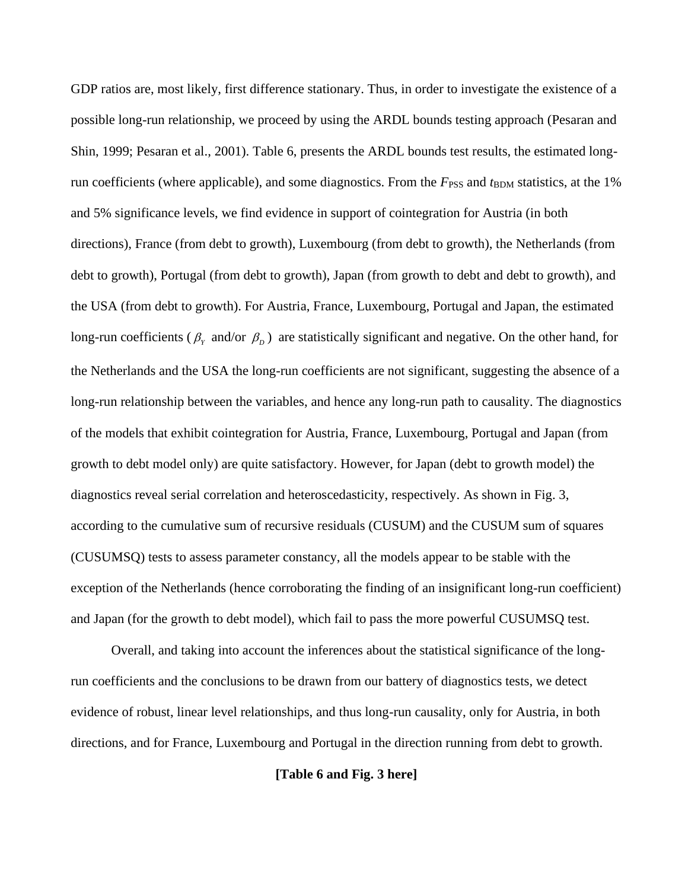GDP ratios are, most likely, first difference stationary. Thus, in order to investigate the existence of a possible long-run relationship, we proceed by using the ARDL bounds testing approach (Pesaran and Shin, 1999; Pesaran et al., 2001). Table 6, presents the ARDL bounds test results, the estimated longrun coefficients (where applicable), and some diagnostics. From the *F*<sub>PSS</sub> and *t*<sub>BDM</sub> statistics, at the 1% and 5% significance levels, we find evidence in support of cointegration for Austria (in both directions), France (from debt to growth), Luxembourg (from debt to growth), the Netherlands (from debt to growth), Portugal (from debt to growth), Japan (from growth to debt and debt to growth), and the USA (from debt to growth). For Austria, France, Luxembourg, Portugal and Japan, the estimated long-run coefficients ( $\beta_{Y}$  and/or  $\beta_{D}$ ) are statistically significant and negative. On the other hand, for the Netherlands and the USA the long-run coefficients are not significant, suggesting the absence of a long-run relationship between the variables, and hence any long-run path to causality. The diagnostics of the models that exhibit cointegration for Austria, France, Luxembourg, Portugal and Japan (from growth to debt model only) are quite satisfactory. However, for Japan (debt to growth model) the diagnostics reveal serial correlation and heteroscedasticity, respectively. As shown in Fig. 3, according to the cumulative sum of recursive residuals (CUSUM) and the CUSUM sum of squares (CUSUMSQ) tests to assess parameter constancy, all the models appear to be stable with the exception of the Netherlands (hence corroborating the finding of an insignificant long-run coefficient) and Japan (for the growth to debt model), which fail to pass the more powerful CUSUMSQ test.

Overall, and taking into account the inferences about the statistical significance of the longrun coefficients and the conclusions to be drawn from our battery of diagnostics tests, we detect evidence of robust, linear level relationships, and thus long-run causality, only for Austria, in both directions, and for France, Luxembourg and Portugal in the direction running from debt to growth.

#### **[Table 6 and Fig. 3 here]**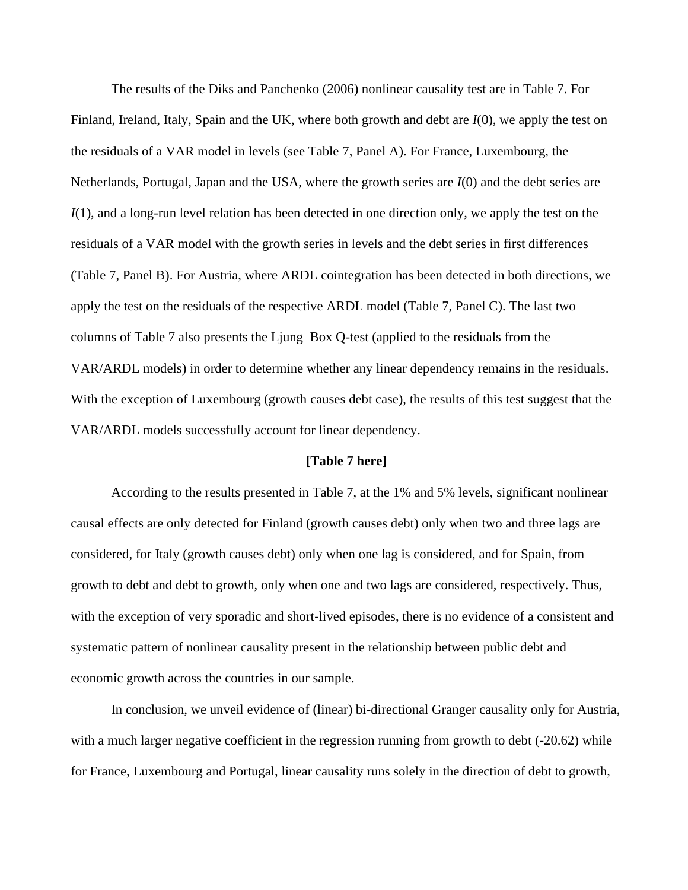The results of the Diks and Panchenko (2006) nonlinear causality test are in Table 7. For Finland, Ireland, Italy, Spain and the UK, where both growth and debt are *I*(0), we apply the test on the residuals of a VAR model in levels (see Table 7, Panel A). For France, Luxembourg, the Netherlands, Portugal, Japan and the USA, where the growth series are *I*(0) and the debt series are *I*(1), and a long-run level relation has been detected in one direction only, we apply the test on the residuals of a VAR model with the growth series in levels and the debt series in first differences (Table 7, Panel B). For Austria, where ARDL cointegration has been detected in both directions, we apply the test on the residuals of the respective ARDL model (Table 7, Panel C). The last two columns of Table 7 also presents the Ljung–Box Q-test (applied to the residuals from the VAR/ARDL models) in order to determine whether any linear dependency remains in the residuals. With the exception of Luxembourg (growth causes debt case), the results of this test suggest that the VAR/ARDL models successfully account for linear dependency.

#### **[Table 7 here]**

According to the results presented in Table 7, at the 1% and 5% levels, significant nonlinear causal effects are only detected for Finland (growth causes debt) only when two and three lags are considered, for Italy (growth causes debt) only when one lag is considered, and for Spain, from growth to debt and debt to growth, only when one and two lags are considered, respectively. Thus, with the exception of very sporadic and short-lived episodes, there is no evidence of a consistent and systematic pattern of nonlinear causality present in the relationship between public debt and economic growth across the countries in our sample.

In conclusion, we unveil evidence of (linear) bi-directional Granger causality only for Austria, with a much larger negative coefficient in the regression running from growth to debt (-20.62) while for France, Luxembourg and Portugal, linear causality runs solely in the direction of debt to growth,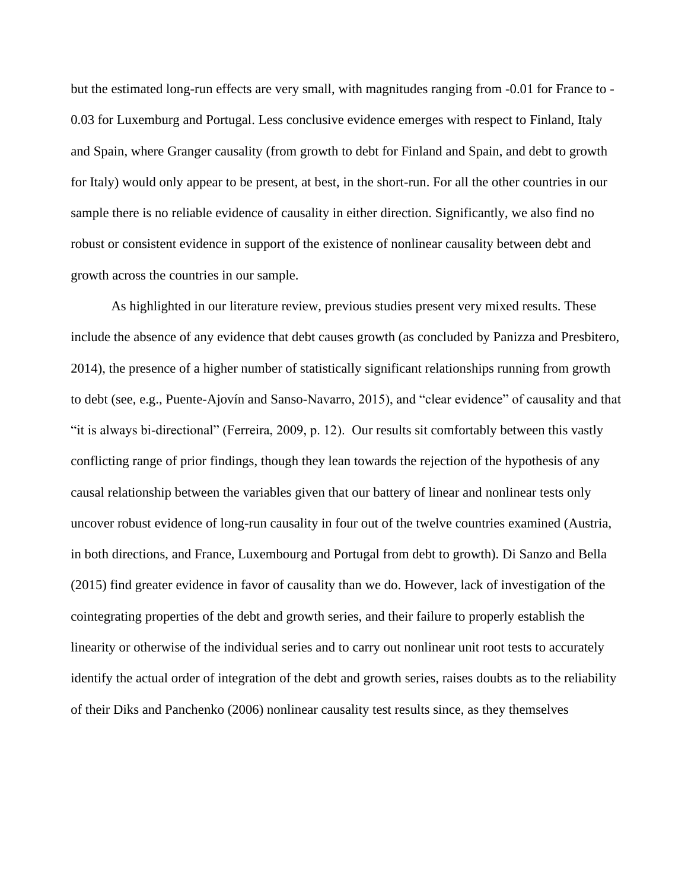but the estimated long-run effects are very small, with magnitudes ranging from -0.01 for France to - 0.03 for Luxemburg and Portugal. Less conclusive evidence emerges with respect to Finland, Italy and Spain, where Granger causality (from growth to debt for Finland and Spain, and debt to growth for Italy) would only appear to be present, at best, in the short-run. For all the other countries in our sample there is no reliable evidence of causality in either direction. Significantly, we also find no robust or consistent evidence in support of the existence of nonlinear causality between debt and growth across the countries in our sample.

As highlighted in our literature review, previous studies present very mixed results. These include the absence of any evidence that debt causes growth (as concluded by Panizza and Presbitero, 2014), the presence of a higher number of statistically significant relationships running from growth to debt (see, e.g., Puente-Ajovín and Sanso-Navarro, 2015), and "clear evidence" of causality and that "it is always bi-directional" (Ferreira, 2009, p. 12). Our results sit comfortably between this vastly conflicting range of prior findings, though they lean towards the rejection of the hypothesis of any causal relationship between the variables given that our battery of linear and nonlinear tests only uncover robust evidence of long-run causality in four out of the twelve countries examined (Austria, in both directions, and France, Luxembourg and Portugal from debt to growth). Di Sanzo and Bella (2015) find greater evidence in favor of causality than we do. However, lack of investigation of the cointegrating properties of the debt and growth series, and their failure to properly establish the linearity or otherwise of the individual series and to carry out nonlinear unit root tests to accurately identify the actual order of integration of the debt and growth series, raises doubts as to the reliability of their Diks and Panchenko (2006) nonlinear causality test results since, as they themselves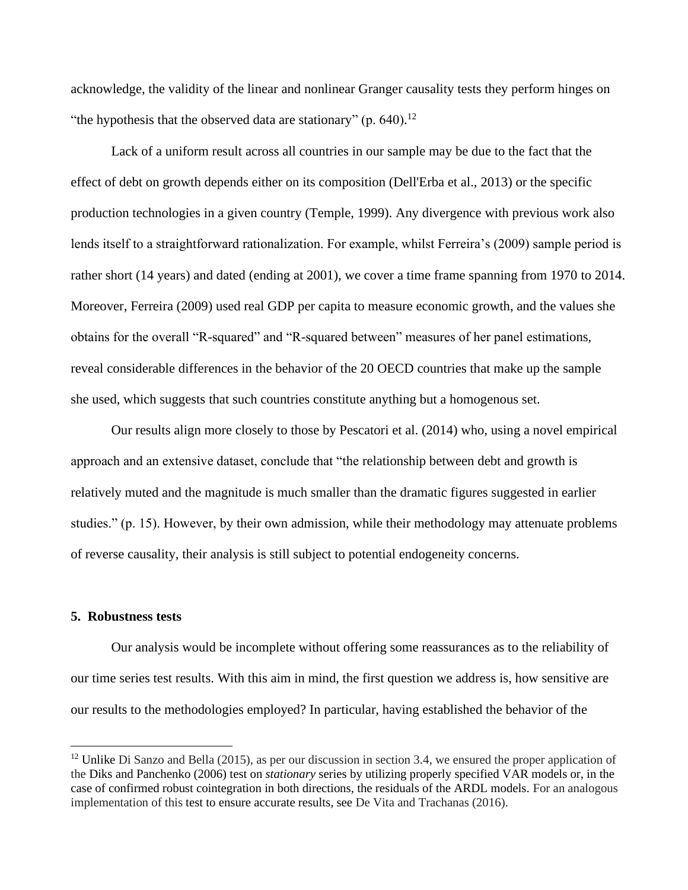acknowledge, the validity of the linear and nonlinear Granger causality tests they perform hinges on "the hypothesis that the observed data are stationary" (p.  $640$ ).<sup>12</sup>

Lack of a uniform result across all countries in our sample may be due to the fact that the effect of debt on growth depends either on its composition (Dell'Erba et al., 2013) or the specific production technologies in a given country (Temple, 1999). Any divergence with previous work also lends itself to a straightforward rationalization. For example, whilst Ferreira's (2009) sample period is rather short (14 years) and dated (ending at 2001), we cover a time frame spanning from 1970 to 2014. Moreover, Ferreira (2009) used real GDP per capita to measure economic growth, and the values she obtains for the overall "R-squared" and "R-squared between" measures of her panel estimations, reveal considerable differences in the behavior of the 20 OECD countries that make up the sample she used, which suggests that such countries constitute anything but a homogenous set.

Our results align more closely to those by Pescatori et al. (2014) who, using a novel empirical approach and an extensive dataset, conclude that "the relationship between debt and growth is relatively muted and the magnitude is much smaller than the dramatic figures suggested in earlier studies." (p. 15). However, by their own admission, while their methodology may attenuate problems of reverse causality, their analysis is still subject to potential endogeneity concerns.

#### **5. Robustness tests**

Our analysis would be incomplete without offering some reassurances as to the reliability of our time series test results. With this aim in mind, the first question we address is, how sensitive are our results to the methodologies employed? In particular, having established the behavior of the

<sup>&</sup>lt;sup>12</sup> Unlike Di Sanzo and Bella (2015), as per our discussion in section 3.4, we ensured the proper application of the Diks and Panchenko (2006) test on *stationary* series by utilizing properly specified VAR models or, in the case of confirmed robust cointegration in both directions, the residuals of the ARDL models. For an analogous implementation of this test to ensure accurate results, see De Vita and Trachanas (2016).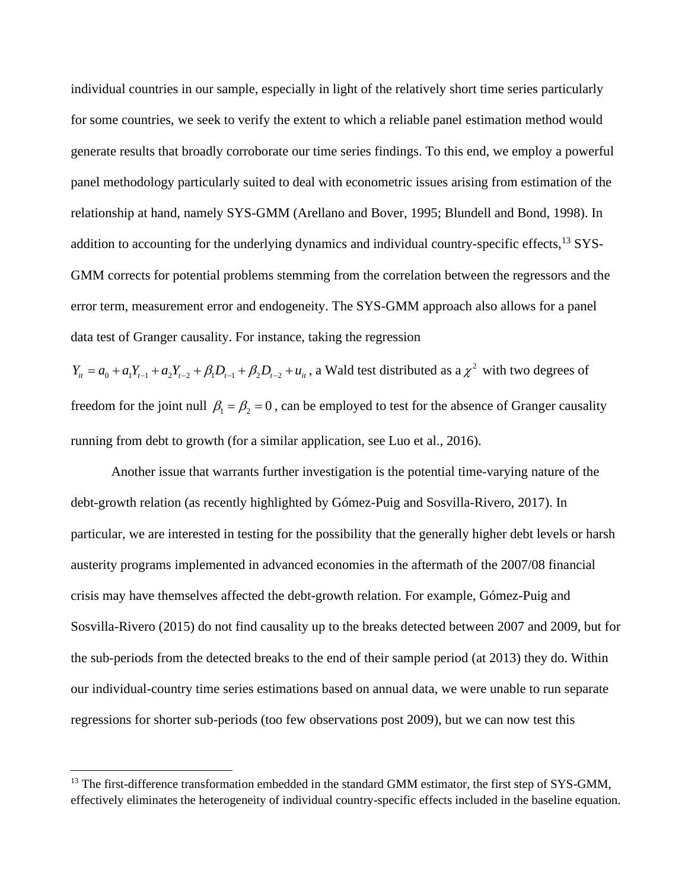individual countries in our sample, especially in light of the relatively short time series particularly for some countries, we seek to verify the extent to which a reliable panel estimation method would generate results that broadly corroborate our time series findings. To this end, we employ a powerful panel methodology particularly suited to deal with econometric issues arising from estimation of the relationship at hand, namely SYS-GMM (Arellano and Bover, 1995; Blundell and Bond, 1998). In addition to accounting for the underlying dynamics and individual country-specific effects,<sup>13</sup> SYS-GMM corrects for potential problems stemming from the correlation between the regressors and the error term, measurement error and endogeneity. The SYS-GMM approach also allows for a panel data test of Granger causality. For instance, taking the regression

 $Y_{it} = a_0 + a_1 Y_{t-1} + a_2 Y_{t-2} + \beta_1 D_{t-1} + \beta_2 D_{t-2} + u_{it}$ , a Wald test distributed as a  $\chi^2$  with two degrees of freedom for the joint null  $\beta_1 = \beta_2 = 0$ , can be employed to test for the absence of Granger causality running from debt to growth (for a similar application, see Luo et al., 2016).

Another issue that warrants further investigation is the potential time-varying nature of the debt-growth relation (as recently highlighted by Gómez-Puig and Sosvilla-Rivero, 2017). In particular, we are interested in testing for the possibility that the generally higher debt levels or harsh austerity programs implemented in advanced economies in the aftermath of the 2007/08 financial crisis may have themselves affected the debt-growth relation. For example, Gómez-Puig and Sosvilla-Rivero (2015) do not find causality up to the breaks detected between 2007 and 2009, but for the sub-periods from the detected breaks to the end of their sample period (at 2013) they do. Within our individual-country time series estimations based on annual data, we were unable to run separate regressions for shorter sub-periods (too few observations post 2009), but we can now test this

<sup>&</sup>lt;sup>13</sup> The first-difference transformation embedded in the standard GMM estimator, the first step of SYS-GMM, effectively eliminates the heterogeneity of individual country-specific effects included in the baseline equation.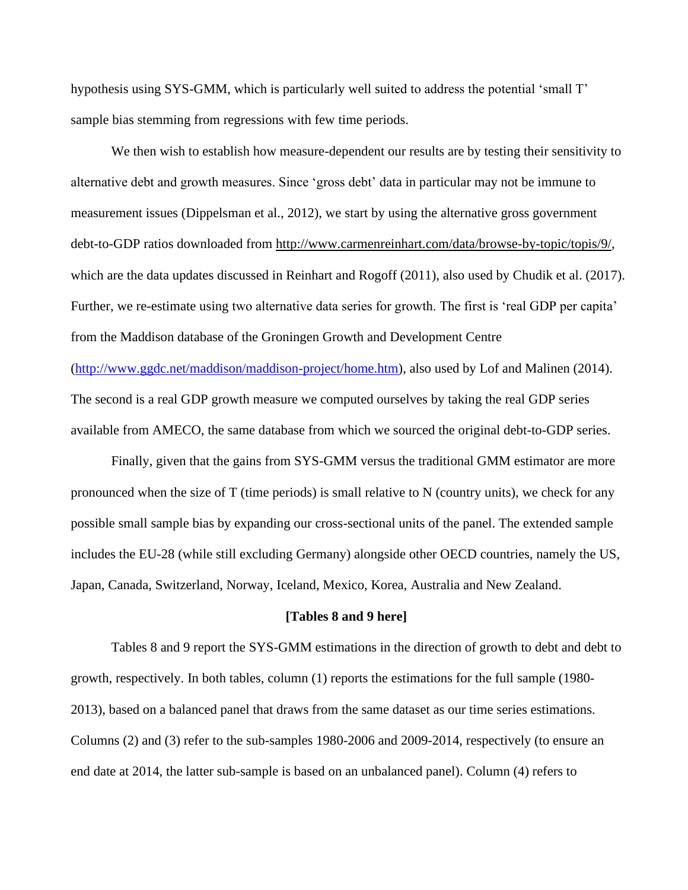hypothesis using SYS-GMM, which is particularly well suited to address the potential 'small T' sample bias stemming from regressions with few time periods.

We then wish to establish how measure-dependent our results are by testing their sensitivity to alternative debt and growth measures. Since 'gross debt' data in particular may not be immune to measurement issues (Dippelsman et al., 2012), we start by using the alternative gross government debt-to-GDP ratios downloaded from [http://www.carmenreinhart.com/data/browse-by-topic/topis/9/,](http://www.carmenreinhart.com/data/browse-by-topic/topis/9/) which are the data updates discussed in Reinhart and Rogoff (2011), also used by Chudik et al. (2017). Further, we re-estimate using two alternative data series for growth. The first is 'real GDP per capita' from the Maddison database of the Groningen Growth and Development Centre

[\(http://www.ggdc.net/maddison/maddison-project/home.htm\)](http://www.ggdc.net/maddison/maddison-project/home.htm), also used by Lof and Malinen (2014). The second is a real GDP growth measure we computed ourselves by taking the real GDP series available from AMECO, the same database from which we sourced the original debt-to-GDP series.

Finally, given that the gains from SYS-GMM versus the traditional GMM estimator are more pronounced when the size of T (time periods) is small relative to N (country units), we check for any possible small sample bias by expanding our cross-sectional units of the panel. The extended sample includes the EU-28 (while still excluding Germany) alongside other OECD countries, namely the US, Japan, Canada, Switzerland, Norway, Iceland, Mexico, Korea, Australia and New Zealand.

#### **[Tables 8 and 9 here]**

Tables 8 and 9 report the SYS-GMM estimations in the direction of growth to debt and debt to growth, respectively. In both tables, column (1) reports the estimations for the full sample (1980- 2013), based on a balanced panel that draws from the same dataset as our time series estimations. Columns (2) and (3) refer to the sub-samples 1980-2006 and 2009-2014, respectively (to ensure an end date at 2014, the latter sub-sample is based on an unbalanced panel). Column (4) refers to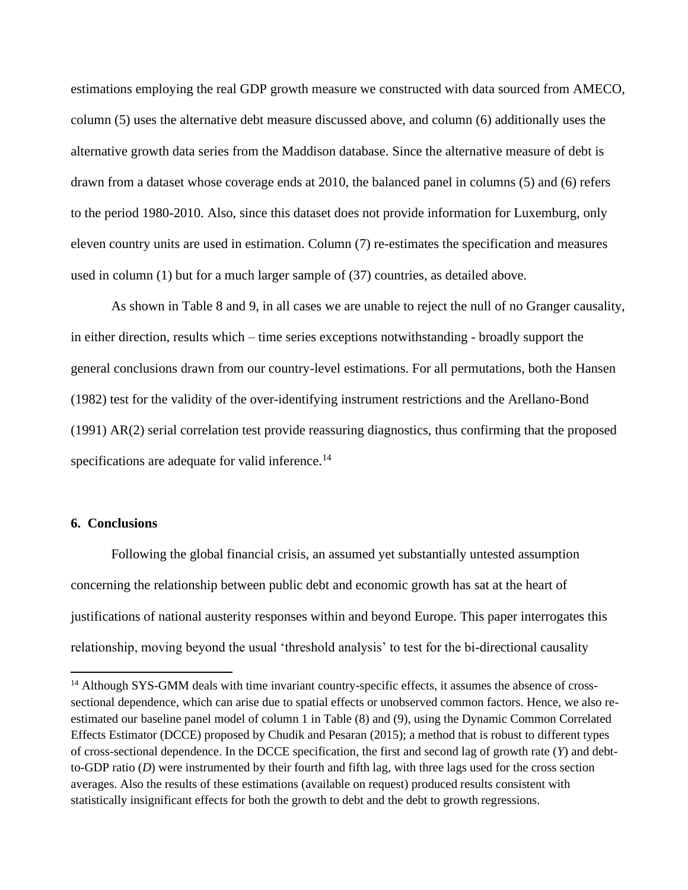estimations employing the real GDP growth measure we constructed with data sourced from AMECO, column (5) uses the alternative debt measure discussed above, and column (6) additionally uses the alternative growth data series from the Maddison database. Since the alternative measure of debt is drawn from a dataset whose coverage ends at 2010, the balanced panel in columns (5) and (6) refers to the period 1980-2010. Also, since this dataset does not provide information for Luxemburg, only eleven country units are used in estimation. Column (7) re-estimates the specification and measures used in column (1) but for a much larger sample of (37) countries, as detailed above.

As shown in Table 8 and 9, in all cases we are unable to reject the null of no Granger causality, in either direction, results which – time series exceptions notwithstanding - broadly support the general conclusions drawn from our country-level estimations. For all permutations, both the Hansen (1982) test for the validity of the over-identifying instrument restrictions and the Arellano-Bond (1991) AR(2) serial correlation test provide reassuring diagnostics, thus confirming that the proposed specifications are adequate for valid inference.<sup>14</sup>

#### **6. Conclusions**

Following the global financial crisis, an assumed yet substantially untested assumption concerning the relationship between public debt and economic growth has sat at the heart of justifications of national austerity responses within and beyond Europe. This paper interrogates this relationship, moving beyond the usual 'threshold analysis' to test for the bi-directional causality

<sup>&</sup>lt;sup>14</sup> Although SYS-GMM deals with time invariant country-specific effects, it assumes the absence of crosssectional dependence, which can arise due to spatial effects or unobserved common factors. Hence, we also reestimated our baseline panel model of column 1 in Table (8) and (9), using the Dynamic Common Correlated Effects Estimator (DCCE) proposed by Chudik and Pesaran (2015); a method that is robust to different types of cross-sectional dependence. In the DCCE specification, the first and second lag of growth rate (*Y*) and debtto-GDP ratio (*D*) were instrumented by their fourth and fifth lag, with three lags used for the cross section averages. Also the results of these estimations (available on request) produced results consistent with statistically insignificant effects for both the growth to debt and the debt to growth regressions.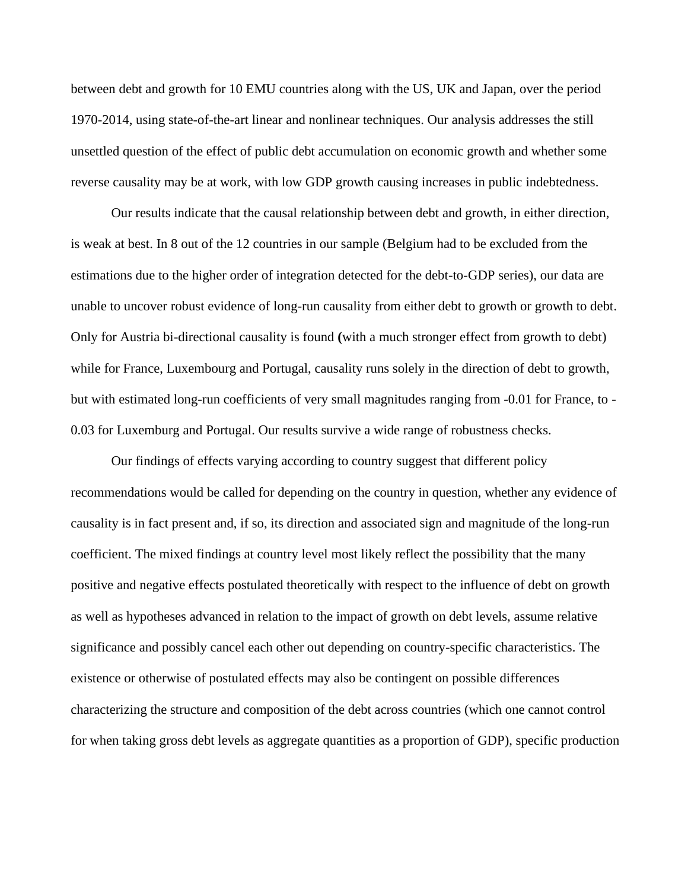between debt and growth for 10 EMU countries along with the US, UK and Japan, over the period 1970-2014, using state-of-the-art linear and nonlinear techniques. Our analysis addresses the still unsettled question of the effect of public debt accumulation on economic growth and whether some reverse causality may be at work, with low GDP growth causing increases in public indebtedness.

Our results indicate that the causal relationship between debt and growth, in either direction, is weak at best. In 8 out of the 12 countries in our sample (Belgium had to be excluded from the estimations due to the higher order of integration detected for the debt-to-GDP series), our data are unable to uncover robust evidence of long-run causality from either debt to growth or growth to debt. Only for Austria bi-directional causality is found **(**with a much stronger effect from growth to debt) while for France, Luxembourg and Portugal, causality runs solely in the direction of debt to growth, but with estimated long-run coefficients of very small magnitudes ranging from -0.01 for France, to - 0.03 for Luxemburg and Portugal. Our results survive a wide range of robustness checks.

Our findings of effects varying according to country suggest that different policy recommendations would be called for depending on the country in question, whether any evidence of causality is in fact present and, if so, its direction and associated sign and magnitude of the long-run coefficient. The mixed findings at country level most likely reflect the possibility that the many positive and negative effects postulated theoretically with respect to the influence of debt on growth as well as hypotheses advanced in relation to the impact of growth on debt levels, assume relative significance and possibly cancel each other out depending on country-specific characteristics. The existence or otherwise of postulated effects may also be contingent on possible differences characterizing the structure and composition of the debt across countries (which one cannot control for when taking gross debt levels as aggregate quantities as a proportion of GDP), specific production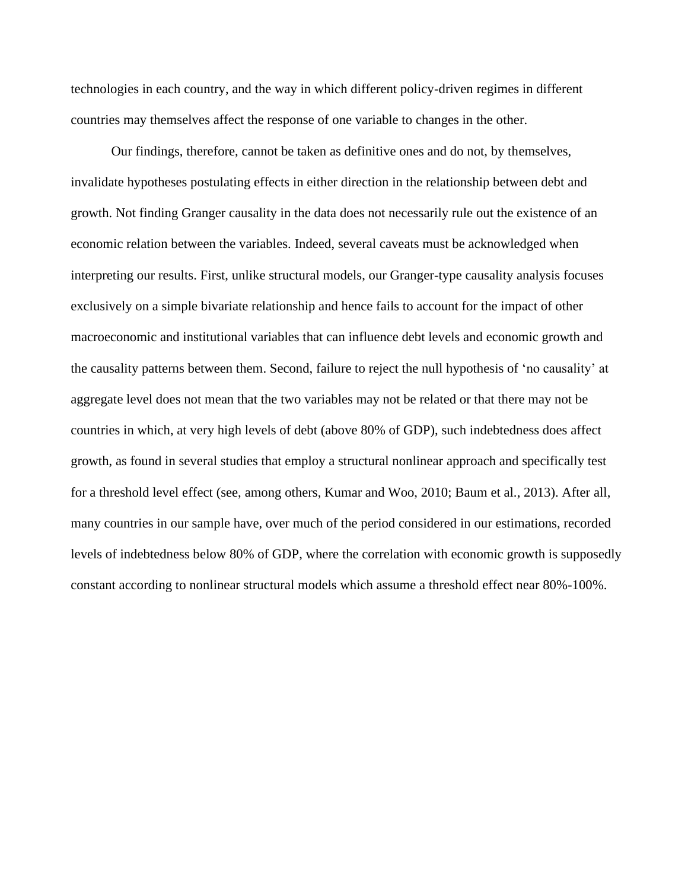technologies in each country, and the way in which different policy-driven regimes in different countries may themselves affect the response of one variable to changes in the other.

Our findings, therefore, cannot be taken as definitive ones and do not, by themselves, invalidate hypotheses postulating effects in either direction in the relationship between debt and growth. Not finding Granger causality in the data does not necessarily rule out the existence of an economic relation between the variables. Indeed, several caveats must be acknowledged when interpreting our results. First, unlike structural models, our Granger-type causality analysis focuses exclusively on a simple bivariate relationship and hence fails to account for the impact of other macroeconomic and institutional variables that can influence debt levels and economic growth and the causality patterns between them. Second, failure to reject the null hypothesis of 'no causality' at aggregate level does not mean that the two variables may not be related or that there may not be countries in which, at very high levels of debt (above 80% of GDP), such indebtedness does affect growth, as found in several studies that employ a structural nonlinear approach and specifically test for a threshold level effect (see, among others, Kumar and Woo, 2010; Baum et al., 2013). After all, many countries in our sample have, over much of the period considered in our estimations, recorded levels of indebtedness below 80% of GDP, where the correlation with economic growth is supposedly constant according to nonlinear structural models which assume a threshold effect near 80%-100%.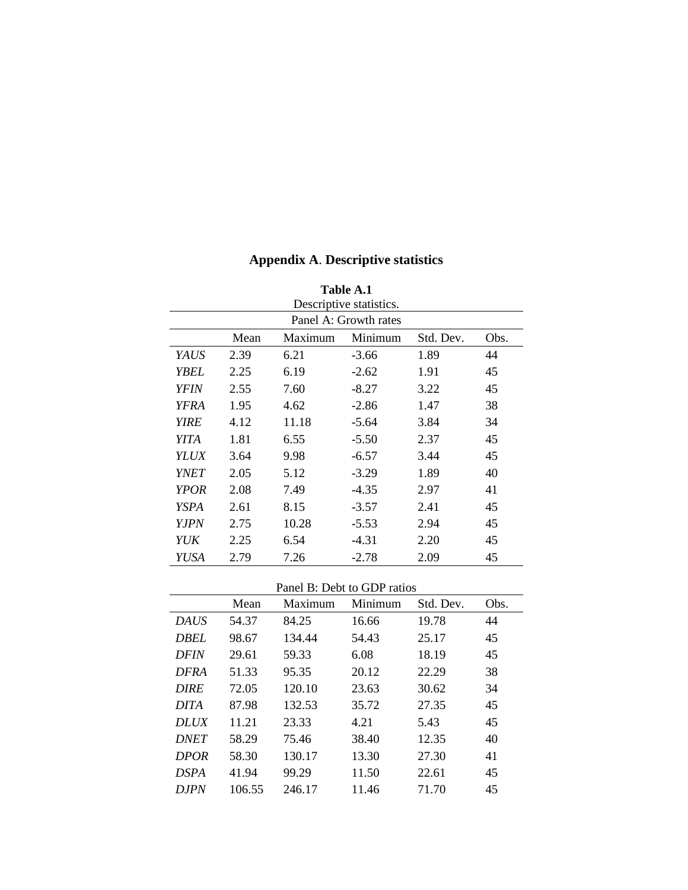| Table A.1   |                         |         |                       |           |      |  |  |  |
|-------------|-------------------------|---------|-----------------------|-----------|------|--|--|--|
|             | Descriptive statistics. |         |                       |           |      |  |  |  |
|             |                         |         | Panel A: Growth rates |           |      |  |  |  |
|             | Mean                    | Maximum | Minimum               | Std. Dev. | Obs. |  |  |  |
| YAUS        | 2.39                    | 6.21    | $-3.66$               | 1.89      | 44   |  |  |  |
| YBEL        | 2.25                    | 6.19    | $-2.62$               | 1.91      | 45   |  |  |  |
| YFIN        | 2.55                    | 7.60    | $-8.27$               | 3.22      | 45   |  |  |  |
| YFRA        | 1.95                    | 4.62    | $-2.86$               | 1.47      | 38   |  |  |  |
| <b>YIRE</b> | 4.12                    | 11.18   | $-5.64$               | 3.84      | 34   |  |  |  |
| YITA        | 1.81                    | 6.55    | $-5.50$               | 2.37      | 45   |  |  |  |
| <b>YLUX</b> | 3.64                    | 9.98    | $-6.57$               | 3.44      | 45   |  |  |  |
| <i>YNET</i> | 2.05                    | 5.12    | $-3.29$               | 1.89      | 40   |  |  |  |
| <b>YPOR</b> | 2.08                    | 7.49    | $-4.35$               | 2.97      | 41   |  |  |  |
| YSPA        | 2.61                    | 8.15    | $-3.57$               | 2.41      | 45   |  |  |  |
| <b>YJPN</b> | 2.75                    | 10.28   | $-5.53$               | 2.94      | 45   |  |  |  |
| YUK         | 2.25                    | 6.54    | $-4.31$               | 2.20      | 45   |  |  |  |
| YUSA        | 2.79                    | 7.26    | $-2.78$               | 2.09      | 45   |  |  |  |

### **Appendix A**. **Descriptive statistics**

#### Panel B: Debt to GDP ratios

|             | Mean   | Maximum | Minimum | Std. Dev. | Obs. |
|-------------|--------|---------|---------|-----------|------|
| <b>DAUS</b> | 54.37  | 84.25   | 16.66   | 19.78     | 44   |
| <b>DBEL</b> | 98.67  | 134.44  | 54.43   | 25.17     | 45   |
| <b>DFIN</b> | 29.61  | 59.33   | 6.08    | 18.19     | 45   |
| <b>DFRA</b> | 51.33  | 95.35   | 20.12   | 22.29     | 38   |
| <b>DIRE</b> | 72.05  | 120.10  | 23.63   | 30.62     | 34   |
| <b>DITA</b> | 87.98  | 132.53  | 35.72   | 27.35     | 45   |
| <b>DLUX</b> | 11.21  | 23.33   | 4.21    | 5.43      | 45   |
| <b>DNET</b> | 58.29  | 75.46   | 38.40   | 12.35     | 40   |
| <b>DPOR</b> | 58.30  | 130.17  | 13.30   | 27.30     | 41   |
| <b>DSPA</b> | 41.94  | 99.29   | 11.50   | 22.61     | 45   |
| D.IPN       | 106.55 | 246.17  | 11.46   | 71.70     | 45   |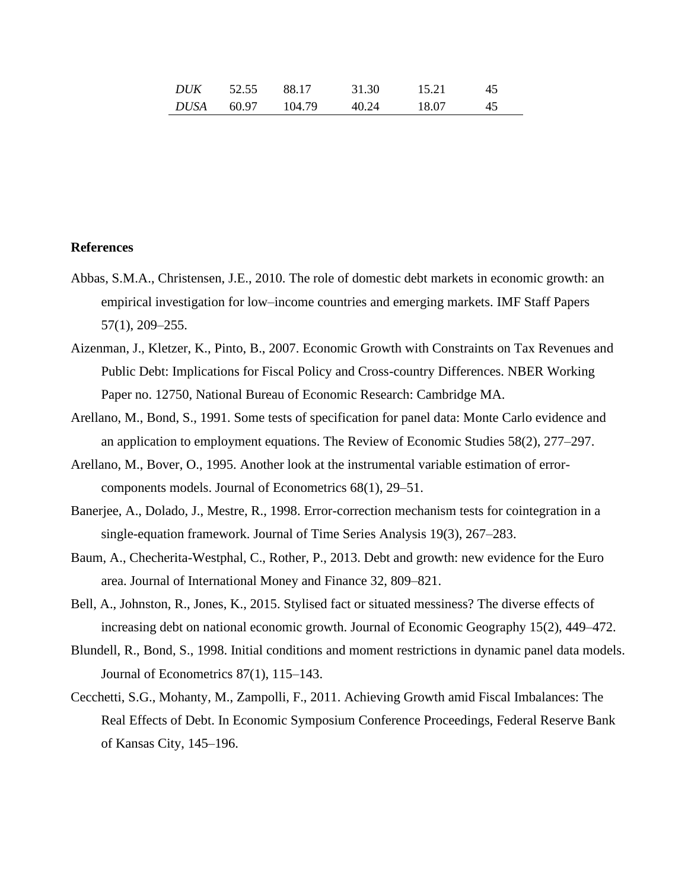| DUK  | 52.55 | 88.17  | 31.30 | 15.21 | 45 |
|------|-------|--------|-------|-------|----|
| DUSA | 60.97 | 104.79 | 40.24 | 18.07 | 45 |

#### **References**

- Abbas, S.M.A., Christensen, J.E., 2010. The role of domestic debt markets in economic growth: an empirical investigation for low–income countries and emerging markets. IMF Staff Papers 57(1), 209–255.
- Aizenman, J., Kletzer, K., Pinto, B., 2007. Economic Growth with Constraints on Tax Revenues and Public Debt: Implications for Fiscal Policy and Cross-country Differences. NBER Working Paper no. 12750, National Bureau of Economic Research: Cambridge MA.
- Arellano, M., Bond, S., 1991. Some tests of specification for panel data: Monte Carlo evidence and an application to employment equations. The Review of Economic Studies 58(2), 277–297.
- Arellano, M., Bover, O., 1995. Another look at the instrumental variable estimation of errorcomponents models. Journal of Econometrics 68(1), 29–51.
- Banerjee, A., Dolado, J., Mestre, R., 1998. Error-correction mechanism tests for cointegration in a single-equation framework. Journal of Time Series Analysis 19(3), 267–283.
- Baum, A., Checherita-Westphal, C., Rother, P., 2013. Debt and growth: new evidence for the Euro area. Journal of International Money and Finance 32, 809–821.
- Bell, A., Johnston, R., Jones, K., 2015. Stylised fact or situated messiness? The diverse effects of increasing debt on national economic growth. Journal of Economic Geography 15(2), 449–472.
- Blundell, R., Bond, S., 1998. Initial conditions and moment restrictions in dynamic panel data models. Journal of Econometrics 87(1), 115–143.
- Cecchetti, S.G., Mohanty, M., Zampolli, F., 2011. Achieving Growth amid Fiscal Imbalances: The Real Effects of Debt. In Economic Symposium Conference Proceedings, Federal Reserve Bank of Kansas City, 145–196.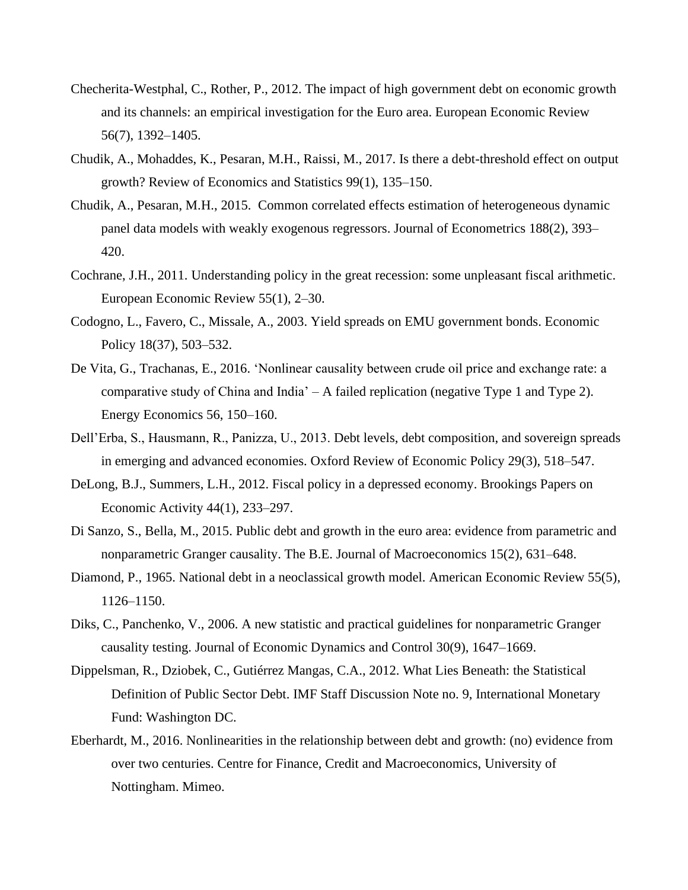- Checherita-Westphal, C., Rother, P., 2012. The impact of high government debt on economic growth and its channels: an empirical investigation for the Euro area. European Economic Review 56(7), 1392–1405.
- Chudik, A., Mohaddes, K., Pesaran, M.H., Raissi, M., 2017. Is there a debt-threshold effect on output growth? Review of Economics and Statistics 99(1), 135–150.
- Chudik, A., Pesaran, M.H., 2015. Common correlated effects estimation of heterogeneous dynamic panel data models with weakly exogenous regressors. Journal of Econometrics 188(2), 393– 420.
- Cochrane, J.H., 2011. Understanding policy in the great recession: some unpleasant fiscal arithmetic. European Economic Review 55(1), 2–30.
- Codogno, L., Favero, C., Missale, A., 2003. Yield spreads on EMU government bonds. Economic Policy 18(37), 503–532.
- De Vita, G., Trachanas, E., 2016. 'Nonlinear causality between crude oil price and exchange rate: a comparative study of China and India' – A failed replication (negative Type 1 and Type 2). Energy Economics 56, 150–160.
- Dell'Erba, S., Hausmann, R., Panizza, U., 2013. Debt levels, debt composition, and sovereign spreads in emerging and advanced economies. Oxford Review of Economic Policy 29(3), 518–547.
- DeLong, B.J., Summers, L.H., 2012. Fiscal policy in a depressed economy. Brookings Papers on Economic Activity 44(1), 233–297.
- Di Sanzo, S., Bella, M., 2015. Public debt and growth in the euro area: evidence from parametric and nonparametric Granger causality. The B.E. Journal of Macroeconomics 15(2), 631–648.
- Diamond, P., 1965. National debt in a neoclassical growth model. American Economic Review 55(5), 1126–1150.
- Diks, C., Panchenko, V., 2006. A new statistic and practical guidelines for nonparametric Granger causality testing. Journal of Economic Dynamics and Control 30(9), 1647–1669.
- Dippelsman, R., Dziobek, C., Gutiérrez Mangas, C.A., 2012. What Lies Beneath: the Statistical Definition of Public Sector Debt. IMF Staff Discussion Note no. 9, International Monetary Fund: Washington DC.
- Eberhardt, M., 2016. Nonlinearities in the relationship between debt and growth: (no) evidence from over two centuries. Centre for Finance, Credit and Macroeconomics, University of Nottingham. Mimeo.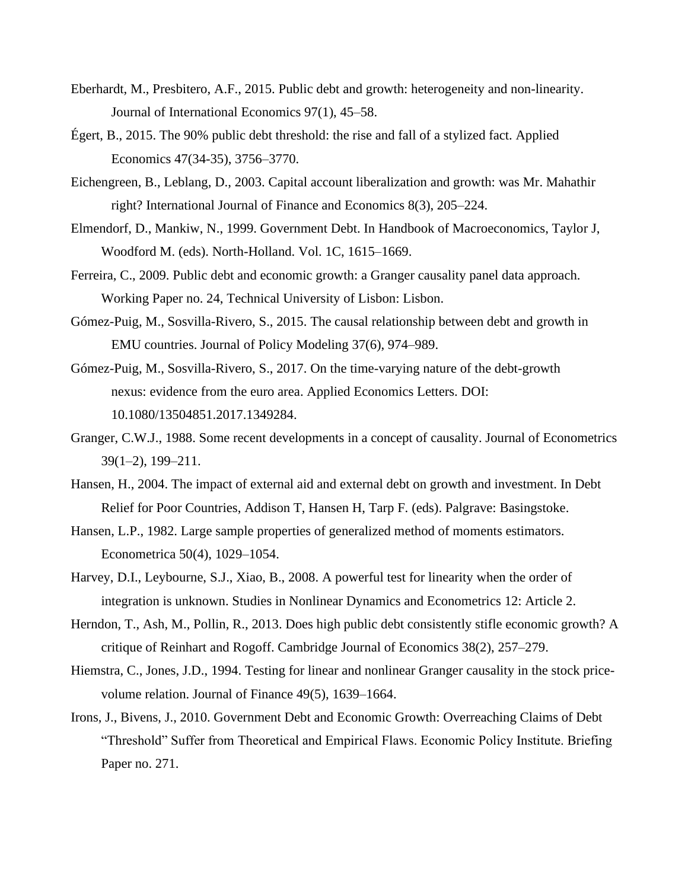- Eberhardt, M., Presbitero, A.F., 2015. Public debt and growth: heterogeneity and non-linearity. Journal of International Economics 97(1), 45–58.
- Égert, B., 2015. The 90% public debt threshold: the rise and fall of a stylized fact. Applied Economics 47(34-35), 3756–3770.
- Eichengreen, B., Leblang, D., 2003. Capital account liberalization and growth: was Mr. Mahathir right? International Journal of Finance and Economics 8(3), 205–224.
- Elmendorf, D., Mankiw, N., 1999. Government Debt. In Handbook of Macroeconomics, Taylor J, Woodford M. (eds). North-Holland. Vol. 1C, 1615–1669.
- Ferreira, C., 2009. Public debt and economic growth: a Granger causality panel data approach. Working Paper no. 24, Technical University of Lisbon: Lisbon.
- Gómez-Puig, M., Sosvilla-Rivero, S., 2015. The causal relationship between debt and growth in EMU countries. Journal of Policy Modeling 37(6), 974–989.
- Gómez-Puig, M., Sosvilla-Rivero, S., 2017. On the time-varying nature of the debt-growth nexus: evidence from the euro area. Applied Economics Letters. DOI: 10.1080/13504851.2017.1349284.
- Granger, C.W.J., 1988. Some recent developments in a concept of causality. Journal of Econometrics 39(1–2), 199–211.
- Hansen, H., 2004. The impact of external aid and external debt on growth and investment. In Debt Relief for Poor Countries, Addison T, Hansen H, Tarp F. (eds). Palgrave: Basingstoke.
- Hansen, L.P., 1982. Large sample properties of generalized method of moments estimators. Econometrica 50(4), 1029–1054.
- Harvey, D.I., Leybourne, S.J., Xiao, B., 2008. A powerful test for linearity when the order of integration is unknown. Studies in Nonlinear Dynamics and Econometrics 12: Article 2.
- Herndon, T., Ash, M., Pollin, R., 2013. Does high public debt consistently stifle economic growth? A critique of Reinhart and Rogoff. Cambridge Journal of Economics 38(2), 257–279.
- Hiemstra, C., Jones, J.D., 1994. Testing for linear and nonlinear Granger causality in the stock pricevolume relation. Journal of Finance 49(5), 1639–1664.
- Irons, J., Bivens, J., 2010. Government Debt and Economic Growth: Overreaching Claims of Debt "Threshold" Suffer from Theoretical and Empirical Flaws. Economic Policy Institute. Briefing Paper no. 271.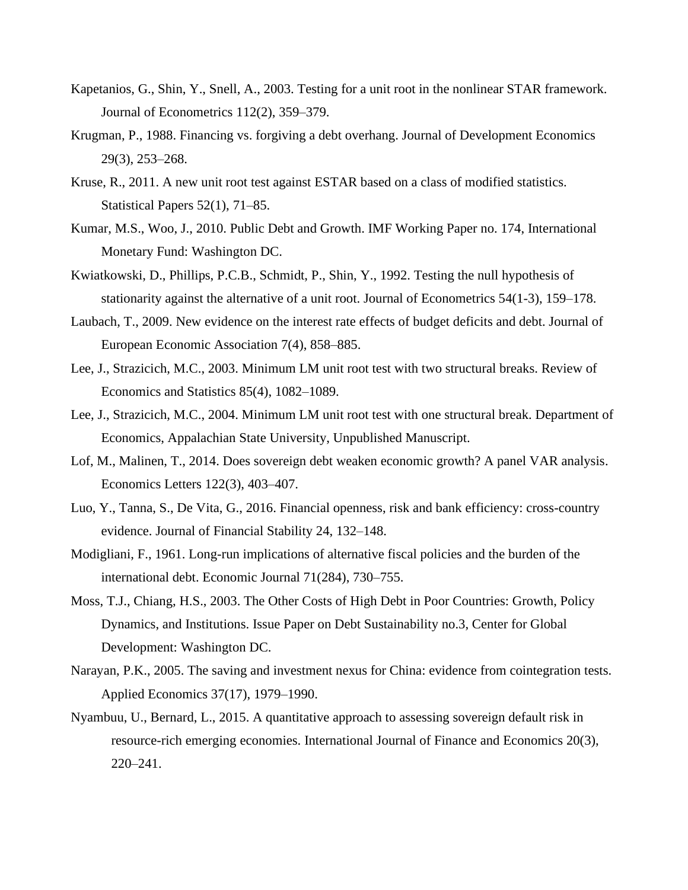- Kapetanios, G., Shin, Y., Snell, A., 2003. Testing for a unit root in the nonlinear STAR framework. Journal of Econometrics 112(2), 359–379.
- Krugman, P., 1988. Financing vs. forgiving a debt overhang. Journal of Development Economics 29(3), 253–268.
- Kruse, R., 2011. A new unit root test against ESTAR based on a class of modified statistics. Statistical Papers 52(1), 71–85.
- Kumar, M.S., Woo, J., 2010. Public Debt and Growth. IMF Working Paper no. 174, International Monetary Fund: Washington DC.
- Kwiatkowski, D., Phillips, P.C.B., Schmidt, P., Shin, Y., 1992. Testing the null hypothesis of stationarity against the alternative of a unit root. Journal of Econometrics 54(1-3), 159–178.
- Laubach, T., 2009. New evidence on the interest rate effects of budget deficits and debt. Journal of European Economic Association 7(4), 858–885.
- Lee, J., Strazicich, M.C., 2003. Minimum LM unit root test with two structural breaks. Review of Economics and Statistics 85(4), 1082–1089.
- Lee, J., Strazicich, M.C., 2004. Minimum LM unit root test with one structural break. Department of Economics, Appalachian State University, Unpublished Manuscript.
- Lof, M., Malinen, T., 2014. Does sovereign debt weaken economic growth? A panel VAR analysis. Economics Letters 122(3), 403–407.
- Luo, Y., Tanna, S., De Vita, G., 2016. Financial openness, risk and bank efficiency: cross-country evidence. Journal of Financial Stability 24, 132–148.
- Modigliani, F., 1961. Long-run implications of alternative fiscal policies and the burden of the international debt. Economic Journal 71(284), 730–755.
- Moss, T.J., Chiang, H.S., 2003. The Other Costs of High Debt in Poor Countries: Growth, Policy Dynamics, and Institutions. Issue Paper on Debt Sustainability no.3, Center for Global Development: Washington DC.
- Narayan, P.K., 2005. The saving and investment nexus for China: evidence from cointegration tests. Applied Economics 37(17), 1979–1990.
- Nyambuu, U., Bernard, L., 2015. A quantitative approach to assessing sovereign default risk in resource-rich emerging economies. International Journal of Finance and Economics 20(3), 220–241.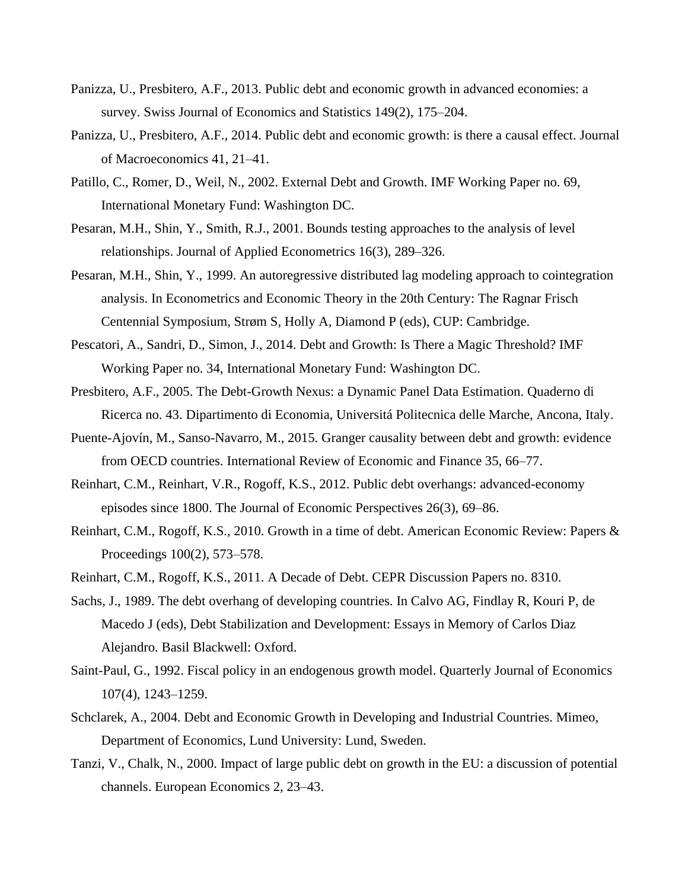- Panizza, U., Presbitero, A.F., 2013. Public debt and economic growth in advanced economies: a survey. Swiss Journal of Economics and Statistics 149(2), 175–204.
- Panizza, U., Presbitero, A.F., 2014. Public debt and economic growth: is there a causal effect. Journal of Macroeconomics 41, 21–41.
- Patillo, C., Romer, D., Weil, N., 2002. External Debt and Growth. IMF Working Paper no. 69, International Monetary Fund: Washington DC.
- Pesaran, M.H., Shin, Y., Smith, R.J., 2001. Bounds testing approaches to the analysis of level relationships. Journal of Applied Econometrics 16(3), 289–326.
- Pesaran, M.H., Shin, Y., 1999. An autoregressive distributed lag modeling approach to cointegration analysis. In Econometrics and Economic Theory in the 20th Century: The Ragnar Frisch Centennial Symposium, Strøm S, Holly A, Diamond P (eds), CUP: Cambridge.
- Pescatori, A., Sandri, D., Simon, J., 2014. Debt and Growth: Is There a Magic Threshold? IMF Working Paper no. 34, International Monetary Fund: Washington DC.
- Presbitero, A.F., 2005. The Debt-Growth Nexus: a Dynamic Panel Data Estimation. Quaderno di Ricerca no. 43. Dipartimento di Economia, Universitá Politecnica delle Marche, Ancona, Italy.
- Puente-Ajovín, M., Sanso-Navarro, M., 2015. Granger causality between debt and growth: evidence from OECD countries. International Review of Economic and Finance 35, 66–77.
- Reinhart, C.M., Reinhart, V.R., Rogoff, K.S., 2012. Public debt overhangs: advanced-economy episodes since 1800. The Journal of Economic Perspectives 26(3), 69–86.
- Reinhart, C.M., Rogoff, K.S., 2010. Growth in a time of debt. American Economic Review: Papers & Proceedings 100(2), 573–578.
- Reinhart, C.M., Rogoff, K.S., 2011. A Decade of Debt. CEPR Discussion Papers no. 8310.
- Sachs, J., 1989. The debt overhang of developing countries. In Calvo AG, Findlay R, Kouri P, de Macedo J (eds), Debt Stabilization and Development: Essays in Memory of Carlos Diaz Alejandro. Basil Blackwell: Oxford.
- Saint-Paul, G., 1992. Fiscal policy in an endogenous growth model. Quarterly Journal of Economics 107(4), 1243–1259.
- Schclarek, A., 2004. Debt and Economic Growth in Developing and Industrial Countries. Mimeo, Department of Economics, Lund University: Lund, Sweden.
- Tanzi, V., Chalk, N., 2000. Impact of large public debt on growth in the EU: a discussion of potential channels. European Economics 2, 23–43.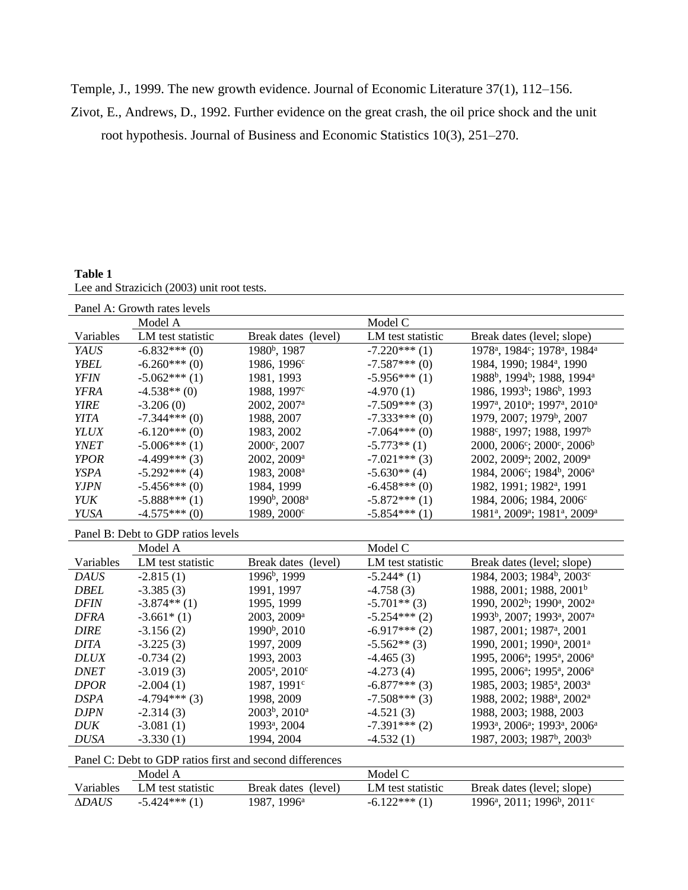Temple, J., 1999. The new growth evidence. Journal of Economic Literature 37(1), 112–156.

Zivot, E., Andrews, D., 1992. Further evidence on the great crash, the oil price shock and the unit

root hypothesis. Journal of Business and Economic Statistics 10(3), 251–270.

#### **Table 1**

|--|

| Panel A: Growth rates levels |                   |                                       |                   |                                                                               |
|------------------------------|-------------------|---------------------------------------|-------------------|-------------------------------------------------------------------------------|
|                              | Model A           |                                       | Model C           |                                                                               |
| Variables                    | LM test statistic | Break dates (level)                   | LM test statistic | Break dates (level; slope)                                                    |
| <b>YAUS</b>                  | $-6.832***(0)$    | 1980 <sup>b</sup> , 1987              | $-7.220***(1)$    | 1978 <sup>a</sup> , 1984 <sup>c</sup> ; 1978 <sup>a</sup> , 1984 <sup>a</sup> |
| <b>YBEL</b>                  | $-6.260***(0)$    | 1986, 1996 <sup>c</sup>               | $-7.587***(0)$    | 1984, 1990; 1984 <sup>a</sup> , 1990                                          |
| <b>YFIN</b>                  | $-5.062***(1)$    | 1981, 1993                            | $-5.956***(1)$    | 1988 <sup>b</sup> , 1994 <sup>b</sup> ; 1988, 1994 <sup>a</sup>               |
| <b>YFRA</b>                  | $-4.538**$ (0)    | 1988, 1997 <sup>c</sup>               | $-4.970(1)$       | 1986, 1993 <sup>b</sup> ; 1986 <sup>b</sup> , 1993                            |
| <b>YIRE</b>                  | $-3.206(0)$       | 2002, 2007 <sup>a</sup>               | $-7.509***(3)$    | 1997 <sup>a</sup> , 2010 <sup>a</sup> ; 1997 <sup>a</sup> , 2010 <sup>a</sup> |
| <b>YITA</b>                  | $-7.344***(0)$    | 1988, 2007                            | $-7.333***(0)$    | 1979, 2007; 1979 <sup>b</sup> , 2007                                          |
| <b>YLUX</b>                  | $-6.120***(0)$    | 1983, 2002                            | $-7.064***(0)$    | 1988°, 1997; 1988, 1997 <sup>b</sup>                                          |
| <b>YNET</b>                  | $-5.006***(1)$    | $2000^{\circ}, 2007$                  | $-5.773**$ (1)    | $2000, 2006^{\circ}; 2000^{\circ}, 2006^{\circ}$                              |
| <b>YPOR</b>                  | $-4.499***(3)$    | 2002, 2009 <sup>a</sup>               | $-7.021***(3)$    | 2002, 2009 <sup>a</sup> ; 2002, 2009 <sup>a</sup>                             |
| <b>YSPA</b>                  | $-5.292***(4)$    | 1983, 2008 <sup>a</sup>               | $-5.630**$ (4)    | 1984, 2006 <sup>c</sup> ; 1984 <sup>b</sup> , 2006 <sup>a</sup>               |
| <b>YJPN</b>                  | $-5.456***(0)$    | 1984, 1999                            | $-6.458***(0)$    | 1982, 1991; 1982 <sup>a</sup> , 1991                                          |
| <b>YUK</b>                   | $-5.888***(1)$    | 1990 <sup>b</sup> , 2008 <sup>a</sup> | $-5.872***(1)$    | 1984, 2006; 1984, 2006 <sup>c</sup>                                           |
| <b>YUSA</b>                  | $-4.575***(0)$    | 1989, 2000 <sup>c</sup>               | $-5.854***(1)$    | 1981 <sup>a</sup> , 2009 <sup>a</sup> ; 1981 <sup>a</sup> , 2009 <sup>a</sup> |
|                              |                   |                                       |                   |                                                                               |

#### Panel B: Debt to GDP ratios levels

|             | Model A           |                                       | Model C           |                                                                               |
|-------------|-------------------|---------------------------------------|-------------------|-------------------------------------------------------------------------------|
| Variables   | LM test statistic | Break dates (level)                   | LM test statistic | Break dates (level; slope)                                                    |
| <b>DAUS</b> | $-2.815(1)$       | 1996 <sup>b</sup> , 1999              | $-5.244*(1)$      | 1984, 2003; 1984 <sup>b</sup> , 2003 <sup>c</sup>                             |
| <b>DBEL</b> | $-3.385(3)$       | 1991, 1997                            | $-4.758(3)$       | 1988, 2001; 1988, 2001 <sup>b</sup>                                           |
| <b>DFIN</b> | $-3.874**$ (1)    | 1995, 1999                            | $-5.701**$ (3)    | 1990, 2002 <sup>b</sup> ; 1990 <sup>a</sup> , 2002 <sup>a</sup>               |
| <b>DFRA</b> | $-3.661*(1)$      | 2003, 2009 <sup>a</sup>               | $-5.254***(2)$    | 1993 <sup>b</sup> , 2007; 1993 <sup>a</sup> , 2007 <sup>a</sup>               |
| <b>DIRE</b> | $-3.156(2)$       | 1990 <sup>b</sup> , 2010              | $-6.917***(2)$    | 1987, 2001; 1987 <sup>a</sup> , 2001                                          |
| <b>DITA</b> | $-3.225(3)$       | 1997, 2009                            | $-5.562**$ (3)    | 1990, 2001; 1990 <sup>a</sup> , 2001 <sup>a</sup>                             |
| <b>DLUX</b> | $-0.734(2)$       | 1993, 2003                            | $-4.465(3)$       | 1995, 2006 <sup>a</sup> ; 1995 <sup>a</sup> , 2006 <sup>a</sup>               |
| <b>DNET</b> | $-3.019(3)$       | $2005^{\circ}, 2010^{\circ}$          | $-4.273(4)$       | 1995, 2006 <sup>a</sup> ; 1995 <sup>a</sup> , 2006 <sup>a</sup>               |
| <b>DPOR</b> | $-2.004(1)$       | 1987, 1991 <sup>c</sup>               | $-6.877***(3)$    | 1985, 2003; 1985 <sup>a</sup> , 2003 <sup>a</sup>                             |
| <b>DSPA</b> | $-4.794***(3)$    | 1998, 2009                            | $-7.508***(3)$    | 1988, 2002; 1988 <sup>a</sup> , 2002 <sup>a</sup>                             |
| <b>DJPN</b> | $-2.314(3)$       | 2003 <sup>b</sup> , 2010 <sup>a</sup> | $-4.521(3)$       | 1988, 2003; 1988, 2003                                                        |
| <b>DUK</b>  | $-3.081(1)$       | 1993 <sup>a</sup> , 2004              | $-7.391***(2)$    | 1993 <sup>a</sup> , 2006 <sup>a</sup> ; 1993 <sup>a</sup> , 2006 <sup>a</sup> |
| <b>DUSA</b> | $-3.330(1)$       | 1994, 2004                            | $-4.532(1)$       | 1987, 2003; 1987 <sup>b</sup> , 2003 <sup>b</sup>                             |

|--|

|                     | Model A           |                     | Model C           |                                                                 |
|---------------------|-------------------|---------------------|-------------------|-----------------------------------------------------------------|
| Variables           | LM test statistic | Break dates (level) | LM test statistic | Break dates (level; slope)                                      |
| <i><b>ADAUS</b></i> | $-5.424***(1)$    | 1987. 1996ª         | $-6.122***(1)$    | 1996 <sup>a</sup> , 2011; 1996 <sup>b</sup> , 2011 <sup>c</sup> |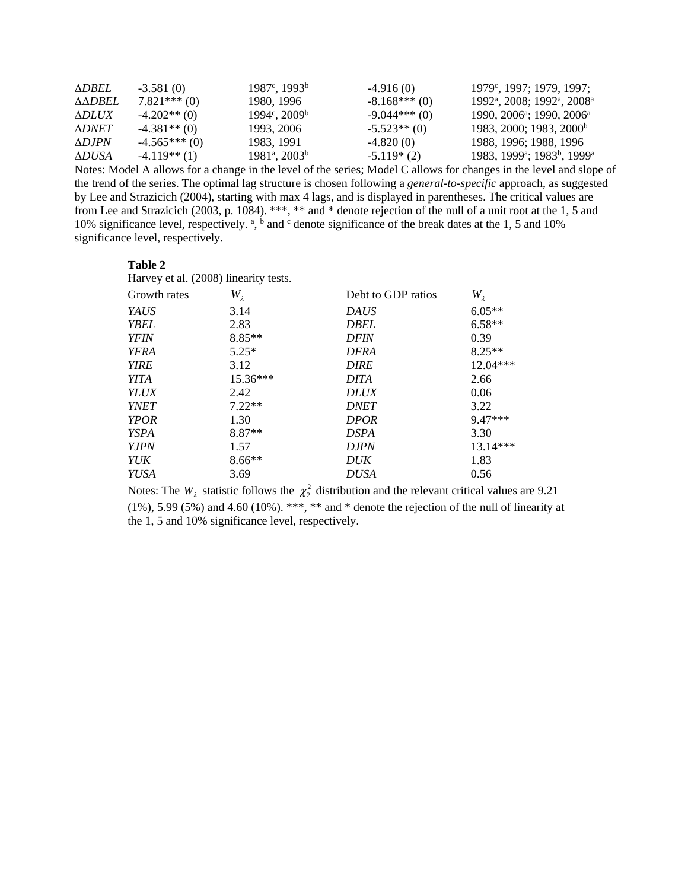| <b>ADBEL</b>  | $-3.581(0)$    | $1987^{\circ}, 1993^{\circ}$    | $-4.916(0)$    | $1979^{\circ}, 1997; 1979, 1997;$                               |
|---------------|----------------|---------------------------------|----------------|-----------------------------------------------------------------|
| AADBEL        | $7.821***$ (0) | 1980, 1996                      | $-8.168***(0)$ | 1992 <sup>a</sup> , 2008; 1992 <sup>a</sup> , 2008 <sup>a</sup> |
| <b>ADLUX</b>  | $-4.202**$ (0) | $1994^{\circ}$ , $2009^{\circ}$ | $-9.044***(0)$ | 1990, 2006 <sup>a</sup> ; 1990, 2006 <sup>a</sup>               |
| <b>ADNET</b>  | $-4.381**$ (0) | 1993. 2006                      | $-5.523**$ (0) | 1983, 2000; 1983, 2000 <sup>b</sup>                             |
| $\Delta$ DJPN | $-4.565***(0)$ | 1983. 1991                      | $-4.820(0)$    | 1988, 1996; 1988, 1996                                          |
| ΔDUSA         | $-4.119**$ (1) | $1981^{\circ}, 2003^{\circ}$    | $-5.119*(2)$   | 1983, 1999 <sup>a</sup> ; 1983 <sup>b</sup> , 1999 <sup>a</sup> |

Notes: Model A allows for a change in the level of the series; Model C allows for changes in the level and slope of the trend of the series. The optimal lag structure is chosen following a *general-to-specific* approach, as suggested by Lee and Strazicich (2004), starting with max 4 lags, and is displayed in parentheses. The critical values are from Lee and Strazicich (2003, p. 1084). \*\*\*, \*\* and \* denote rejection of the null of a unit root at the 1, 5 and 10% significance level, respectively. <sup>a</sup>, <sup>b</sup> and <sup>c</sup> denote significance of the break dates at the 1, 5 and 10% significance level, respectively.

| Table 2                               |               |                    |               |
|---------------------------------------|---------------|--------------------|---------------|
| Harvey et al. (2008) linearity tests. |               |                    |               |
| Growth rates                          | $W_{\lambda}$ | Debt to GDP ratios | $W_{\lambda}$ |
| <b>YAUS</b>                           | 3.14          | <b>DAUS</b>        | $6.05**$      |
| <b>YBEL</b>                           | 2.83          | <b>DBEL</b>        | $6.58**$      |
| <b>YFIN</b>                           | $8.85**$      | <b>DFIN</b>        | 0.39          |
| <b>YFRA</b>                           | $5.25*$       | <b>DFRA</b>        | $8.25**$      |
| <b>YIRE</b>                           | 3.12          | <b>DIRE</b>        | 12.04***      |
| <i>YITA</i>                           | $15.36***$    | <b>DITA</b>        | 2.66          |
| <b>YLUX</b>                           | 2.42          | <b>DLUX</b>        | 0.06          |
| <b>YNET</b>                           | $7.22**$      | <b>DNET</b>        | 3.22          |
| <b>YPOR</b>                           | 1.30          | <b>DPOR</b>        | $9.47***$     |
| <b>YSPA</b>                           | $8.87**$      | <b>DSPA</b>        | 3.30          |
| <i>Y.IPN</i>                          | 1.57          | <b>DJPN</b>        | 13.14***      |
| YUK                                   | $8.66**$      | DUK                | 1.83          |
| YUSA                                  | 3.69          | DUSA               | 0.56          |

Notes: The  $W_{\lambda}$  statistic follows the  $\chi^2$  distribution and the relevant critical values are 9.21 (1%), 5.99 (5%) and 4.60 (10%). \*\*\*, \*\* and \* denote the rejection of the null of linearity at the 1, 5 and 10% significance level, respectively.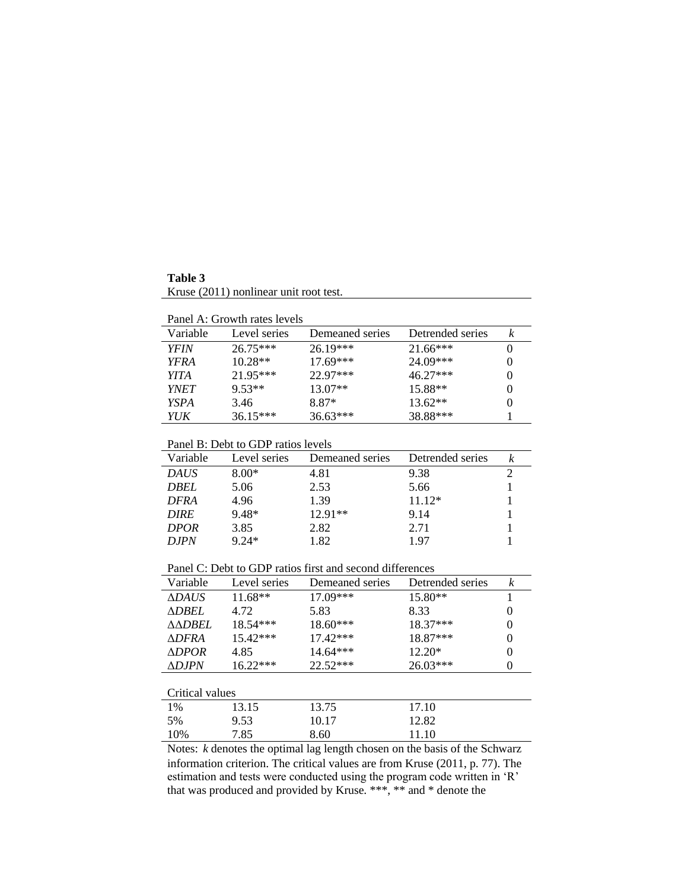**Table 3** Kruse (2011) nonlinear unit root test.

| Variable    | Level series | Demeaned series | Detrended series |          |
|-------------|--------------|-----------------|------------------|----------|
| <b>YFIN</b> | $26.75***$   | $26.19***$      | $21.66***$       | $\theta$ |
| <b>YFRA</b> | $10.28**$    | $17.69***$      | $24.09***$       | $\theta$ |
| <i>YITA</i> | $21.95***$   | $22.97***$      | $46.27***$       | $\theta$ |
| <i>YNET</i> | $9.53**$     | $13.07**$       | $15.88**$        | $\theta$ |
| <b>YSPA</b> | 3.46         | 8.87*           | $13.62**$        | $\theta$ |
| YUK         | $36.15***$   | $36.63***$      | 38.88***         |          |

#### Panel B: Debt to GDP ratios levels

| Variable    | Level series | Demeaned series | Detrended series |  |
|-------------|--------------|-----------------|------------------|--|
| <b>DAUS</b> | $8.00*$      | 4.81            | 9.38             |  |
| <b>DBEL</b> | 5.06         | 2.53            | 5.66             |  |
| <b>DFRA</b> | 4.96         | 1.39            | $11.12*$         |  |
| <b>DIRE</b> | 9.48*        | $12.91**$       | 9.14             |  |
| <b>DPOR</b> | 3.85         | 2.82            | 2.71             |  |
| D.IPN       | $9.24*$      | 1.82            | 197              |  |

Panel C: Debt to GDP ratios first and second differences

| Variable         | Level series | Demeaned series | Detrended series | k        |
|------------------|--------------|-----------------|------------------|----------|
| <b>ADAUS</b>     | $11.68**$    | 17.09***        | $15.80**$        |          |
| <b>ADBEL</b>     | 4.72         | 5.83            | 8.33             | $\theta$ |
| <b>AADBEL</b>    | $18.54***$   | 18.60***        | $18.37***$       | $\theta$ |
| <b>ADFRA</b>     | $15.42***$   | $17.42***$      | 18.87***         | $\Omega$ |
| <b>ADPOR</b>     | 4.85         | $14.64***$      | $12.20*$         | $\Omega$ |
| $\triangle DIPN$ | $16.22***$   | $22.52***$      | $26.03***$       | $\Omega$ |
|                  |              |                 |                  |          |
| Critical values  |              |                 |                  |          |

| Critical values |                                                                                                                                                                                                                                                                                                             |            |                                   |  |
|-----------------|-------------------------------------------------------------------------------------------------------------------------------------------------------------------------------------------------------------------------------------------------------------------------------------------------------------|------------|-----------------------------------|--|
| 1%              | 13.15                                                                                                                                                                                                                                                                                                       | 13.75      | 17.10                             |  |
| 5%              | 9.53                                                                                                                                                                                                                                                                                                        | 10.17      | 12.82                             |  |
| 10%             | 7.85                                                                                                                                                                                                                                                                                                        | 8.60       | 11.10                             |  |
|                 | $\mathbf{M}$ , $\mathbf{M}$ , $\mathbf{M}$ , $\mathbf{M}$ , $\mathbf{M}$ , $\mathbf{M}$ , $\mathbf{M}$ , $\mathbf{M}$ , $\mathbf{M}$ , $\mathbf{M}$ , $\mathbf{M}$ , $\mathbf{M}$ , $\mathbf{M}$ , $\mathbf{M}$ , $\mathbf{M}$ , $\mathbf{M}$ , $\mathbf{M}$ , $\mathbf{M}$ , $\mathbf{M}$ , $\mathbf{M}$ , | $\sim$ 1 1 | $\sim$ 1 $\sim$ $\sim$ 1 $\sim$ 1 |  |

Notes: *k* denotes the optimal lag length chosen on the basis of the Schwarz information criterion. The critical values are from Kruse (2011, p. 77). The estimation and tests were conducted using the program code written in 'R' that was produced and provided by Kruse. \*\*\*, \*\* and \* denote the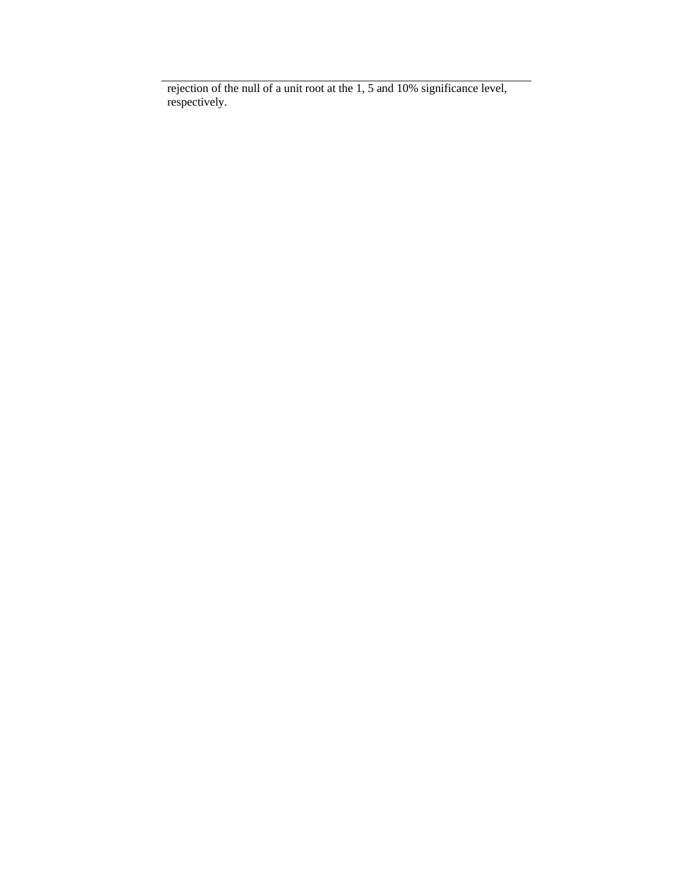rejection of the null of a unit root at the 1, 5 and 10% significance level, respectively.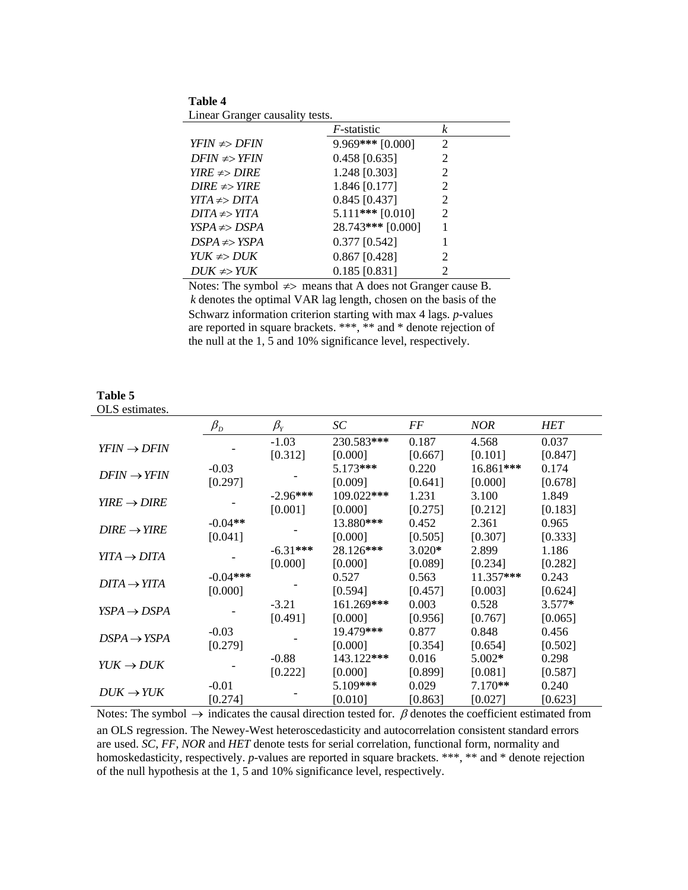**Table 4** Linear Granger causality tests.

**Table 5**

|                    | <i>F</i> -statistic | k |
|--------------------|---------------------|---|
| $YFIN \neq DFIN$   | $9.969$ *** [0.000] | 2 |
| $DFIN \neq > YFIN$ | $0.458$ [0.635]     | 2 |
| $YIRE \neq DIRE$   | 1.248 [0.303]       | 2 |
| $DIRE \neq > YIRE$ | 1.846 [0.177]       | 2 |
| $YITA \neq DITA$   | $0.845$ [0.437]     | 2 |
| $DITA \neq > YITA$ | $5.111***$ [0.010]  | 2 |
| $YSPA \neq DSPA$   | 28.743*** [0.000]   |   |
| $DSPA \neq YSPA$   | $0.377$ [0.542]     |   |
| $YUK \neq DUK$     | $0.867$ [0.428]     | 2 |
| $DUK \neq YUK$     | $0.185$ [0.831]     | 2 |

Notes: The symbol  $\neq$  means that A does not Granger cause B. *k* denotes the optimal VAR lag length, chosen on the basis of the Schwarz information criterion starting with max 4 lags. *p*-values are reported in square brackets. \*\*\*, \*\* and \* denote rejection of the null at the 1, 5 and 10% significance level, respectively.

| OLS estimates.          |                                |            |            |          |            |            |
|-------------------------|--------------------------------|------------|------------|----------|------------|------------|
|                         | $\beta_{\scriptscriptstyle D}$ | $\beta_Y$  | SC         | FF       | <b>NOR</b> | <b>HET</b> |
|                         |                                | $-1.03$    | 230.583*** | 0.187    | 4.568      | 0.037      |
| $YFIN \rightarrow DFIN$ |                                | [0.312]    | [0.000]    | [0.667]  | [0.101]    | [0.847]    |
|                         | $-0.03$                        |            | 5.173***   | 0.220    | 16.861***  | 0.174      |
| $DFIN \rightarrow YFIN$ | [0.297]                        |            | [0.009]    | [0.641]  | [0.000]    | [0.678]    |
|                         |                                | $-2.96***$ | 109.022*** | 1.231    | 3.100      | 1.849      |
| $YIRE \rightarrow DIRE$ |                                | [0.001]    | [0.000]    | [0.275]  | [0.212]    | [0.183]    |
|                         | $-0.04**$                      |            | 13.880***  | 0.452    | 2.361      | 0.965      |
| $DIRE \rightarrow YIRE$ | [0.041]                        |            | [0.000]    | [0.505]  | [0.307]    | [0.333]    |
|                         |                                | $-6.31***$ | 28.126***  | $3.020*$ | 2.899      | 1.186      |
| $YITA \rightarrow DITA$ |                                | [0.000]    | [0.000]    | [0.089]  | [0.234]    | [0.282]    |
|                         | $-0.04***$                     |            | 0.527      | 0.563    | 11.357***  | 0.243      |
| $DITA \rightarrow YITA$ | [0.000]                        |            | [0.594]    | [0.457]  | [0.003]    | [0.624]    |
|                         |                                | $-3.21$    | 161.269*** | 0.003    | 0.528      | $3.577*$   |
| $YSPA \rightarrow DSPA$ |                                | [0.491]    | [0.000]    | [0.956]  | [0.767]    | [0.065]    |
|                         | $-0.03$                        |            | 19.479***  | 0.877    | 0.848      | 0.456      |
| $DSPA \rightarrow YSPA$ | [0.279]                        |            | [0.000]    | [0.354]  | [0.654]    | [0.502]    |
|                         |                                | $-0.88$    | 143.122*** | 0.016    | $5.002*$   | 0.298      |
| $YUK \rightarrow DUK$   |                                | [0.222]    | [0.000]    | [0.899]  | [0.081]    | [0.587]    |
|                         | $-0.01$                        |            | 5.109***   | 0.029    | $7.170**$  | 0.240      |
| $DUK \rightarrow YUK$   | [0.274]                        |            | [0.010]    | [0.863]  | [0.027]    | [0.623]    |

Notes: The symbol  $\rightarrow$  indicates the causal direction tested for.  $\beta$  denotes the coefficient estimated from an OLS regression. The Newey-West heteroscedasticity and autocorrelation consistent standard errors are used. *SC*, *FF*, *NOR* and *HET* denote tests for serial correlation, functional form, normality and homoskedasticity, respectively. *p*-values are reported in square brackets. \*\*\*, \*\* and \* denote rejection of the null hypothesis at the 1, 5 and 10% significance level, respectively.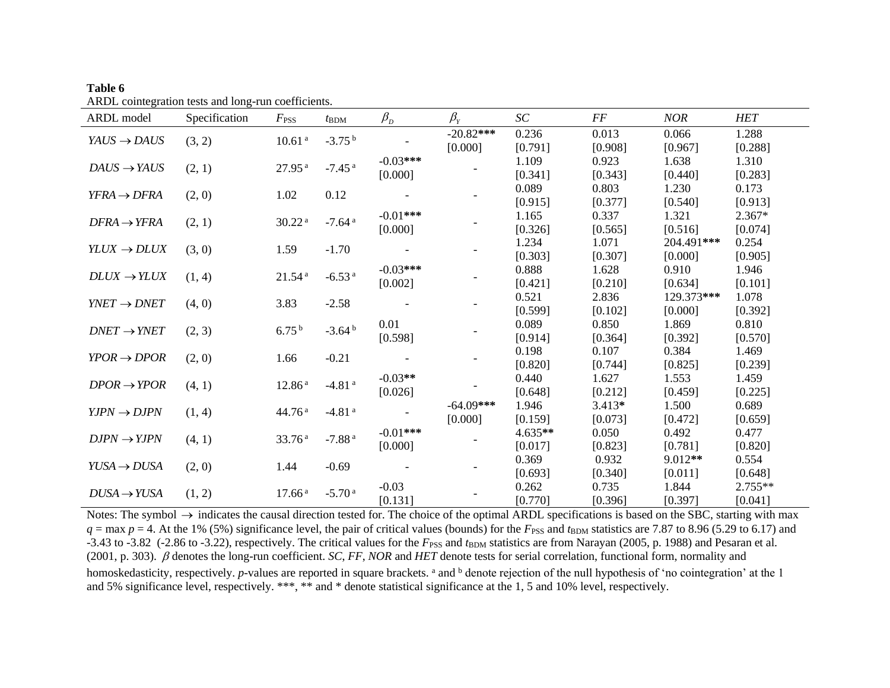| ARDL model              | Specification | $F_{\rm PSS}$      | $t_{\rm BDM}$        | $\beta_{\scriptscriptstyle D}$ | $\beta_{Y}$ | SC      | FF       | <b>NOR</b> | <b>HET</b> |
|-------------------------|---------------|--------------------|----------------------|--------------------------------|-------------|---------|----------|------------|------------|
| $YAUS \rightarrow DAUS$ | (3, 2)        | $10.61\,^{\rm a}$  | $-3.75b$             |                                | $-20.82***$ | 0.236   | 0.013    | 0.066      | 1.288      |
|                         |               |                    |                      |                                | [0.000]     | [0.791] | [0.908]  | [0.967]    | [0.288]    |
| $DAUS \rightarrow YAUS$ |               | 27.95 <sup>a</sup> | $-7.45$ <sup>a</sup> | $-0.03***$                     |             | 1.109   | 0.923    | 1.638      | 1.310      |
|                         | (2, 1)        |                    |                      | [0.000]                        |             | [0.341] | [0.343]  | [0.440]    | [0.283]    |
| $YFRA \rightarrow DFRA$ |               | 1.02               | 0.12                 |                                |             | 0.089   | 0.803    | 1.230      | 0.173      |
|                         | (2, 0)        |                    |                      |                                |             | [0.915] | [0.377]  | [0.540]    | [0.913]    |
| $DFRA \rightarrow YFRA$ | (2, 1)        | 30.22 <sup>a</sup> | $-7.64$ <sup>a</sup> | $-0.01***$                     |             | 1.165   | 0.337    | 1.321      | $2.367*$   |
|                         |               |                    |                      | [0.000]                        |             | [0.326] | [0.565]  | [0.516]    | [0.074]    |
| $YLUX \rightarrow DLUX$ | (3, 0)        | 1.59               | $-1.70$              |                                |             | 1.234   | 1.071    | 204.491*** | 0.254      |
|                         |               |                    |                      |                                |             | [0.303] | [0.307]  | [0.000]    | [0.905]    |
| $DLUX \rightarrow YLUX$ | (1, 4)        | 21.54 <sup>a</sup> | $-6.53$ <sup>a</sup> | $-0.03***$                     |             | 0.888   | 1.628    | 0.910      | 1.946      |
|                         |               |                    |                      | [0.002]                        |             | [0.421] | [0.210]  | [0.634]    | [0.101]    |
| $YNET \rightarrow DNET$ | (4, 0)        | 3.83               | $-2.58$              |                                |             | 0.521   | 2.836    | 129.373*** | 1.078      |
|                         |               |                    |                      |                                |             | [0.599] | [0.102]  | [0.000]    | [0.392]    |
| $DNET \rightarrow YNET$ | (2, 3)        | $6.75^{b}$         | $-3.64b$             | 0.01                           |             | 0.089   | 0.850    | 1.869      | 0.810      |
|                         |               |                    |                      | [0.598]                        |             | [0.914] | [0.364]  | [0.392]    | [0.570]    |
| $YPOR \rightarrow DPOR$ | (2, 0)        | 1.66               | $-0.21$              |                                |             | 0.198   | 0.107    | 0.384      | 1.469      |
|                         |               |                    |                      |                                |             | [0.820] | [0.744]  | [0.825]    | [0.239]    |
| $DPOR \rightarrow YPOR$ | (4, 1)        | 12.86 <sup>a</sup> | $-4.81$ <sup>a</sup> | $-0.03**$                      |             | 0.440   | 1.627    | 1.553      | 1.459      |
|                         |               |                    |                      | [0.026]                        |             | [0.648] | [0.212]  | [0.459]    | [0.225]    |
| $YJPN \rightarrow DJPN$ | (1, 4)        | 44.76 <sup>a</sup> | $-4.81$ <sup>a</sup> |                                | $-64.09***$ | 1.946   | $3.413*$ | 1.500      | 0.689      |
|                         |               |                    |                      |                                | [0.000]     | [0.159] | [0.073]  | [0.472]    | [0.659]    |
| $DIPN \rightarrow YJPN$ | (4, 1)        | 33.76 <sup>a</sup> | $-7.88a$             | $-0.01***$                     |             | 4.635** | 0.050    | 0.492      | 0.477      |
|                         |               |                    |                      | [0.000]                        |             | [0.017] | [0.823]  | [0.781]    | [0.820]    |
| $YUSA \rightarrow DUSA$ | (2, 0)        | 1.44               | $-0.69$              |                                |             | 0.369   | 0.932    | $9.012**$  | 0.554      |
|                         |               |                    |                      |                                |             | [0.693] | [0.340]  | [0.011]    | [0.648]    |
| $DUSA \rightarrow YUSA$ | (1, 2)        | 17.66 <sup>a</sup> | $-5.70a$             | $-0.03$                        |             | 0.262   | 0.735    | 1.844      | $2.755**$  |
|                         |               |                    |                      | [0.131]                        |             | [0.770] | [0.396]  | [0.397]    | [0.041]    |

**Table 6** ARDL cointegration tests and long-run coefficients.

Notes: The symbol  $\rightarrow$  indicates the causal direction tested for. The choice of the optimal ARDL specifications is based on the SBC, starting with max  $q = \max p = 4$ . At the 1% (5%) significance level, the pair of critical values (bounds) for the  $F_{PSS}$  and  $t_{BDM}$  statistics are 7.87 to 8.96 (5.29 to 6.17) and -3.43 to -3.82 (-2.86 to -3.22), respectively. The critical values for the  $F_{\rm PSS}$  and  $t_{\rm BDM}$  statistics are from Narayan (2005, p. 1988) and Pesaran et al. (2001, p. 303). denotes the long-run coefficient. *SC*, *FF*, *NOR* and *HET* denote tests for serial correlation, functional form, normality and homoskedasticity, respectively. *p*-values are reported in square brackets. <sup>a</sup> and <sup>b</sup> denote rejection of the null hypothesis of 'no cointegration' at the 1 and 5% significance level, respectively. \*\*\*, \*\* and \* denote statistical significance at the 1, 5 and 10% level, respectively.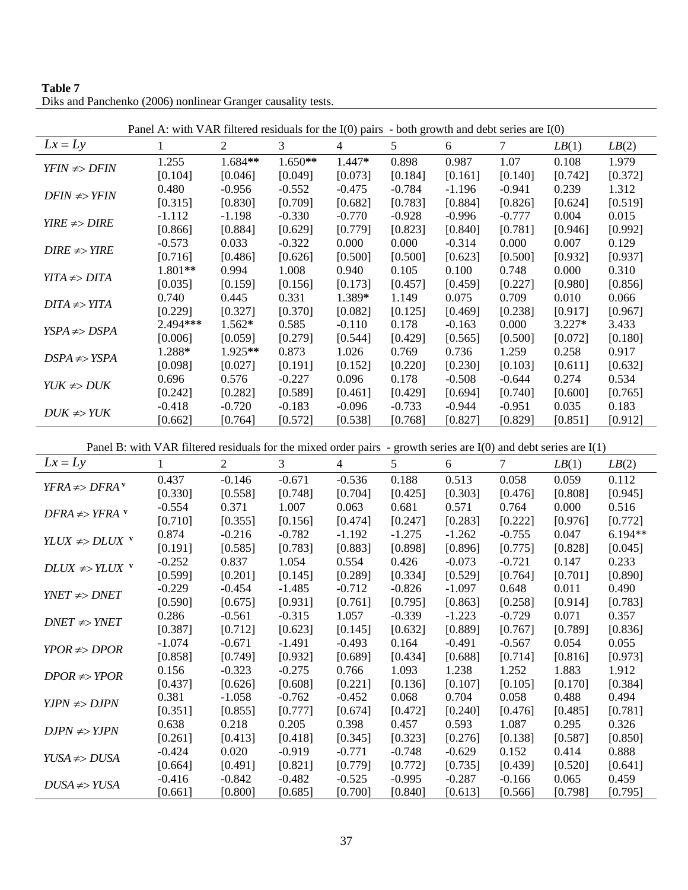| Table 7                                                      |  |
|--------------------------------------------------------------|--|
| Diks and Panchenko (2006) nonlinear Granger causality tests. |  |

| $Lx = Ly$<br>2<br>3<br>5<br>7<br>1<br>$\overline{4}$<br>6<br>LB(2)<br>LB(1)<br>1.684**<br>1.255<br>$1.650**$<br>1.447*<br>0.898<br>1.07<br>0.108<br>1.979<br>0.987<br>$YFIN \neq DFIN$<br>[0.104]<br>[0.161]<br>[0.140]<br>[0.046]<br>[0.049]<br>[0.073]<br>[0.184]<br>[0.742]<br>[0.372]<br>0.480<br>$-0.956$<br>$-0.784$<br>$-0.941$<br>0.239<br>1.312<br>$-0.552$<br>$-0.475$<br>$-1.196$<br>$DFIN \neq > YFIN$<br>[0.315]<br>[0.830]<br>[0.709]<br>[0.783]<br>[0.519]<br>[0.682]<br>[0.884]<br>[0.826]<br>[0.624]<br>$-0.770$<br>$-0.928$<br>$-0.777$<br>0.004<br>$-1.112$<br>$-1.198$<br>$-0.330$<br>$-0.996$<br>0.015<br>$YIRE \neq DIRE$<br>[0.884]<br>[0.992]<br>[0.866]<br>[0.629]<br>[0.779]<br>[0.823]<br>[0.840]<br>[0.781]<br>[0.946]<br>$-0.573$<br>0.033<br>$-0.322$<br>0.000<br>0.000<br>$-0.314$<br>0.000<br>0.007<br>0.129<br>$DIRE \neq YIRE$<br>[0.716]<br>[0.486]<br>[0.500]<br>[0.500]<br>[0.937]<br>[0.626]<br>[0.500]<br>[0.623]<br>[0.932]<br>1.801**<br>0.994<br>1.008<br>0.940<br>0.105<br>0.100<br>0.748<br>0.000<br>0.310<br>$YITA \neq DITA$<br>[0.227]<br>[0.035]<br>[0.159]<br>[0.156]<br>[0.173]<br>[0.457]<br>[0.459]<br>[0.980]<br>[0.856]<br>1.389*<br>0.740<br>0.445<br>0.331<br>1.149<br>0.075<br>0.709<br>0.010<br>0.066<br>$DITA \neq YITA$<br>[0.229]<br>[0.327]<br>[0.370]<br>[0.238]<br>[0.082]<br>[0.125]<br>[0.469]<br>[0.917]<br>[0.967]<br>2.494***<br>1.562*<br>0.585<br>$-0.110$<br>0.178<br>0.000<br>$3.227*$<br>3.433<br>$-0.163$<br>$YSPA \neq DSPA$<br>[0.006]<br>[0.279]<br>[0.544]<br>[0.059]<br>[0.429]<br>[0.565]<br>[0.500]<br>[0.180]<br>[0.072]<br>1.288*<br>1.925**<br>1.259<br>0.873<br>1.026<br>0.769<br>0.736<br>0.258<br>0.917<br>$DSPA \neq YSPA$<br>[0.220]<br>[0.230]<br>[0.103]<br>[0.098]<br>[0.027]<br>[0.191]<br>[0.152]<br>[0.611]<br>[0.632]<br>0.696<br>0.576<br>$-0.227$<br>0.096<br>0.178<br>$-0.508$<br>$-0.644$<br>0.274<br>0.534<br>$YUK \neq DUK$<br>[0.282]<br>[0.589]<br>[0.461]<br>[0.740]<br>[0.242]<br>[0.429]<br>[0.694]<br>[0.600]<br>[0.765]<br>$-0.418$<br>$-0.720$<br>$-0.096$<br>$-0.733$<br>$-0.951$<br>0.035<br>0.183<br>$-0.183$<br>$-0.944$<br>$DUK \neq YUK$<br>[0.662]<br>[0.764]<br>[0.572]<br>[0.538]<br>[0.768]<br>[0.827]<br>[0.829]<br>[0.851]<br>[0.912]<br>Panel B: with VAR filtered residuals for the mixed order pairs - growth series are $I(0)$ and debt series are $I(1)$<br>$Lx = Ly$<br>$\overline{2}$<br>3<br>5<br>1<br>$\overline{4}$<br>6<br>7<br>LB(1)<br>LB(2)<br>$-0.146$<br>$-0.536$<br>0.513<br>0.437<br>$-0.671$<br>0.188<br>0.058<br>0.059<br>0.112<br>$YFRA \neq DFRA$ <sup>v</sup><br>[0.330]<br>[0.558]<br>[0.748]<br>[0.704]<br>[0.425]<br>[0.303]<br>[0.476]<br>[0.808]<br>[0.945]<br>$-0.554$<br>0.371<br>1.007<br>0.063<br>0.681<br>0.571<br>0.764<br>0.000<br>0.516<br>$DFRA \neq YFRA$ <sup>v</sup> | Panel A: with VAR filtered residuals for the $I(0)$ pairs - both growth and debt series are $I(0)$ |          |          |          |          |          |          |          |         |           |
|-----------------------------------------------------------------------------------------------------------------------------------------------------------------------------------------------------------------------------------------------------------------------------------------------------------------------------------------------------------------------------------------------------------------------------------------------------------------------------------------------------------------------------------------------------------------------------------------------------------------------------------------------------------------------------------------------------------------------------------------------------------------------------------------------------------------------------------------------------------------------------------------------------------------------------------------------------------------------------------------------------------------------------------------------------------------------------------------------------------------------------------------------------------------------------------------------------------------------------------------------------------------------------------------------------------------------------------------------------------------------------------------------------------------------------------------------------------------------------------------------------------------------------------------------------------------------------------------------------------------------------------------------------------------------------------------------------------------------------------------------------------------------------------------------------------------------------------------------------------------------------------------------------------------------------------------------------------------------------------------------------------------------------------------------------------------------------------------------------------------------------------------------------------------------------------------------------------------------------------------------------------------------------------------------------------------------------------------------------------------------------------------------------------------------------------------------------------------------------------------------------------------------------------------------------------------------------------------------------------------------------------------------------------------------------------------------------------------------------------------------------------------------------------------------------------------------------------------|----------------------------------------------------------------------------------------------------|----------|----------|----------|----------|----------|----------|----------|---------|-----------|
|                                                                                                                                                                                                                                                                                                                                                                                                                                                                                                                                                                                                                                                                                                                                                                                                                                                                                                                                                                                                                                                                                                                                                                                                                                                                                                                                                                                                                                                                                                                                                                                                                                                                                                                                                                                                                                                                                                                                                                                                                                                                                                                                                                                                                                                                                                                                                                                                                                                                                                                                                                                                                                                                                                                                                                                                                                         |                                                                                                    |          |          |          |          |          |          |          |         |           |
|                                                                                                                                                                                                                                                                                                                                                                                                                                                                                                                                                                                                                                                                                                                                                                                                                                                                                                                                                                                                                                                                                                                                                                                                                                                                                                                                                                                                                                                                                                                                                                                                                                                                                                                                                                                                                                                                                                                                                                                                                                                                                                                                                                                                                                                                                                                                                                                                                                                                                                                                                                                                                                                                                                                                                                                                                                         |                                                                                                    |          |          |          |          |          |          |          |         |           |
|                                                                                                                                                                                                                                                                                                                                                                                                                                                                                                                                                                                                                                                                                                                                                                                                                                                                                                                                                                                                                                                                                                                                                                                                                                                                                                                                                                                                                                                                                                                                                                                                                                                                                                                                                                                                                                                                                                                                                                                                                                                                                                                                                                                                                                                                                                                                                                                                                                                                                                                                                                                                                                                                                                                                                                                                                                         |                                                                                                    |          |          |          |          |          |          |          |         |           |
|                                                                                                                                                                                                                                                                                                                                                                                                                                                                                                                                                                                                                                                                                                                                                                                                                                                                                                                                                                                                                                                                                                                                                                                                                                                                                                                                                                                                                                                                                                                                                                                                                                                                                                                                                                                                                                                                                                                                                                                                                                                                                                                                                                                                                                                                                                                                                                                                                                                                                                                                                                                                                                                                                                                                                                                                                                         |                                                                                                    |          |          |          |          |          |          |          |         |           |
|                                                                                                                                                                                                                                                                                                                                                                                                                                                                                                                                                                                                                                                                                                                                                                                                                                                                                                                                                                                                                                                                                                                                                                                                                                                                                                                                                                                                                                                                                                                                                                                                                                                                                                                                                                                                                                                                                                                                                                                                                                                                                                                                                                                                                                                                                                                                                                                                                                                                                                                                                                                                                                                                                                                                                                                                                                         |                                                                                                    |          |          |          |          |          |          |          |         |           |
|                                                                                                                                                                                                                                                                                                                                                                                                                                                                                                                                                                                                                                                                                                                                                                                                                                                                                                                                                                                                                                                                                                                                                                                                                                                                                                                                                                                                                                                                                                                                                                                                                                                                                                                                                                                                                                                                                                                                                                                                                                                                                                                                                                                                                                                                                                                                                                                                                                                                                                                                                                                                                                                                                                                                                                                                                                         |                                                                                                    |          |          |          |          |          |          |          |         |           |
|                                                                                                                                                                                                                                                                                                                                                                                                                                                                                                                                                                                                                                                                                                                                                                                                                                                                                                                                                                                                                                                                                                                                                                                                                                                                                                                                                                                                                                                                                                                                                                                                                                                                                                                                                                                                                                                                                                                                                                                                                                                                                                                                                                                                                                                                                                                                                                                                                                                                                                                                                                                                                                                                                                                                                                                                                                         |                                                                                                    |          |          |          |          |          |          |          |         |           |
|                                                                                                                                                                                                                                                                                                                                                                                                                                                                                                                                                                                                                                                                                                                                                                                                                                                                                                                                                                                                                                                                                                                                                                                                                                                                                                                                                                                                                                                                                                                                                                                                                                                                                                                                                                                                                                                                                                                                                                                                                                                                                                                                                                                                                                                                                                                                                                                                                                                                                                                                                                                                                                                                                                                                                                                                                                         |                                                                                                    |          |          |          |          |          |          |          |         |           |
|                                                                                                                                                                                                                                                                                                                                                                                                                                                                                                                                                                                                                                                                                                                                                                                                                                                                                                                                                                                                                                                                                                                                                                                                                                                                                                                                                                                                                                                                                                                                                                                                                                                                                                                                                                                                                                                                                                                                                                                                                                                                                                                                                                                                                                                                                                                                                                                                                                                                                                                                                                                                                                                                                                                                                                                                                                         |                                                                                                    |          |          |          |          |          |          |          |         |           |
|                                                                                                                                                                                                                                                                                                                                                                                                                                                                                                                                                                                                                                                                                                                                                                                                                                                                                                                                                                                                                                                                                                                                                                                                                                                                                                                                                                                                                                                                                                                                                                                                                                                                                                                                                                                                                                                                                                                                                                                                                                                                                                                                                                                                                                                                                                                                                                                                                                                                                                                                                                                                                                                                                                                                                                                                                                         |                                                                                                    |          |          |          |          |          |          |          |         |           |
|                                                                                                                                                                                                                                                                                                                                                                                                                                                                                                                                                                                                                                                                                                                                                                                                                                                                                                                                                                                                                                                                                                                                                                                                                                                                                                                                                                                                                                                                                                                                                                                                                                                                                                                                                                                                                                                                                                                                                                                                                                                                                                                                                                                                                                                                                                                                                                                                                                                                                                                                                                                                                                                                                                                                                                                                                                         |                                                                                                    |          |          |          |          |          |          |          |         |           |
|                                                                                                                                                                                                                                                                                                                                                                                                                                                                                                                                                                                                                                                                                                                                                                                                                                                                                                                                                                                                                                                                                                                                                                                                                                                                                                                                                                                                                                                                                                                                                                                                                                                                                                                                                                                                                                                                                                                                                                                                                                                                                                                                                                                                                                                                                                                                                                                                                                                                                                                                                                                                                                                                                                                                                                                                                                         |                                                                                                    |          |          |          |          |          |          |          |         |           |
|                                                                                                                                                                                                                                                                                                                                                                                                                                                                                                                                                                                                                                                                                                                                                                                                                                                                                                                                                                                                                                                                                                                                                                                                                                                                                                                                                                                                                                                                                                                                                                                                                                                                                                                                                                                                                                                                                                                                                                                                                                                                                                                                                                                                                                                                                                                                                                                                                                                                                                                                                                                                                                                                                                                                                                                                                                         |                                                                                                    |          |          |          |          |          |          |          |         |           |
|                                                                                                                                                                                                                                                                                                                                                                                                                                                                                                                                                                                                                                                                                                                                                                                                                                                                                                                                                                                                                                                                                                                                                                                                                                                                                                                                                                                                                                                                                                                                                                                                                                                                                                                                                                                                                                                                                                                                                                                                                                                                                                                                                                                                                                                                                                                                                                                                                                                                                                                                                                                                                                                                                                                                                                                                                                         |                                                                                                    |          |          |          |          |          |          |          |         |           |
|                                                                                                                                                                                                                                                                                                                                                                                                                                                                                                                                                                                                                                                                                                                                                                                                                                                                                                                                                                                                                                                                                                                                                                                                                                                                                                                                                                                                                                                                                                                                                                                                                                                                                                                                                                                                                                                                                                                                                                                                                                                                                                                                                                                                                                                                                                                                                                                                                                                                                                                                                                                                                                                                                                                                                                                                                                         |                                                                                                    |          |          |          |          |          |          |          |         |           |
|                                                                                                                                                                                                                                                                                                                                                                                                                                                                                                                                                                                                                                                                                                                                                                                                                                                                                                                                                                                                                                                                                                                                                                                                                                                                                                                                                                                                                                                                                                                                                                                                                                                                                                                                                                                                                                                                                                                                                                                                                                                                                                                                                                                                                                                                                                                                                                                                                                                                                                                                                                                                                                                                                                                                                                                                                                         |                                                                                                    |          |          |          |          |          |          |          |         |           |
|                                                                                                                                                                                                                                                                                                                                                                                                                                                                                                                                                                                                                                                                                                                                                                                                                                                                                                                                                                                                                                                                                                                                                                                                                                                                                                                                                                                                                                                                                                                                                                                                                                                                                                                                                                                                                                                                                                                                                                                                                                                                                                                                                                                                                                                                                                                                                                                                                                                                                                                                                                                                                                                                                                                                                                                                                                         |                                                                                                    |          |          |          |          |          |          |          |         |           |
|                                                                                                                                                                                                                                                                                                                                                                                                                                                                                                                                                                                                                                                                                                                                                                                                                                                                                                                                                                                                                                                                                                                                                                                                                                                                                                                                                                                                                                                                                                                                                                                                                                                                                                                                                                                                                                                                                                                                                                                                                                                                                                                                                                                                                                                                                                                                                                                                                                                                                                                                                                                                                                                                                                                                                                                                                                         |                                                                                                    |          |          |          |          |          |          |          |         |           |
|                                                                                                                                                                                                                                                                                                                                                                                                                                                                                                                                                                                                                                                                                                                                                                                                                                                                                                                                                                                                                                                                                                                                                                                                                                                                                                                                                                                                                                                                                                                                                                                                                                                                                                                                                                                                                                                                                                                                                                                                                                                                                                                                                                                                                                                                                                                                                                                                                                                                                                                                                                                                                                                                                                                                                                                                                                         |                                                                                                    |          |          |          |          |          |          |          |         |           |
|                                                                                                                                                                                                                                                                                                                                                                                                                                                                                                                                                                                                                                                                                                                                                                                                                                                                                                                                                                                                                                                                                                                                                                                                                                                                                                                                                                                                                                                                                                                                                                                                                                                                                                                                                                                                                                                                                                                                                                                                                                                                                                                                                                                                                                                                                                                                                                                                                                                                                                                                                                                                                                                                                                                                                                                                                                         |                                                                                                    |          |          |          |          |          |          |          |         |           |
|                                                                                                                                                                                                                                                                                                                                                                                                                                                                                                                                                                                                                                                                                                                                                                                                                                                                                                                                                                                                                                                                                                                                                                                                                                                                                                                                                                                                                                                                                                                                                                                                                                                                                                                                                                                                                                                                                                                                                                                                                                                                                                                                                                                                                                                                                                                                                                                                                                                                                                                                                                                                                                                                                                                                                                                                                                         |                                                                                                    |          |          |          |          |          |          |          |         |           |
|                                                                                                                                                                                                                                                                                                                                                                                                                                                                                                                                                                                                                                                                                                                                                                                                                                                                                                                                                                                                                                                                                                                                                                                                                                                                                                                                                                                                                                                                                                                                                                                                                                                                                                                                                                                                                                                                                                                                                                                                                                                                                                                                                                                                                                                                                                                                                                                                                                                                                                                                                                                                                                                                                                                                                                                                                                         |                                                                                                    |          |          |          |          |          |          |          |         |           |
|                                                                                                                                                                                                                                                                                                                                                                                                                                                                                                                                                                                                                                                                                                                                                                                                                                                                                                                                                                                                                                                                                                                                                                                                                                                                                                                                                                                                                                                                                                                                                                                                                                                                                                                                                                                                                                                                                                                                                                                                                                                                                                                                                                                                                                                                                                                                                                                                                                                                                                                                                                                                                                                                                                                                                                                                                                         |                                                                                                    |          |          |          |          |          |          |          |         |           |
|                                                                                                                                                                                                                                                                                                                                                                                                                                                                                                                                                                                                                                                                                                                                                                                                                                                                                                                                                                                                                                                                                                                                                                                                                                                                                                                                                                                                                                                                                                                                                                                                                                                                                                                                                                                                                                                                                                                                                                                                                                                                                                                                                                                                                                                                                                                                                                                                                                                                                                                                                                                                                                                                                                                                                                                                                                         |                                                                                                    |          |          |          |          |          |          |          |         |           |
|                                                                                                                                                                                                                                                                                                                                                                                                                                                                                                                                                                                                                                                                                                                                                                                                                                                                                                                                                                                                                                                                                                                                                                                                                                                                                                                                                                                                                                                                                                                                                                                                                                                                                                                                                                                                                                                                                                                                                                                                                                                                                                                                                                                                                                                                                                                                                                                                                                                                                                                                                                                                                                                                                                                                                                                                                                         |                                                                                                    |          |          |          |          |          |          |          |         |           |
|                                                                                                                                                                                                                                                                                                                                                                                                                                                                                                                                                                                                                                                                                                                                                                                                                                                                                                                                                                                                                                                                                                                                                                                                                                                                                                                                                                                                                                                                                                                                                                                                                                                                                                                                                                                                                                                                                                                                                                                                                                                                                                                                                                                                                                                                                                                                                                                                                                                                                                                                                                                                                                                                                                                                                                                                                                         |                                                                                                    |          |          |          |          |          |          |          |         |           |
|                                                                                                                                                                                                                                                                                                                                                                                                                                                                                                                                                                                                                                                                                                                                                                                                                                                                                                                                                                                                                                                                                                                                                                                                                                                                                                                                                                                                                                                                                                                                                                                                                                                                                                                                                                                                                                                                                                                                                                                                                                                                                                                                                                                                                                                                                                                                                                                                                                                                                                                                                                                                                                                                                                                                                                                                                                         |                                                                                                    |          |          |          |          |          |          |          |         |           |
|                                                                                                                                                                                                                                                                                                                                                                                                                                                                                                                                                                                                                                                                                                                                                                                                                                                                                                                                                                                                                                                                                                                                                                                                                                                                                                                                                                                                                                                                                                                                                                                                                                                                                                                                                                                                                                                                                                                                                                                                                                                                                                                                                                                                                                                                                                                                                                                                                                                                                                                                                                                                                                                                                                                                                                                                                                         |                                                                                                    |          |          |          |          |          |          |          |         |           |
|                                                                                                                                                                                                                                                                                                                                                                                                                                                                                                                                                                                                                                                                                                                                                                                                                                                                                                                                                                                                                                                                                                                                                                                                                                                                                                                                                                                                                                                                                                                                                                                                                                                                                                                                                                                                                                                                                                                                                                                                                                                                                                                                                                                                                                                                                                                                                                                                                                                                                                                                                                                                                                                                                                                                                                                                                                         |                                                                                                    |          |          |          |          |          |          |          |         |           |
| $YLUX \nArr DLUX$ v                                                                                                                                                                                                                                                                                                                                                                                                                                                                                                                                                                                                                                                                                                                                                                                                                                                                                                                                                                                                                                                                                                                                                                                                                                                                                                                                                                                                                                                                                                                                                                                                                                                                                                                                                                                                                                                                                                                                                                                                                                                                                                                                                                                                                                                                                                                                                                                                                                                                                                                                                                                                                                                                                                                                                                                                                     |                                                                                                    | [0.710]  | [0.355]  | [0.156]  | [0.474]  | [0.247]  | [0.283]  | [0.222]  | [0.976] | [0.772]   |
|                                                                                                                                                                                                                                                                                                                                                                                                                                                                                                                                                                                                                                                                                                                                                                                                                                                                                                                                                                                                                                                                                                                                                                                                                                                                                                                                                                                                                                                                                                                                                                                                                                                                                                                                                                                                                                                                                                                                                                                                                                                                                                                                                                                                                                                                                                                                                                                                                                                                                                                                                                                                                                                                                                                                                                                                                                         |                                                                                                    | 0.874    | $-0.216$ | $-0.782$ | $-1.192$ | $-1.275$ | $-1.262$ | $-0.755$ | 0.047   | $6.194**$ |
|                                                                                                                                                                                                                                                                                                                                                                                                                                                                                                                                                                                                                                                                                                                                                                                                                                                                                                                                                                                                                                                                                                                                                                                                                                                                                                                                                                                                                                                                                                                                                                                                                                                                                                                                                                                                                                                                                                                                                                                                                                                                                                                                                                                                                                                                                                                                                                                                                                                                                                                                                                                                                                                                                                                                                                                                                                         |                                                                                                    | [0.191]  | [0.585]  | [0.783]  | [0.883]  | [0.898]  | [0.896]  | [0.775]  | [0.828] | [0.045]   |
|                                                                                                                                                                                                                                                                                                                                                                                                                                                                                                                                                                                                                                                                                                                                                                                                                                                                                                                                                                                                                                                                                                                                                                                                                                                                                                                                                                                                                                                                                                                                                                                                                                                                                                                                                                                                                                                                                                                                                                                                                                                                                                                                                                                                                                                                                                                                                                                                                                                                                                                                                                                                                                                                                                                                                                                                                                         | $DLUX \neq YLUX$ <sup>v</sup>                                                                      | $-0.252$ | 0.837    | 1.054    | 0.554    | 0.426    | $-0.073$ | $-0.721$ | 0.147   | 0.233     |
|                                                                                                                                                                                                                                                                                                                                                                                                                                                                                                                                                                                                                                                                                                                                                                                                                                                                                                                                                                                                                                                                                                                                                                                                                                                                                                                                                                                                                                                                                                                                                                                                                                                                                                                                                                                                                                                                                                                                                                                                                                                                                                                                                                                                                                                                                                                                                                                                                                                                                                                                                                                                                                                                                                                                                                                                                                         |                                                                                                    | [0.599]  | [0.201]  | [0.145]  | [0.289]  | [0.334]  | [0.529]  | [0.764]  | [0.701] | [0.890]   |
| $YNET \neq DNET$                                                                                                                                                                                                                                                                                                                                                                                                                                                                                                                                                                                                                                                                                                                                                                                                                                                                                                                                                                                                                                                                                                                                                                                                                                                                                                                                                                                                                                                                                                                                                                                                                                                                                                                                                                                                                                                                                                                                                                                                                                                                                                                                                                                                                                                                                                                                                                                                                                                                                                                                                                                                                                                                                                                                                                                                                        |                                                                                                    | $-0.229$ | $-0.454$ | $-1.485$ | $-0.712$ | $-0.826$ | $-1.097$ | 0.648    | 0.011   | 0.490     |
| [0.590]<br>[0.675]<br>[0.761]<br>[0.795]<br>[0.258]<br>[0.914]<br>[0.931]<br>[0.863]<br>[0.783]                                                                                                                                                                                                                                                                                                                                                                                                                                                                                                                                                                                                                                                                                                                                                                                                                                                                                                                                                                                                                                                                                                                                                                                                                                                                                                                                                                                                                                                                                                                                                                                                                                                                                                                                                                                                                                                                                                                                                                                                                                                                                                                                                                                                                                                                                                                                                                                                                                                                                                                                                                                                                                                                                                                                         |                                                                                                    |          |          |          |          |          |          |          |         |           |
| 0.286<br>$-0.561$<br>$-0.315$<br>1.057<br>$-0.339$<br>$-1.223$<br>$-0.729$<br>0.071<br>0.357<br>$DNET \neq YNET$                                                                                                                                                                                                                                                                                                                                                                                                                                                                                                                                                                                                                                                                                                                                                                                                                                                                                                                                                                                                                                                                                                                                                                                                                                                                                                                                                                                                                                                                                                                                                                                                                                                                                                                                                                                                                                                                                                                                                                                                                                                                                                                                                                                                                                                                                                                                                                                                                                                                                                                                                                                                                                                                                                                        |                                                                                                    |          |          |          |          |          |          |          |         |           |
| [0.387]<br>[0.712]<br>[0.767]<br>[0.789]<br>[0.836]<br>[0.623]<br>[0.145]<br>[0.632]<br>[0.889]                                                                                                                                                                                                                                                                                                                                                                                                                                                                                                                                                                                                                                                                                                                                                                                                                                                                                                                                                                                                                                                                                                                                                                                                                                                                                                                                                                                                                                                                                                                                                                                                                                                                                                                                                                                                                                                                                                                                                                                                                                                                                                                                                                                                                                                                                                                                                                                                                                                                                                                                                                                                                                                                                                                                         |                                                                                                    |          |          |          |          |          |          |          |         |           |
| $-1.074$<br>$-0.671$<br>$-1.491$<br>$-0.493$<br>0.164<br>$-0.491$<br>$-0.567$<br>0.054<br>0.055<br>$YPOR \neq DPOR$                                                                                                                                                                                                                                                                                                                                                                                                                                                                                                                                                                                                                                                                                                                                                                                                                                                                                                                                                                                                                                                                                                                                                                                                                                                                                                                                                                                                                                                                                                                                                                                                                                                                                                                                                                                                                                                                                                                                                                                                                                                                                                                                                                                                                                                                                                                                                                                                                                                                                                                                                                                                                                                                                                                     |                                                                                                    |          |          |          |          |          |          |          |         |           |
| [0.858]<br>[0.749]<br>[0.689]<br>[0.434]<br>[0.714]<br>[0.816]<br>[0.973]<br>[0.932]<br>[0.688]                                                                                                                                                                                                                                                                                                                                                                                                                                                                                                                                                                                                                                                                                                                                                                                                                                                                                                                                                                                                                                                                                                                                                                                                                                                                                                                                                                                                                                                                                                                                                                                                                                                                                                                                                                                                                                                                                                                                                                                                                                                                                                                                                                                                                                                                                                                                                                                                                                                                                                                                                                                                                                                                                                                                         |                                                                                                    |          |          |          |          |          |          |          |         |           |
| 1.093<br>1.252<br>1.883<br>1.912<br>0.156<br>$-0.323$<br>$-0.275$<br>0.766<br>1.238<br>$DPOR \nRightarrow YPOR$                                                                                                                                                                                                                                                                                                                                                                                                                                                                                                                                                                                                                                                                                                                                                                                                                                                                                                                                                                                                                                                                                                                                                                                                                                                                                                                                                                                                                                                                                                                                                                                                                                                                                                                                                                                                                                                                                                                                                                                                                                                                                                                                                                                                                                                                                                                                                                                                                                                                                                                                                                                                                                                                                                                         |                                                                                                    |          |          |          |          |          |          |          |         |           |
| [0.437]<br>[0.626]<br>[0.608]<br>[0.221]<br>[0.136]<br>[0.107]<br>[0.105]<br>[0.170]<br>[0.384]                                                                                                                                                                                                                                                                                                                                                                                                                                                                                                                                                                                                                                                                                                                                                                                                                                                                                                                                                                                                                                                                                                                                                                                                                                                                                                                                                                                                                                                                                                                                                                                                                                                                                                                                                                                                                                                                                                                                                                                                                                                                                                                                                                                                                                                                                                                                                                                                                                                                                                                                                                                                                                                                                                                                         |                                                                                                    |          |          |          |          |          |          |          |         |           |
| 0.381<br>0.068<br>$-1.058$<br>$-0.762$<br>$-0.452$<br>0.704<br>0.058<br>0.488<br>0.494<br>$YJPN \neq DJPN$                                                                                                                                                                                                                                                                                                                                                                                                                                                                                                                                                                                                                                                                                                                                                                                                                                                                                                                                                                                                                                                                                                                                                                                                                                                                                                                                                                                                                                                                                                                                                                                                                                                                                                                                                                                                                                                                                                                                                                                                                                                                                                                                                                                                                                                                                                                                                                                                                                                                                                                                                                                                                                                                                                                              |                                                                                                    |          |          |          |          |          |          |          |         |           |
| [0.351]<br>[0.855]<br>[0.777]<br>[0.674]<br>[0.472]<br>[0.240]<br>[0.476]<br>[0.485]<br>[0.781]                                                                                                                                                                                                                                                                                                                                                                                                                                                                                                                                                                                                                                                                                                                                                                                                                                                                                                                                                                                                                                                                                                                                                                                                                                                                                                                                                                                                                                                                                                                                                                                                                                                                                                                                                                                                                                                                                                                                                                                                                                                                                                                                                                                                                                                                                                                                                                                                                                                                                                                                                                                                                                                                                                                                         |                                                                                                    |          |          |          |          |          |          |          |         |           |
| 0.638<br>0.218<br>0.205<br>0.398<br>0.457<br>0.593<br>1.087<br>0.295<br>0.326<br>$DIPN \neq YJPN$                                                                                                                                                                                                                                                                                                                                                                                                                                                                                                                                                                                                                                                                                                                                                                                                                                                                                                                                                                                                                                                                                                                                                                                                                                                                                                                                                                                                                                                                                                                                                                                                                                                                                                                                                                                                                                                                                                                                                                                                                                                                                                                                                                                                                                                                                                                                                                                                                                                                                                                                                                                                                                                                                                                                       |                                                                                                    |          |          |          |          |          |          |          |         |           |
| [0.261]<br>[0.413]<br>[0.418]<br>[0.345]<br>[0.323]<br>[0.276]<br>[0.138]<br>[0.587]<br>[0.850]                                                                                                                                                                                                                                                                                                                                                                                                                                                                                                                                                                                                                                                                                                                                                                                                                                                                                                                                                                                                                                                                                                                                                                                                                                                                                                                                                                                                                                                                                                                                                                                                                                                                                                                                                                                                                                                                                                                                                                                                                                                                                                                                                                                                                                                                                                                                                                                                                                                                                                                                                                                                                                                                                                                                         |                                                                                                    |          |          |          |          |          |          |          |         |           |
| $-0.424$<br>0.020<br>$-0.919$<br>$-0.771$<br>0.152<br>0.414<br>0.888<br>$-0.748$<br>$-0.629$<br>$YUSA \neq DUSA$                                                                                                                                                                                                                                                                                                                                                                                                                                                                                                                                                                                                                                                                                                                                                                                                                                                                                                                                                                                                                                                                                                                                                                                                                                                                                                                                                                                                                                                                                                                                                                                                                                                                                                                                                                                                                                                                                                                                                                                                                                                                                                                                                                                                                                                                                                                                                                                                                                                                                                                                                                                                                                                                                                                        |                                                                                                    |          |          |          |          |          |          |          |         |           |
| [0.491]<br>[0.779]<br>[0.772]<br>[0.664]<br>[0.821]<br>[0.735]<br>[0.439]<br>[0.520]<br>[0.641]                                                                                                                                                                                                                                                                                                                                                                                                                                                                                                                                                                                                                                                                                                                                                                                                                                                                                                                                                                                                                                                                                                                                                                                                                                                                                                                                                                                                                                                                                                                                                                                                                                                                                                                                                                                                                                                                                                                                                                                                                                                                                                                                                                                                                                                                                                                                                                                                                                                                                                                                                                                                                                                                                                                                         |                                                                                                    |          |          |          |          |          |          |          |         |           |
|                                                                                                                                                                                                                                                                                                                                                                                                                                                                                                                                                                                                                                                                                                                                                                                                                                                                                                                                                                                                                                                                                                                                                                                                                                                                                                                                                                                                                                                                                                                                                                                                                                                                                                                                                                                                                                                                                                                                                                                                                                                                                                                                                                                                                                                                                                                                                                                                                                                                                                                                                                                                                                                                                                                                                                                                                                         |                                                                                                    |          |          |          |          |          |          |          |         |           |
|                                                                                                                                                                                                                                                                                                                                                                                                                                                                                                                                                                                                                                                                                                                                                                                                                                                                                                                                                                                                                                                                                                                                                                                                                                                                                                                                                                                                                                                                                                                                                                                                                                                                                                                                                                                                                                                                                                                                                                                                                                                                                                                                                                                                                                                                                                                                                                                                                                                                                                                                                                                                                                                                                                                                                                                                                                         |                                                                                                    |          |          |          |          |          |          |          |         |           |
|                                                                                                                                                                                                                                                                                                                                                                                                                                                                                                                                                                                                                                                                                                                                                                                                                                                                                                                                                                                                                                                                                                                                                                                                                                                                                                                                                                                                                                                                                                                                                                                                                                                                                                                                                                                                                                                                                                                                                                                                                                                                                                                                                                                                                                                                                                                                                                                                                                                                                                                                                                                                                                                                                                                                                                                                                                         |                                                                                                    |          |          |          |          |          |          |          |         |           |
|                                                                                                                                                                                                                                                                                                                                                                                                                                                                                                                                                                                                                                                                                                                                                                                                                                                                                                                                                                                                                                                                                                                                                                                                                                                                                                                                                                                                                                                                                                                                                                                                                                                                                                                                                                                                                                                                                                                                                                                                                                                                                                                                                                                                                                                                                                                                                                                                                                                                                                                                                                                                                                                                                                                                                                                                                                         |                                                                                                    |          |          |          |          |          |          |          |         |           |
|                                                                                                                                                                                                                                                                                                                                                                                                                                                                                                                                                                                                                                                                                                                                                                                                                                                                                                                                                                                                                                                                                                                                                                                                                                                                                                                                                                                                                                                                                                                                                                                                                                                                                                                                                                                                                                                                                                                                                                                                                                                                                                                                                                                                                                                                                                                                                                                                                                                                                                                                                                                                                                                                                                                                                                                                                                         |                                                                                                    |          |          |          |          |          |          |          |         |           |
|                                                                                                                                                                                                                                                                                                                                                                                                                                                                                                                                                                                                                                                                                                                                                                                                                                                                                                                                                                                                                                                                                                                                                                                                                                                                                                                                                                                                                                                                                                                                                                                                                                                                                                                                                                                                                                                                                                                                                                                                                                                                                                                                                                                                                                                                                                                                                                                                                                                                                                                                                                                                                                                                                                                                                                                                                                         |                                                                                                    |          |          |          |          |          |          |          |         |           |
|                                                                                                                                                                                                                                                                                                                                                                                                                                                                                                                                                                                                                                                                                                                                                                                                                                                                                                                                                                                                                                                                                                                                                                                                                                                                                                                                                                                                                                                                                                                                                                                                                                                                                                                                                                                                                                                                                                                                                                                                                                                                                                                                                                                                                                                                                                                                                                                                                                                                                                                                                                                                                                                                                                                                                                                                                                         |                                                                                                    |          |          |          |          |          |          |          |         |           |
|                                                                                                                                                                                                                                                                                                                                                                                                                                                                                                                                                                                                                                                                                                                                                                                                                                                                                                                                                                                                                                                                                                                                                                                                                                                                                                                                                                                                                                                                                                                                                                                                                                                                                                                                                                                                                                                                                                                                                                                                                                                                                                                                                                                                                                                                                                                                                                                                                                                                                                                                                                                                                                                                                                                                                                                                                                         |                                                                                                    |          |          |          |          |          |          |          |         |           |
|                                                                                                                                                                                                                                                                                                                                                                                                                                                                                                                                                                                                                                                                                                                                                                                                                                                                                                                                                                                                                                                                                                                                                                                                                                                                                                                                                                                                                                                                                                                                                                                                                                                                                                                                                                                                                                                                                                                                                                                                                                                                                                                                                                                                                                                                                                                                                                                                                                                                                                                                                                                                                                                                                                                                                                                                                                         |                                                                                                    |          |          |          |          |          |          |          |         |           |
|                                                                                                                                                                                                                                                                                                                                                                                                                                                                                                                                                                                                                                                                                                                                                                                                                                                                                                                                                                                                                                                                                                                                                                                                                                                                                                                                                                                                                                                                                                                                                                                                                                                                                                                                                                                                                                                                                                                                                                                                                                                                                                                                                                                                                                                                                                                                                                                                                                                                                                                                                                                                                                                                                                                                                                                                                                         |                                                                                                    |          |          |          |          |          |          |          |         |           |
|                                                                                                                                                                                                                                                                                                                                                                                                                                                                                                                                                                                                                                                                                                                                                                                                                                                                                                                                                                                                                                                                                                                                                                                                                                                                                                                                                                                                                                                                                                                                                                                                                                                                                                                                                                                                                                                                                                                                                                                                                                                                                                                                                                                                                                                                                                                                                                                                                                                                                                                                                                                                                                                                                                                                                                                                                                         |                                                                                                    |          |          |          |          |          |          |          |         |           |
|                                                                                                                                                                                                                                                                                                                                                                                                                                                                                                                                                                                                                                                                                                                                                                                                                                                                                                                                                                                                                                                                                                                                                                                                                                                                                                                                                                                                                                                                                                                                                                                                                                                                                                                                                                                                                                                                                                                                                                                                                                                                                                                                                                                                                                                                                                                                                                                                                                                                                                                                                                                                                                                                                                                                                                                                                                         |                                                                                                    |          |          |          |          |          |          |          |         |           |
|                                                                                                                                                                                                                                                                                                                                                                                                                                                                                                                                                                                                                                                                                                                                                                                                                                                                                                                                                                                                                                                                                                                                                                                                                                                                                                                                                                                                                                                                                                                                                                                                                                                                                                                                                                                                                                                                                                                                                                                                                                                                                                                                                                                                                                                                                                                                                                                                                                                                                                                                                                                                                                                                                                                                                                                                                                         |                                                                                                    |          |          |          |          |          |          |          |         |           |
|                                                                                                                                                                                                                                                                                                                                                                                                                                                                                                                                                                                                                                                                                                                                                                                                                                                                                                                                                                                                                                                                                                                                                                                                                                                                                                                                                                                                                                                                                                                                                                                                                                                                                                                                                                                                                                                                                                                                                                                                                                                                                                                                                                                                                                                                                                                                                                                                                                                                                                                                                                                                                                                                                                                                                                                                                                         |                                                                                                    |          |          |          |          |          |          |          |         |           |
|                                                                                                                                                                                                                                                                                                                                                                                                                                                                                                                                                                                                                                                                                                                                                                                                                                                                                                                                                                                                                                                                                                                                                                                                                                                                                                                                                                                                                                                                                                                                                                                                                                                                                                                                                                                                                                                                                                                                                                                                                                                                                                                                                                                                                                                                                                                                                                                                                                                                                                                                                                                                                                                                                                                                                                                                                                         |                                                                                                    |          |          |          |          |          |          |          |         |           |
|                                                                                                                                                                                                                                                                                                                                                                                                                                                                                                                                                                                                                                                                                                                                                                                                                                                                                                                                                                                                                                                                                                                                                                                                                                                                                                                                                                                                                                                                                                                                                                                                                                                                                                                                                                                                                                                                                                                                                                                                                                                                                                                                                                                                                                                                                                                                                                                                                                                                                                                                                                                                                                                                                                                                                                                                                                         |                                                                                                    |          |          |          |          |          |          |          |         |           |
|                                                                                                                                                                                                                                                                                                                                                                                                                                                                                                                                                                                                                                                                                                                                                                                                                                                                                                                                                                                                                                                                                                                                                                                                                                                                                                                                                                                                                                                                                                                                                                                                                                                                                                                                                                                                                                                                                                                                                                                                                                                                                                                                                                                                                                                                                                                                                                                                                                                                                                                                                                                                                                                                                                                                                                                                                                         |                                                                                                    |          |          |          |          |          |          |          |         |           |
|                                                                                                                                                                                                                                                                                                                                                                                                                                                                                                                                                                                                                                                                                                                                                                                                                                                                                                                                                                                                                                                                                                                                                                                                                                                                                                                                                                                                                                                                                                                                                                                                                                                                                                                                                                                                                                                                                                                                                                                                                                                                                                                                                                                                                                                                                                                                                                                                                                                                                                                                                                                                                                                                                                                                                                                                                                         |                                                                                                    |          |          |          |          |          |          |          |         |           |
|                                                                                                                                                                                                                                                                                                                                                                                                                                                                                                                                                                                                                                                                                                                                                                                                                                                                                                                                                                                                                                                                                                                                                                                                                                                                                                                                                                                                                                                                                                                                                                                                                                                                                                                                                                                                                                                                                                                                                                                                                                                                                                                                                                                                                                                                                                                                                                                                                                                                                                                                                                                                                                                                                                                                                                                                                                         |                                                                                                    |          |          |          |          |          |          |          |         |           |
|                                                                                                                                                                                                                                                                                                                                                                                                                                                                                                                                                                                                                                                                                                                                                                                                                                                                                                                                                                                                                                                                                                                                                                                                                                                                                                                                                                                                                                                                                                                                                                                                                                                                                                                                                                                                                                                                                                                                                                                                                                                                                                                                                                                                                                                                                                                                                                                                                                                                                                                                                                                                                                                                                                                                                                                                                                         |                                                                                                    |          |          |          |          |          |          |          |         |           |
|                                                                                                                                                                                                                                                                                                                                                                                                                                                                                                                                                                                                                                                                                                                                                                                                                                                                                                                                                                                                                                                                                                                                                                                                                                                                                                                                                                                                                                                                                                                                                                                                                                                                                                                                                                                                                                                                                                                                                                                                                                                                                                                                                                                                                                                                                                                                                                                                                                                                                                                                                                                                                                                                                                                                                                                                                                         |                                                                                                    |          |          |          |          |          |          |          |         |           |
| $-0.416$<br>$-0.842$<br>$-0.482$<br>$-0.525$<br>$-0.995$<br>$-0.287$<br>$-0.166$<br>0.065<br>0.459<br>$DUSA \neq YUSA$<br>[0.661]<br>[0.800]<br>[0.700]<br>[0.840]<br>[0.566]<br>[0.798]<br>[0.795]<br>[0.685]<br>[0.613]                                                                                                                                                                                                                                                                                                                                                                                                                                                                                                                                                                                                                                                                                                                                                                                                                                                                                                                                                                                                                                                                                                                                                                                                                                                                                                                                                                                                                                                                                                                                                                                                                                                                                                                                                                                                                                                                                                                                                                                                                                                                                                                                                                                                                                                                                                                                                                                                                                                                                                                                                                                                               |                                                                                                    |          |          |          |          |          |          |          |         |           |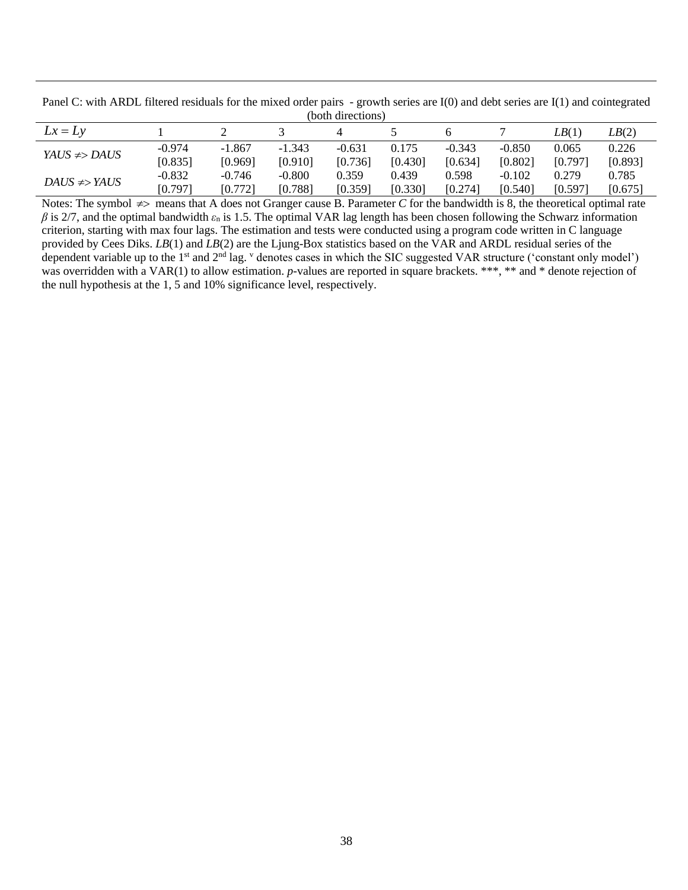| Panel C: with ARDL filtered residuals for the mixed order pairs - growth series are I(0) and debt series are I(1) and cointegrated |  |  |  |  |  |  |  |  |
|------------------------------------------------------------------------------------------------------------------------------------|--|--|--|--|--|--|--|--|
| (both directions)                                                                                                                  |  |  |  |  |  |  |  |  |
|                                                                                                                                    |  |  |  |  |  |  |  |  |

| $Lx = Lv$        |          |          |          |          |         |          |          | LB(1)   | LB(2)   |
|------------------|----------|----------|----------|----------|---------|----------|----------|---------|---------|
| $YAUS \neq DAUS$ | $-0.974$ | $-1.867$ | $-1.343$ | $-0.631$ | 0.175   | $-0.343$ | $-0.850$ | 0.065   | 0.226   |
|                  | [0.835]  | [0.969]  | [0.910]  | [0.736]  | [0.430] | [0.634]  | [0.802]  | [0.797] | [0.893] |
| $DAUS \neq YAUS$ | $-0.832$ | $-0.746$ | $-0.800$ | 0.359    | 0.439   | 0.598    | $-0.102$ | 0.279   | 0.785   |
|                  | [0.797]  | [0.772]  | [0.788]  | [0.359]  | [0.330] | [0.274]  | [0.540]  | [0.597] | [0.675] |

Notes: The symbol  $\neq$  means that A does not Granger cause B. Parameter  $C$  for the bandwidth is 8, the theoretical optimal rate  $\beta$  is 2/7, and the optimal bandwidth  $\varepsilon_n$  is 1.5. The optimal VAR lag length has been chosen following the Schwarz information criterion, starting with max four lags. The estimation and tests were conducted using a program code written in C language provided by Cees Diks. *LB*(1) and *LB*(2) are the Ljung-Box statistics based on the VAR and ARDL residual series of the dependent variable up to the  $1<sup>st</sup>$  and  $2<sup>nd</sup>$  lag.  $<sup>v</sup>$  denotes cases in which the SIC suggested VAR structure ('constant only model')</sup> was overridden with a VAR(1) to allow estimation. *p*-values are reported in square brackets. \*\*\*, \*\* and \* denote rejection of the null hypothesis at the 1, 5 and 10% significance level, respectively.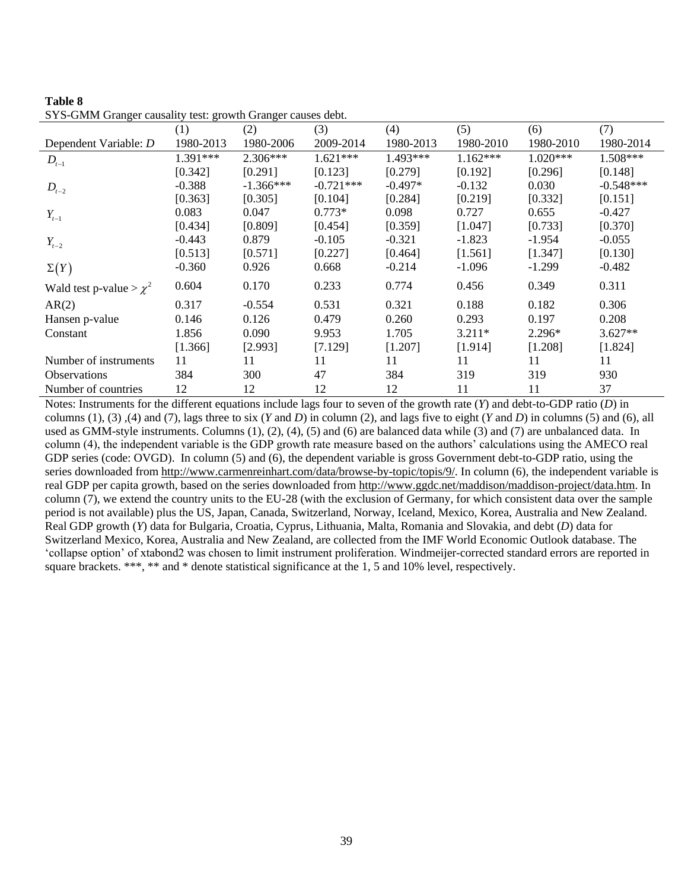|                             | (1)       | (2)         | (3)         | (4)        | (5)        | (6)        | (7)         |
|-----------------------------|-----------|-------------|-------------|------------|------------|------------|-------------|
| Dependent Variable: D       | 1980-2013 | 1980-2006   | 2009-2014   | 1980-2013  | 1980-2010  | 1980-2010  | 1980-2014   |
| $D_{t-1}$                   | 1.391***  | $2.306***$  | $1.621***$  | $1.493***$ | $1.162***$ | $1.020***$ | 1.508***    |
|                             | [0.342]   | [0.291]     | [0.123]     | [0.279]    | [0.192]    | [0.296]    | [0.148]     |
| $D_{t-2}$                   | $-0.388$  | $-1.366***$ | $-0.721***$ | $-0.497*$  | $-0.132$   | 0.030      | $-0.548***$ |
|                             | [0.363]   | [0.305]     | [0.104]     | [0.284]    | [0.219]    | [0.332]    | [0.151]     |
| $Y_{t-1}$                   | 0.083     | 0.047       | $0.773*$    | 0.098      | 0.727      | 0.655      | $-0.427$    |
|                             | [0.434]   | [0.809]     | [0.454]     | [0.359]    | [1.047]    | [0.733]    | [0.370]     |
| $Y_{t-2}$                   | $-0.443$  | 0.879       | $-0.105$    | $-0.321$   | $-1.823$   | $-1.954$   | $-0.055$    |
|                             | [0.513]   | [0.571]     | [0.227]     | [0.464]    | [1.561]    | [1.347]    | [0.130]     |
| $\Sigma(Y)$                 | $-0.360$  | 0.926       | 0.668       | $-0.214$   | $-1.096$   | $-1.299$   | $-0.482$    |
| Wald test p-value $>\chi^2$ | 0.604     | 0.170       | 0.233       | 0.774      | 0.456      | 0.349      | 0.311       |
| AR(2)                       | 0.317     | $-0.554$    | 0.531       | 0.321      | 0.188      | 0.182      | 0.306       |
| Hansen p-value              | 0.146     | 0.126       | 0.479       | 0.260      | 0.293      | 0.197      | 0.208       |
| Constant                    | 1.856     | 0.090       | 9.953       | 1.705      | $3.211*$   | 2.296*     | $3.627**$   |
|                             | [1.366]   | [2.993]     | [7.129]     | [1.207]    | [1.914]    | [1.208]    | [1.824]     |
| Number of instruments       | 11        | 11          | 11          | 11         | 11         | 11         | 11          |
| <b>Observations</b>         | 384       | 300         | 47          | 384        | 319        | 319        | 930         |
| Number of countries         | 12        | 12          | 12          | 12         | 11         | 11         | 37          |

| Table 8                                                     |  |  |  |  |
|-------------------------------------------------------------|--|--|--|--|
| SYS-GMM Granger causality test: growth Granger causes debt. |  |  |  |  |

Notes: Instruments for the different equations include lags four to seven of the growth rate (*Y*) and debt-to-GDP ratio (*D*) in columns (1), (3) ,(4) and (7), lags three to six (*Y* and *D*) in column (2), and lags five to eight (*Y* and *D*) in columns (5) and (6), all used as GMM-style instruments. Columns (1), (2), (4), (5) and (6) are balanced data while (3) and (7) are unbalanced data. In column (4), the independent variable is the GDP growth rate measure based on the authors' calculations using the AMECO real GDP series (code: OVGD). In column (5) and (6), the dependent variable is gross Government debt-to-GDP ratio, using the series downloaded fro[m http://www.carmenreinhart.com/data/browse-by-topic/topis/9/.](http://www.carmenreinhart.com/data/browse-by-topic/topis/9/) In column (6), the independent variable is real GDP per capita growth, based on the series downloaded fro[m http://www.ggdc.net/maddison/maddison-project/data.htm.](http://www.ggdc.net/maddison/maddison-project/data.htm) In column (7), we extend the country units to the EU-28 (with the exclusion of Germany, for which consistent data over the sample period is not available) plus the US, Japan, Canada, Switzerland, Norway, Iceland, Mexico, Korea, Australia and New Zealand. Real GDP growth (*Y*) data for Bulgaria, Croatia, Cyprus, Lithuania, Malta, Romania and Slovakia, and debt (*D*) data for Switzerland Mexico, Korea, Australia and New Zealand, are collected from the IMF World Economic Outlook database. The 'collapse option' of xtabond2 was chosen to limit instrument proliferation. Windmeijer-corrected standard errors are reported in square brackets. \*\*\*, \*\* and \* denote statistical significance at the 1, 5 and 10% level, respectively.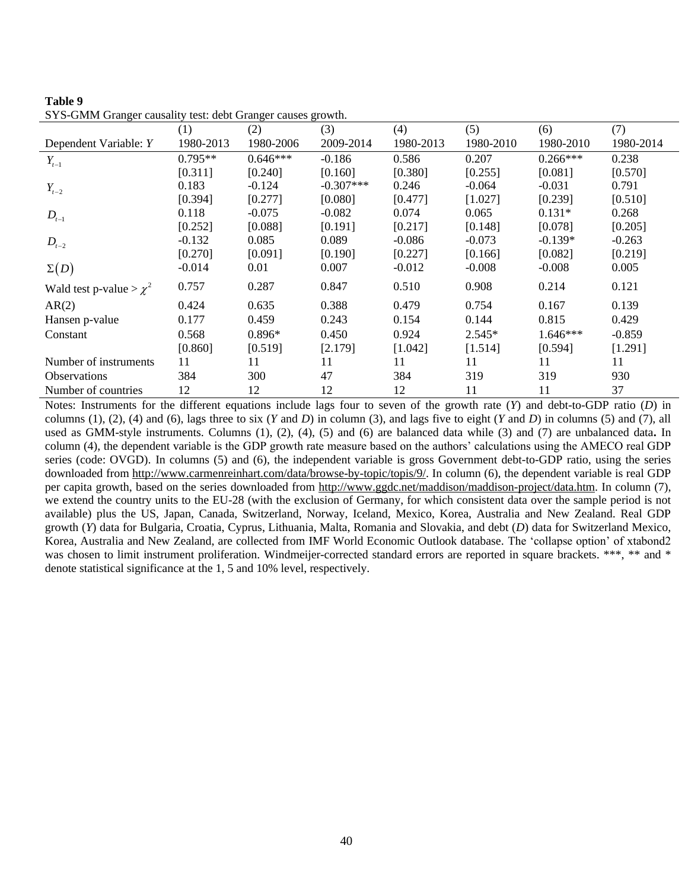|                             | (1)       | (2)        | (3)         | (4)       | (5)       | (6)        | (7)       |
|-----------------------------|-----------|------------|-------------|-----------|-----------|------------|-----------|
| Dependent Variable: Y       | 1980-2013 | 1980-2006  | 2009-2014   | 1980-2013 | 1980-2010 | 1980-2010  | 1980-2014 |
| $Y_{t-1}$                   | $0.795**$ | $0.646***$ | $-0.186$    | 0.586     | 0.207     | $0.266***$ | 0.238     |
|                             | [0.311]   | [0.240]    | [0.160]     | [0.380]   | [0.255]   | [0.081]    | [0.570]   |
| $Y_{t-2}$                   | 0.183     | $-0.124$   | $-0.307***$ | 0.246     | $-0.064$  | $-0.031$   | 0.791     |
|                             | [0.394]   | [0.277]    | [0.080]     | [0.477]   | [1.027]   | [0.239]    | [0.510]   |
| $D_{t-1}$                   | 0.118     | $-0.075$   | $-0.082$    | 0.074     | 0.065     | $0.131*$   | 0.268     |
|                             | [0.252]   | [0.088]    | [0.191]     | [0.217]   | [0.148]   | [0.078]    | [0.205]   |
| $D_{t-2}$                   | $-0.132$  | 0.085      | 0.089       | $-0.086$  | $-0.073$  | $-0.139*$  | $-0.263$  |
|                             | [0.270]   | [0.091]    | [0.190]     | [0.227]   | [0.166]   | [0.082]    | [0.219]   |
| $\Sigma(D)$                 | $-0.014$  | 0.01       | 0.007       | $-0.012$  | $-0.008$  | $-0.008$   | 0.005     |
| Wald test p-value $>\chi^2$ | 0.757     | 0.287      | 0.847       | 0.510     | 0.908     | 0.214      | 0.121     |
| AR(2)                       | 0.424     | 0.635      | 0.388       | 0.479     | 0.754     | 0.167      | 0.139     |
| Hansen p-value              | 0.177     | 0.459      | 0.243       | 0.154     | 0.144     | 0.815      | 0.429     |
| Constant                    | 0.568     | $0.896*$   | 0.450       | 0.924     | $2.545*$  | $1.646***$ | $-0.859$  |
|                             | [0.860]   | [0.519]    | [2.179]     | [1.042]   | [1.514]   | [0.594]    | [1.291]   |
| Number of instruments       | 11        | 11         | 11          | 11        | 11        | 11         | 11        |
| <b>Observations</b>         | 384       | 300        | 47          | 384       | 319       | 319        | 930       |
| Number of countries         | 12        | 12         | 12          | 12        | 11        | 11         | 37        |

| Table 9                                                     |  |  |
|-------------------------------------------------------------|--|--|
| SYS-GMM Granger causality test: debt Granger causes growth. |  |  |

Notes: Instruments for the different equations include lags four to seven of the growth rate (*Y*) and debt-to-GDP ratio (*D*) in columns (1), (2), (4) and (6), lags three to six (*Y* and *D*) in column (3), and lags five to eight (*Y* and *D*) in columns (5) and (7), all used as GMM-style instruments. Columns (1), (2), (4), (5) and (6) are balanced data while (3) and (7) are unbalanced data**.** In column (4), the dependent variable is the GDP growth rate measure based on the authors' calculations using the AMECO real GDP series (code: OVGD). In columns (5) and (6), the independent variable is gross Government debt-to-GDP ratio, using the series downloaded from [http://www.carmenreinhart.com/data/browse-by-topic/topis/9/.](http://www.carmenreinhart.com/data/browse-by-topic/topis/9/) In column (6), the dependent variable is real GDP per capita growth, based on the series downloaded from [http://www.ggdc.net/maddison/maddison-project/data.htm.](http://www.ggdc.net/maddison/maddison-project/data.htm) In column (7), we extend the country units to the EU-28 (with the exclusion of Germany, for which consistent data over the sample period is not available) plus the US, Japan, Canada, Switzerland, Norway, Iceland, Mexico, Korea, Australia and New Zealand. Real GDP growth (*Y*) data for Bulgaria, Croatia, Cyprus, Lithuania, Malta, Romania and Slovakia, and debt (*D*) data for Switzerland Mexico, Korea, Australia and New Zealand, are collected from IMF World Economic Outlook database. The 'collapse option' of xtabond2 was chosen to limit instrument proliferation. Windmeijer-corrected standard errors are reported in square brackets. \*\*\*, \*\* and \* denote statistical significance at the 1, 5 and 10% level, respectively.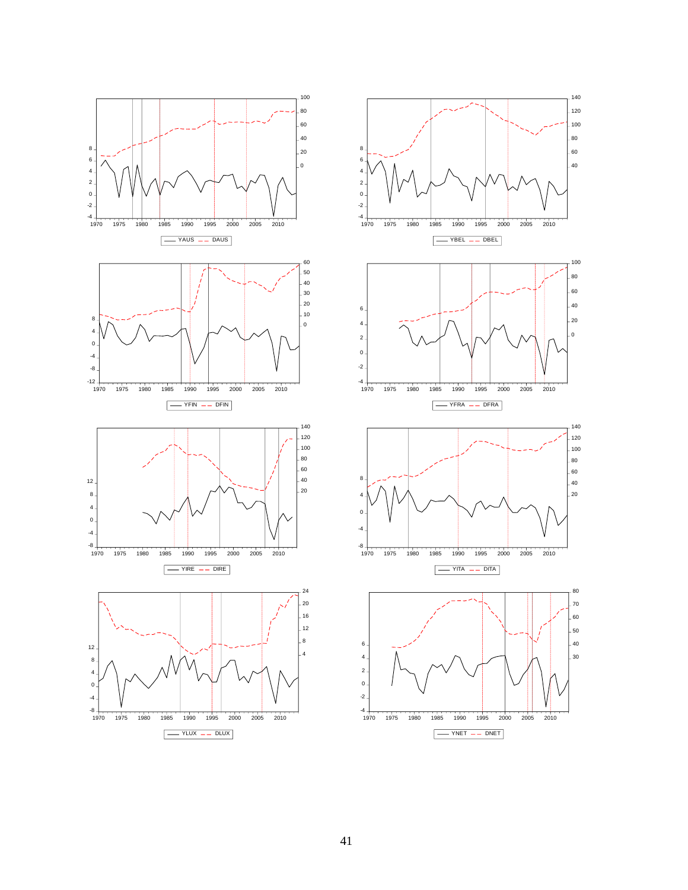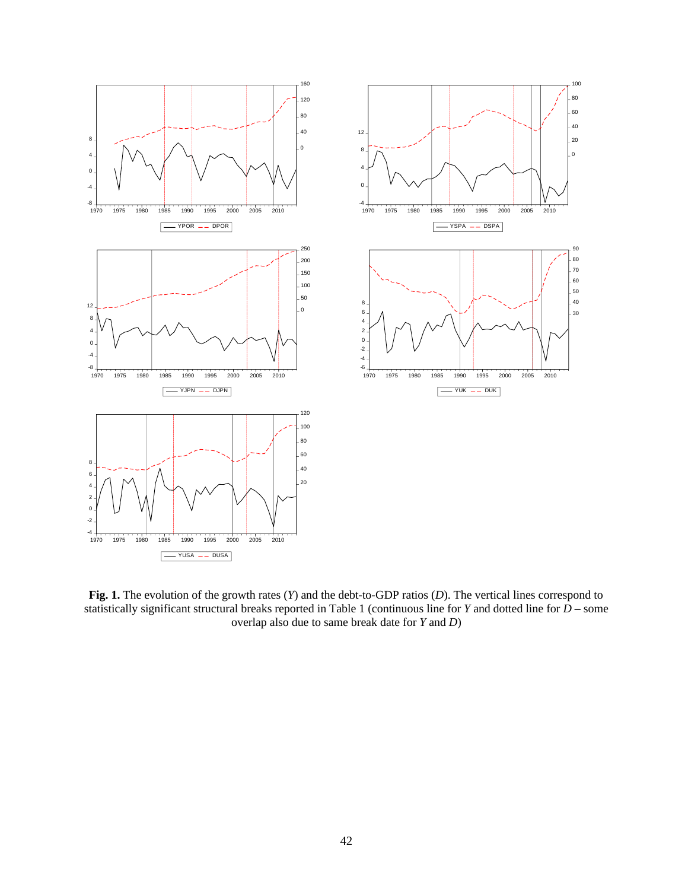

**Fig. 1.** The evolution of the growth rates (*Y*) and the debt-to-GDP ratios (*D*). The vertical lines correspond to statistically significant structural breaks reported in Table 1 (continuous line for *Y* and dotted line for *D* **–** some overlap also due to same break date for *Y* and *D*)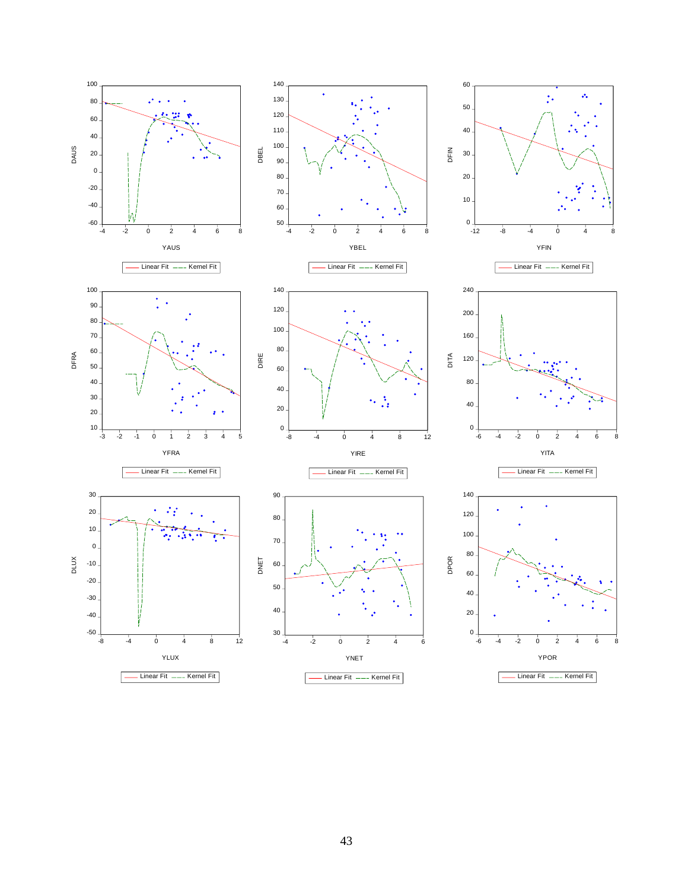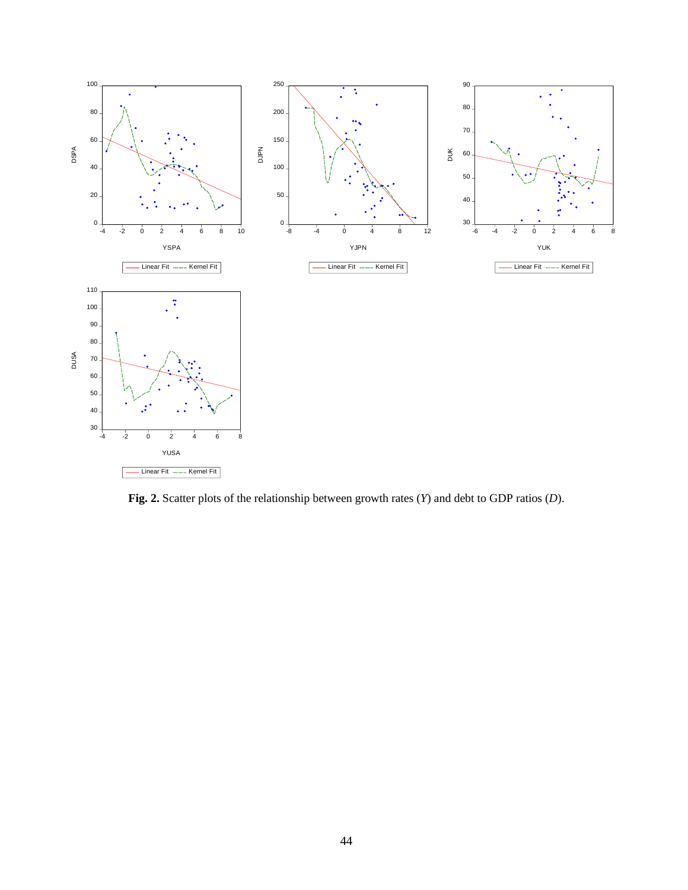

**Fig. 2.** Scatter plots of the relationship between growth rates (*Y*) and debt to GDP ratios (*D*).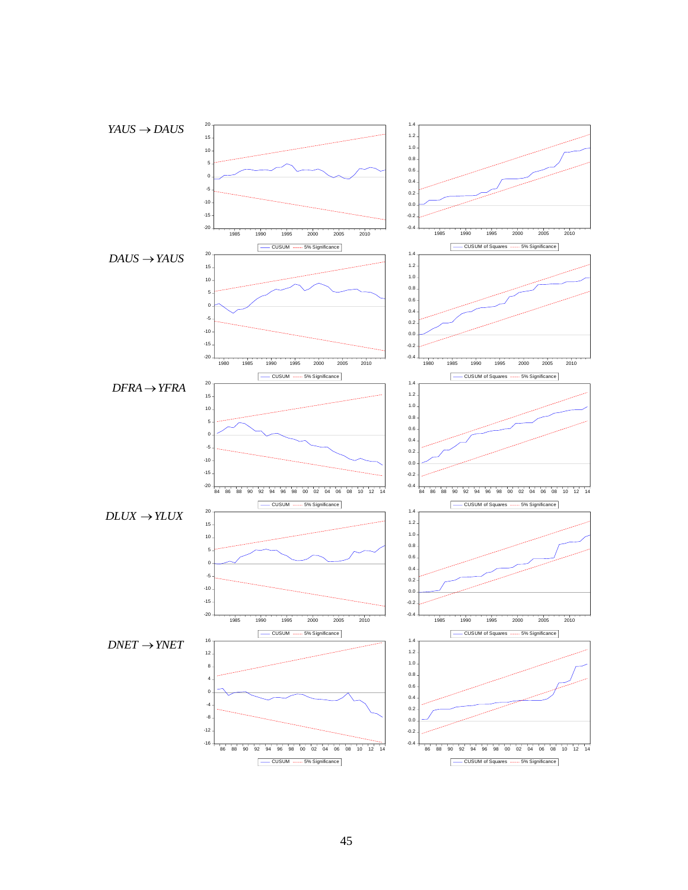